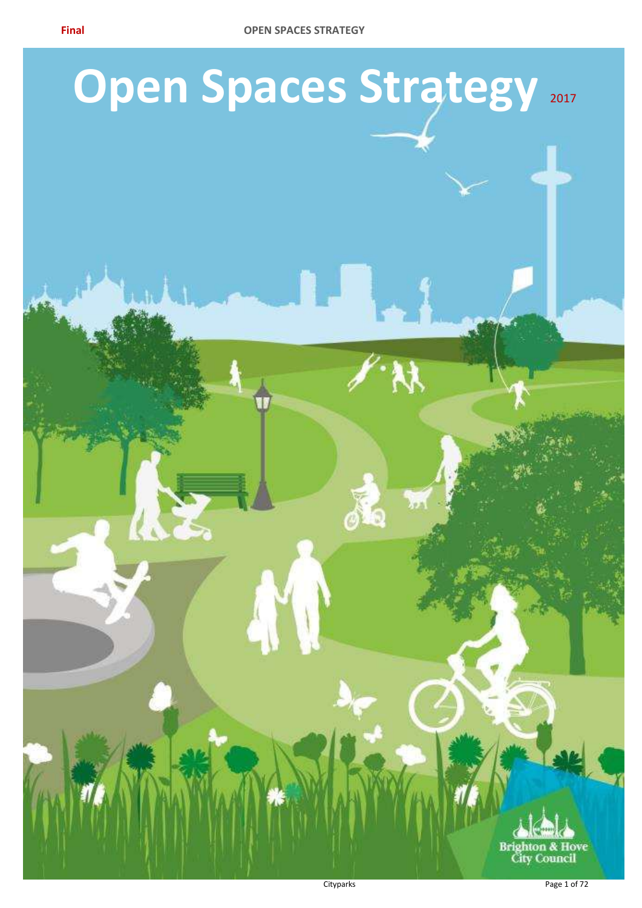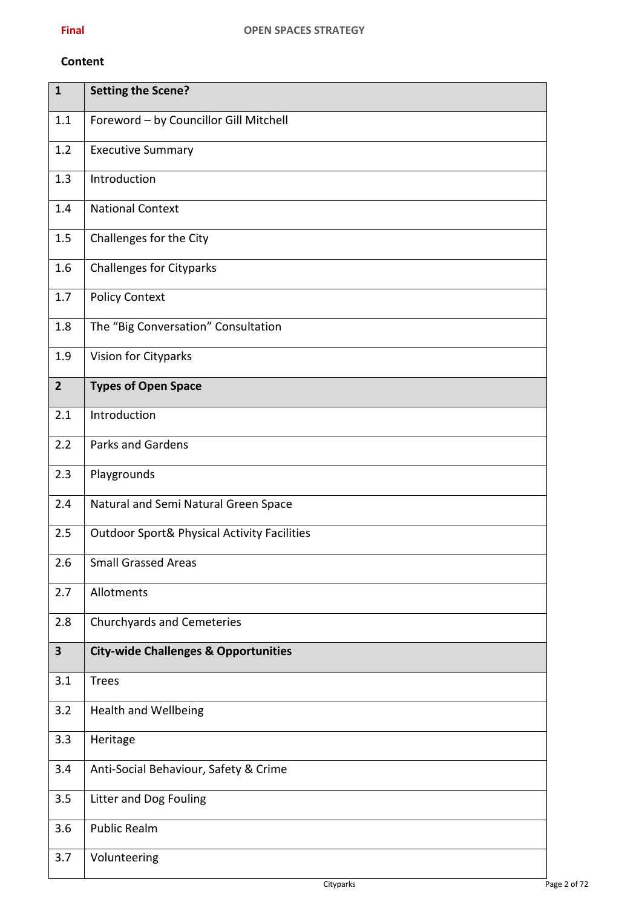#### **Content**

| $\mathbf{1}$            | <b>Setting the Scene?</b>                              |
|-------------------------|--------------------------------------------------------|
| 1.1                     | Foreword - by Councillor Gill Mitchell                 |
| 1.2                     | <b>Executive Summary</b>                               |
| 1.3                     | Introduction                                           |
| 1.4                     | <b>National Context</b>                                |
| 1.5                     | Challenges for the City                                |
| 1.6                     | <b>Challenges for Cityparks</b>                        |
| 1.7                     | <b>Policy Context</b>                                  |
| 1.8                     | The "Big Conversation" Consultation                    |
| 1.9                     | Vision for Cityparks                                   |
| 2 <sup>2</sup>          | <b>Types of Open Space</b>                             |
| 2.1                     | Introduction                                           |
| 2.2                     | <b>Parks and Gardens</b>                               |
| 2.3                     | Playgrounds                                            |
| 2.4                     | Natural and Semi Natural Green Space                   |
| 2.5                     | <b>Outdoor Sport&amp; Physical Activity Facilities</b> |
| 2.6                     | <b>Small Grassed Areas</b>                             |
| 2.7                     | Allotments                                             |
| 2.8                     | <b>Churchyards and Cemeteries</b>                      |
| $\overline{\mathbf{3}}$ | <b>City-wide Challenges &amp; Opportunities</b>        |
| 3.1                     | <b>Trees</b>                                           |
| 3.2                     | <b>Health and Wellbeing</b>                            |
| 3.3                     | Heritage                                               |
| 3.4                     | Anti-Social Behaviour, Safety & Crime                  |
| 3.5                     | Litter and Dog Fouling                                 |
| 3.6                     | <b>Public Realm</b>                                    |
| 3.7                     | Volunteering                                           |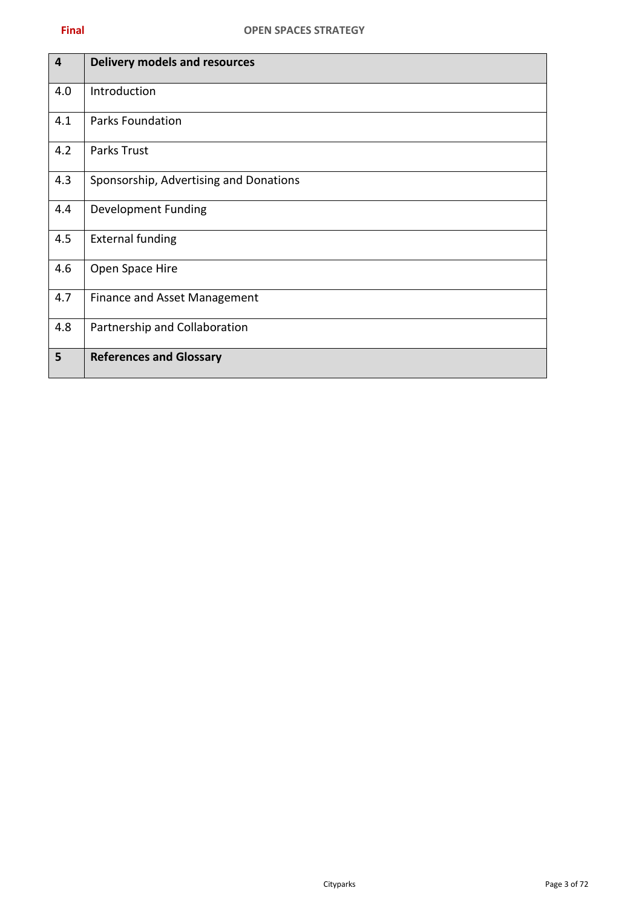| $\overline{\mathbf{4}}$ | <b>Delivery models and resources</b>   |
|-------------------------|----------------------------------------|
| 4.0                     | Introduction                           |
| 4.1                     | <b>Parks Foundation</b>                |
| 4.2                     | Parks Trust                            |
| 4.3                     | Sponsorship, Advertising and Donations |
| 4.4                     | <b>Development Funding</b>             |
| 4.5                     | <b>External funding</b>                |
| 4.6                     | Open Space Hire                        |
| 4.7                     | Finance and Asset Management           |
| 4.8                     | Partnership and Collaboration          |
| 5                       | <b>References and Glossary</b>         |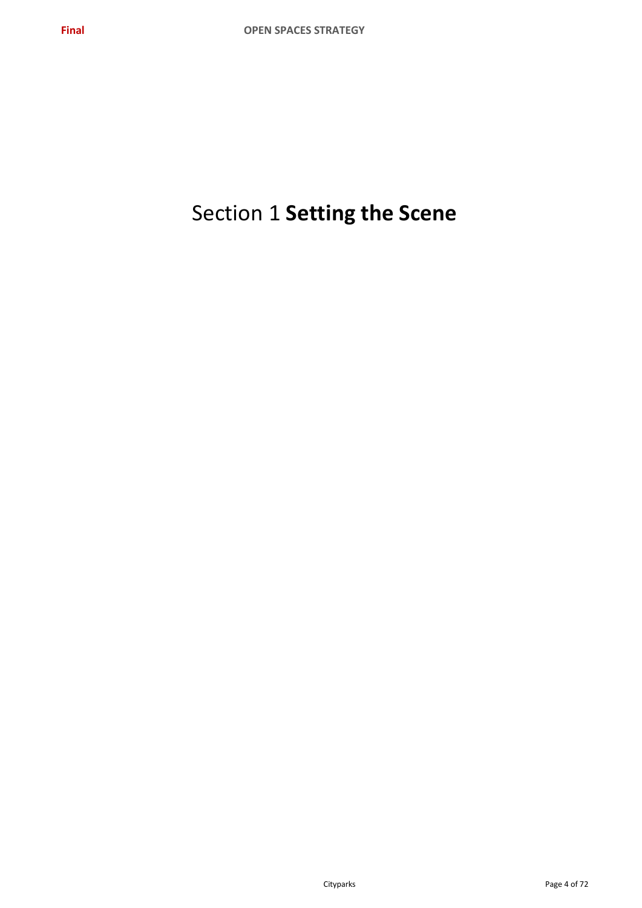# Section 1 **Setting the Scene**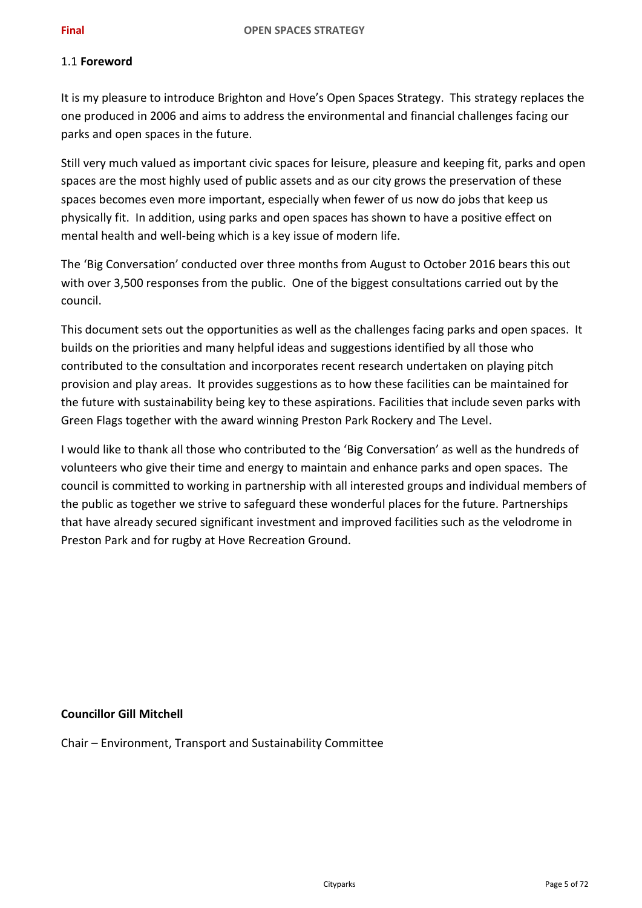#### 1.1 **Foreword**

It is my pleasure to introduce Brighton and Hove's Open Spaces Strategy. This strategy replaces the one produced in 2006 and aims to address the environmental and financial challenges facing our parks and open spaces in the future.

Still very much valued as important civic spaces for leisure, pleasure and keeping fit, parks and open spaces are the most highly used of public assets and as our city grows the preservation of these spaces becomes even more important, especially when fewer of us now do jobs that keep us physically fit. In addition, using parks and open spaces has shown to have a positive effect on mental health and well-being which is a key issue of modern life.

The 'Big Conversation' conducted over three months from August to October 2016 bears this out with over 3,500 responses from the public. One of the biggest consultations carried out by the council.

This document sets out the opportunities as well as the challenges facing parks and open spaces. It builds on the priorities and many helpful ideas and suggestions identified by all those who contributed to the consultation and incorporates recent research undertaken on playing pitch provision and play areas. It provides suggestions as to how these facilities can be maintained for the future with sustainability being key to these aspirations. Facilities that include seven parks with Green Flags together with the award winning Preston Park Rockery and The Level.

I would like to thank all those who contributed to the 'Big Conversation' as well as the hundreds of volunteers who give their time and energy to maintain and enhance parks and open spaces. The council is committed to working in partnership with all interested groups and individual members of the public as together we strive to safeguard these wonderful places for the future. Partnerships that have already secured significant investment and improved facilities such as the velodrome in Preston Park and for rugby at Hove Recreation Ground.

## **Councillor Gill Mitchell**

Chair – Environment, Transport and Sustainability Committee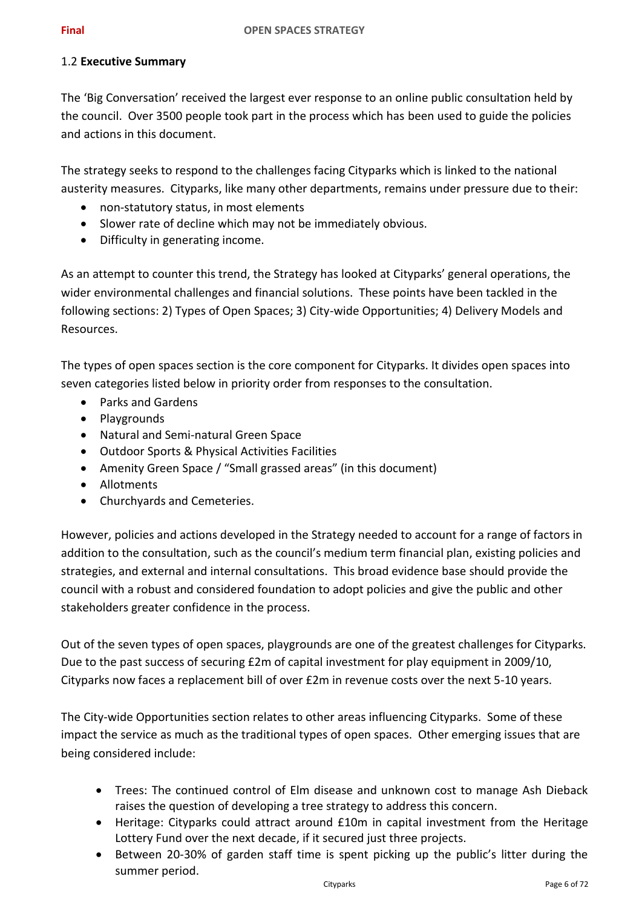#### 1.2 **Executive Summary**

The 'Big Conversation' received the largest ever response to an online public consultation held by the council. Over 3500 people took part in the process which has been used to guide the policies and actions in this document.

The strategy seeks to respond to the challenges facing Cityparks which is linked to the national austerity measures. Cityparks, like many other departments, remains under pressure due to their:

- non-statutory status, in most elements
- Slower rate of decline which may not be immediately obvious.
- Difficulty in generating income.

As an attempt to counter this trend, the Strategy has looked at Cityparks' general operations, the wider environmental challenges and financial solutions. These points have been tackled in the following sections: 2) Types of Open Spaces; 3) City-wide Opportunities; 4) Delivery Models and Resources.

The types of open spaces section is the core component for Cityparks. It divides open spaces into seven categories listed below in priority order from responses to the consultation.

- Parks and Gardens
- Playgrounds
- Natural and Semi-natural Green Space
- Outdoor Sports & Physical Activities Facilities
- Amenity Green Space / "Small grassed areas" (in this document)
- Allotments
- Churchyards and Cemeteries.

However, policies and actions developed in the Strategy needed to account for a range of factors in addition to the consultation, such as the council's medium term financial plan, existing policies and strategies, and external and internal consultations. This broad evidence base should provide the council with a robust and considered foundation to adopt policies and give the public and other stakeholders greater confidence in the process.

Out of the seven types of open spaces, playgrounds are one of the greatest challenges for Cityparks. Due to the past success of securing £2m of capital investment for play equipment in 2009/10, Cityparks now faces a replacement bill of over £2m in revenue costs over the next 5-10 years.

The City-wide Opportunities section relates to other areas influencing Cityparks. Some of these impact the service as much as the traditional types of open spaces. Other emerging issues that are being considered include:

- Trees: The continued control of Elm disease and unknown cost to manage Ash Dieback raises the question of developing a tree strategy to address this concern.
- Heritage: Cityparks could attract around £10m in capital investment from the Heritage Lottery Fund over the next decade, if it secured just three projects.
- Between 20-30% of garden staff time is spent picking up the public's litter during the summer period.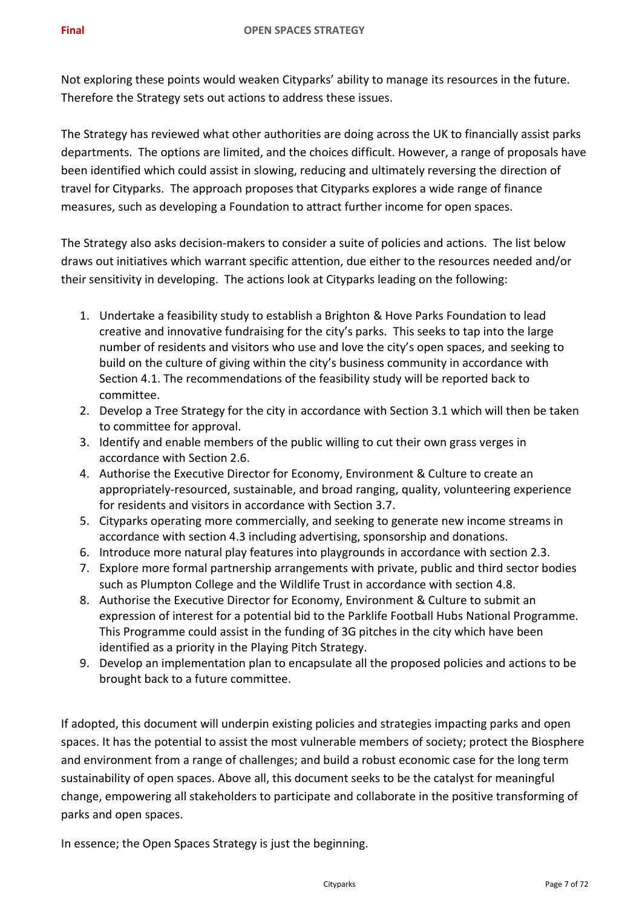Not exploring these points would weaken Cityparks' ability to manage its resources in the future. Therefore the Strategy sets out actions to address these issues.

The Strategy has reviewed what other authorities are doing across the UK to financially assist parks departments. The options are limited, and the choices difficult. However, a range of proposals have been identified which could assist in slowing, reducing and ultimately reversing the direction of travel for Cityparks. The approach proposes that Cityparks explores a wide range of finance measures, such as developing a Foundation to attract further income for open spaces.

The Strategy also asks decision-makers to consider a suite of policies and actions. The list below draws out initiatives which warrant specific attention, due either to the resources needed and/or their sensitivity in developing. The actions look at Cityparks leading on the following:

- 1. Undertake a feasibility study to establish a Brighton & Hove Parks Foundation to lead creative and innovative fundraising for the city's parks. This seeks to tap into the large number of residents and visitors who use and love the city's open spaces, and seeking to build on the culture of giving within the city's business community in accordance with Section 4.1. The recommendations of the feasibility study will be reported back to committee.
- 2. Develop a Tree Strategy for the city in accordance with Section 3.1 which will then be taken to committee for approval.
- 3. Identify and enable members of the public willing to cut their own grass verges in accordance with Section 2.6.
- 4. Authorise the Executive Director for Economy, Environment & Culture to create an appropriately-resourced, sustainable, and broad ranging, quality, volunteering experience for residents and visitors in accordance with Section 3.7.
- 5. Cityparks operating more commercially, and seeking to generate new income streams in accordance with section 4.3 including advertising, sponsorship and donations.
- 6. Introduce more natural play features into playgrounds in accordance with section 2.3.
- 7. Explore more formal partnership arrangements with private, public and third sector bodies such as Plumpton College and the Wildlife Trust in accordance with section 4.8.
- 8. Authorise the Executive Director for Economy, Environment & Culture to submit an expression of interest for a potential bid to the Parklife Football Hubs National Programme. This Programme could assist in the funding of 3G pitches in the city which have been identified as a priority in the Playing Pitch Strategy.
- 9. Develop an implementation plan to encapsulate all the proposed policies and actions to be brought back to a future committee.

If adopted, this document will underpin existing policies and strategies impacting parks and open spaces. It has the potential to assist the most vulnerable members of society; protect the Biosphere and environment from a range of challenges; and build a robust economic case for the long term sustainability of open spaces. Above all, this document seeks to be the catalyst for meaningful change, empowering all stakeholders to participate and collaborate in the positive transforming of parks and open spaces.

In essence; the Open Spaces Strategy is just the beginning.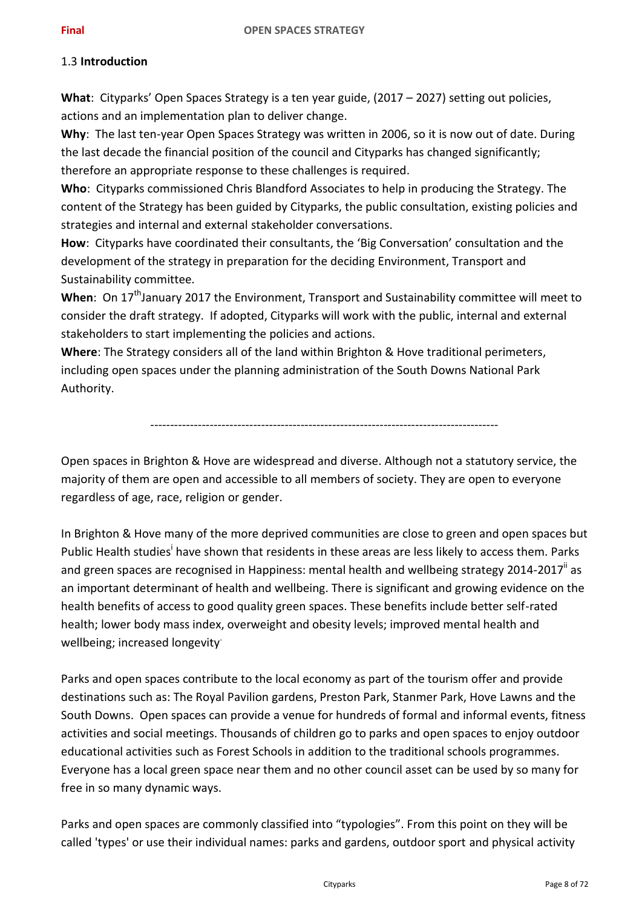## 1.3 **Introduction**

**What**: Cityparks' Open Spaces Strategy is a ten year guide, (2017 – 2027) setting out policies, actions and an implementation plan to deliver change.

**Why**: The last ten-year Open Spaces Strategy was written in 2006, so it is now out of date. During the last decade the financial position of the council and Cityparks has changed significantly; therefore an appropriate response to these challenges is required.

**Who**: Cityparks commissioned Chris Blandford Associates to help in producing the Strategy. The content of the Strategy has been guided by Cityparks, the public consultation, existing policies and strategies and internal and external stakeholder conversations.

**How**: Cityparks have coordinated their consultants, the 'Big Conversation' consultation and the development of the strategy in preparation for the deciding Environment, Transport and Sustainability committee.

When: On 17<sup>th</sup>January 2017 the Environment, Transport and Sustainability committee will meet to consider the draft strategy. If adopted, Cityparks will work with the public, internal and external stakeholders to start implementing the policies and actions.

**Where**: The Strategy considers all of the land within Brighton & Hove traditional perimeters, including open spaces under the planning administration of the South Downs National Park Authority.

<span id="page-7-0"></span>----------------------------------------------------------------------------------------

Open spaces in Brighton & Hove are widespread and diverse. Although not a statutory service, the majority of them are open and accessible to all members of society. They are open to everyone regardless of age, race, religion or gender.

In Brighton & Hove many of the more deprived communities are close to green and open spaces but Public Health studies<sup>i</sup> have shown that residents in these areas are less likely to access them. Parks and green spaces are recognised in Happiness: mental health and wellbeing strategy 2014-2017" as an important determinant of health and wellbeing. There is significant and growing evidence on the health benefits of access to good quality green spaces. These benefits include better self-rated health; lower body mass index, overweight and obesity levels; improved mental health and wellbeing; increased longevity.

Parks and open spaces contribute to the local economy as part of the tourism offer and provide destinations such as: The Royal Pavilion gardens, Preston Park, Stanmer Park, Hove Lawns and the South Downs. Open spaces can provide a venue for hundreds of formal and informal events, fitness activities and social meetings. Thousands of children go to parks and open spaces to enjoy outdoor educational activities such as Forest Schools in addition to the traditional schools programmes. Everyone has a local green space near them and no other council asset can be used by so many for free in so many dynamic ways.

Parks and open spaces are commonly classified into "typologies". From this point on they will be called 'types' or use their individual names: parks and gardens, outdoor sport and physical activity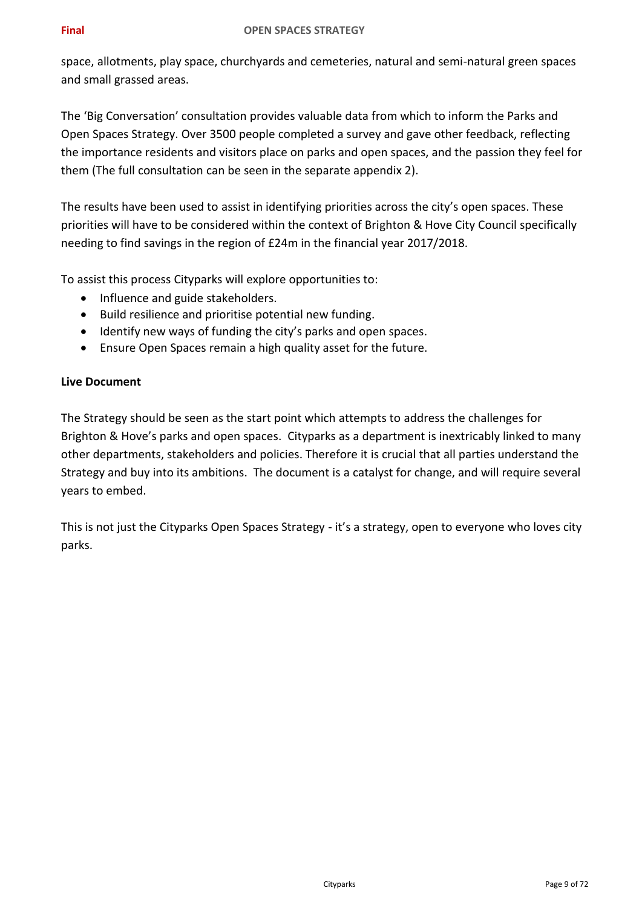#### **Final OPEN SPACES STRATEGY**

space, allotments, play space, churchyards and cemeteries, natural and semi-natural green spaces and small grassed areas.

The 'Big Conversation' consultation provides valuable data from which to inform the Parks and Open Spaces Strategy. Over 3500 people completed a survey and gave other feedback, reflecting the importance residents and visitors place on parks and open spaces, and the passion they feel for them (The full consultation can be seen in the separate appendix 2).

The results have been used to assist in identifying priorities across the city's open spaces. These priorities will have to be considered within the context of Brighton & Hove City Council specifically needing to find savings in the region of £24m in the financial year 2017/2018.

To assist this process Cityparks will explore opportunities to:

- Influence and guide stakeholders.
- Build resilience and prioritise potential new funding.
- Identify new ways of funding the city's parks and open spaces.
- Ensure Open Spaces remain a high quality asset for the future.

#### **Live Document**

The Strategy should be seen as the start point which attempts to address the challenges for Brighton & Hove's parks and open spaces. Cityparks as a department is inextricably linked to many other departments, stakeholders and policies. Therefore it is crucial that all parties understand the Strategy and buy into its ambitions. The document is a catalyst for change, and will require several years to embed.

This is not just the Cityparks Open Spaces Strategy - it's a strategy, open to everyone who loves city parks.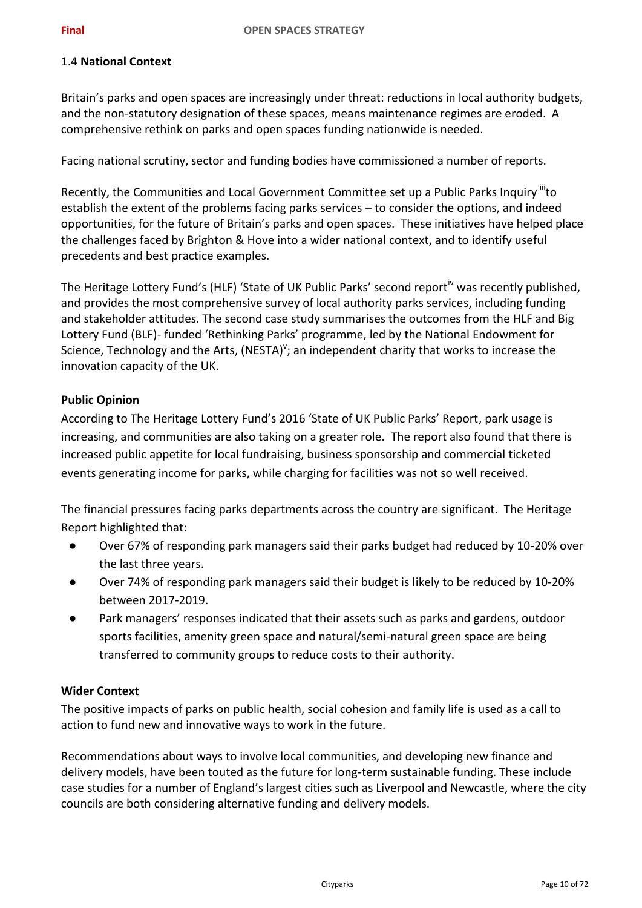## 1.4 **National Context**

Britain's parks and open spaces are increasingly under threat: reductions in local authority budgets, and the non-statutory designation of these spaces, means maintenance regimes are eroded. A comprehensive rethink on parks and open spaces funding nationwide is needed.

Facing national scrutiny, sector and funding bodies have commissioned a number of reports.

Recently, the Communities and Local Government Committee set up a Public Parks Inquiry "to establish the extent of the problems facing parks services – to consider the options, and indeed opportunities, for the future of Britain's parks and open spaces. These initiatives have helped place the challenges faced by Brighton & Hove into a wider national context, and to identify useful precedents and best practice examples.

The Heritage Lottery Fund's (HLF) 'State of UK Public Parks' second report<sup>iv</sup> was recently published, and provides the most comprehensive survey of local authority parks services, including funding and stakeholder attitudes. The second case study summarises the outcomes from the HLF and Big Lottery Fund (BLF)- funded 'Rethinking Parks' programme, led by the National Endowment for Science, Technology and the Arts, (NESTA)<sup>v</sup>; an independent charity that works to increase the innovation capacity of the UK.

## **Public Opinion**

According to The Heritage Lottery Fund's 2016 'State of UK Public Parks' Report, park usage is increasing, and communities are also taking on a greater role. The report also found that there is increased public appetite for local fundraising, business sponsorship and commercial ticketed events generating income for parks, while charging for facilities was not so well received.

The financial pressures facing parks departments across the country are significant. The Heritage Report highlighted that:

- Over 67% of responding park managers said their parks budget had reduced by 10-20% over the last three years.
- Over 74% of responding park managers said their budget is likely to be reduced by 10-20% between 2017-2019.
- Park managers' responses indicated that their assets such as parks and gardens, outdoor sports facilities, amenity green space and natural/semi-natural green space are being transferred to community groups to reduce costs to their authority.

## **Wider Context**

The positive impacts of parks on public health, social cohesion and family life is used as a call to action to fund new and innovative ways to work in the future.

Recommendations about ways to involve local communities, and developing new finance and delivery models, have been touted as the future for long-term sustainable funding. These include case studies for a number of England's largest cities such as Liverpool and Newcastle, where the city councils are both considering alternative funding and delivery models.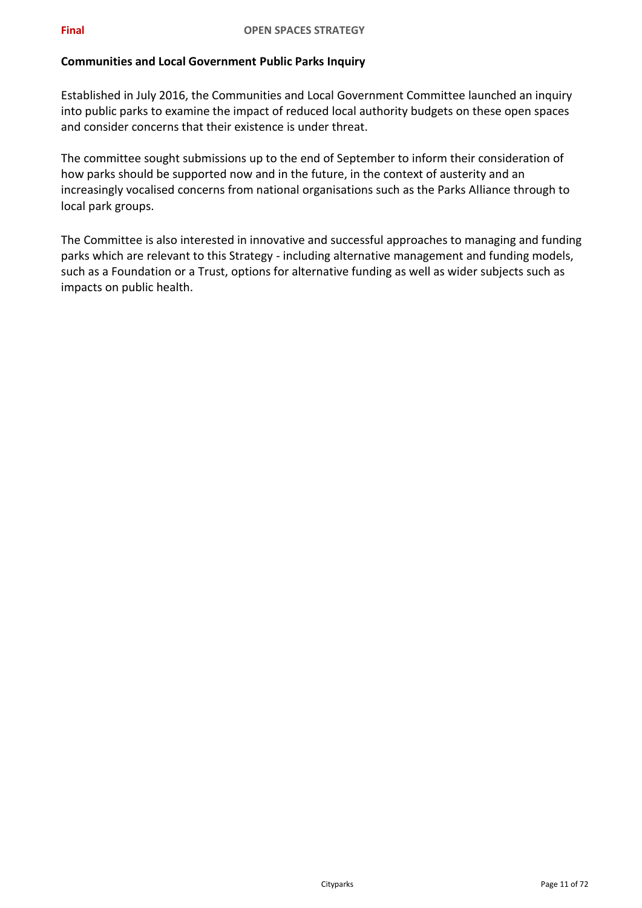# **Communities and Local Government Public Parks Inquiry**

Established in July 2016, the Communities and Local Government Committee launched an inquiry into public parks to examine the impact of reduced local authority budgets on these open spaces and consider concerns that their existence is under threat.

The committee sought submissions up to the end of September to inform their consideration of how parks should be supported now and in the future, in the context of austerity and an increasingly vocalised concerns from national organisations such as the Parks Alliance through to local park groups.

The Committee is also interested in innovative and successful approaches to managing and funding parks which are relevant to this Strategy - including alternative management and funding models, such as a Foundation or a Trust, options for alternative funding as well as wider subjects such as impacts on public health.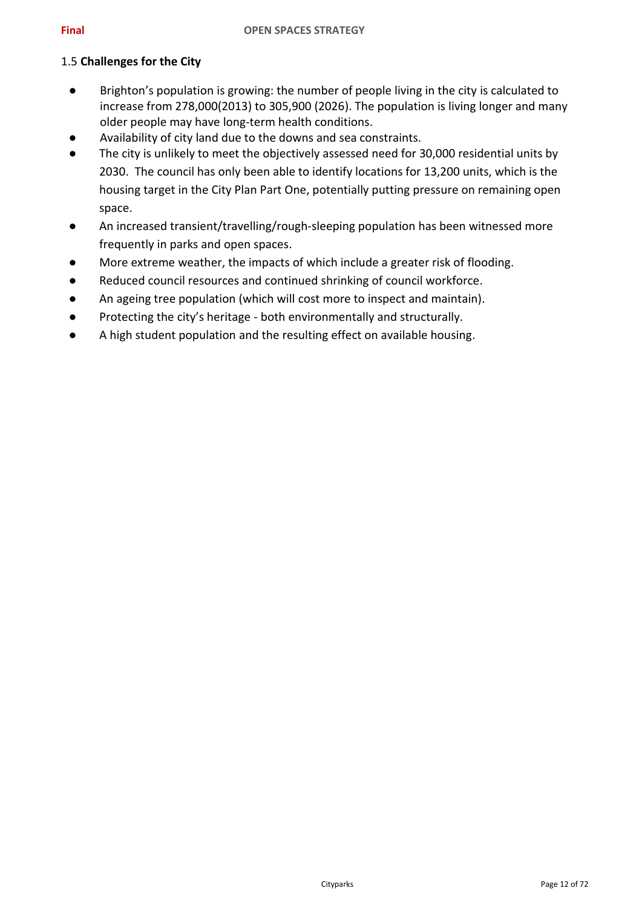## 1.5 **Challenges for the City**

- Brighton's population is growing: the number of people living in the city is calculated to increase from 278,000(2013) to 305,900 (2026). The population is living longer and many older people may have long-term health conditions.
- Availability of city land due to the downs and sea constraints.
- The city is unlikely to meet the objectively assessed need for 30,000 residential units by 2030. The council has only been able to identify locations for 13,200 units, which is the housing target in the City Plan Part One, potentially putting pressure on remaining open space.
- An increased transient/travelling/rough-sleeping population has been witnessed more frequently in parks and open spaces.
- More extreme weather, the impacts of which include a greater risk of flooding.
- Reduced council resources and continued shrinking of council workforce.
- An ageing tree population (which will cost more to inspect and maintain).
- Protecting the city's heritage both environmentally and structurally.
- A high student population and the resulting effect on available housing.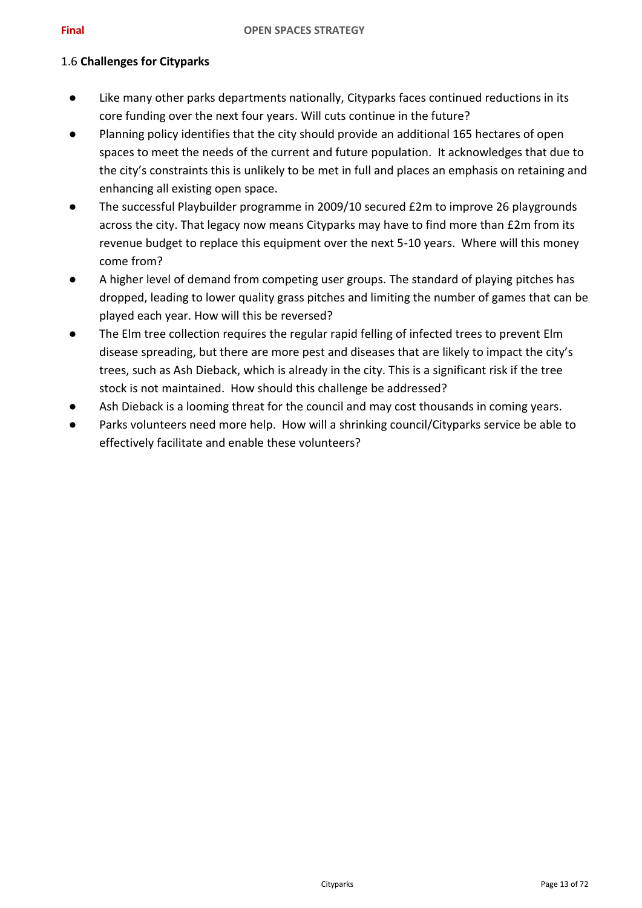## 1.6 **Challenges for Cityparks**

- Like many other parks departments nationally, Cityparks faces continued reductions in its core funding over the next four years. Will cuts continue in the future?
- Planning policy identifies that the city should provide an additional 165 hectares of open spaces to meet the needs of the current and future population. It acknowledges that due to the city's constraints this is unlikely to be met in full and places an emphasis on retaining and enhancing all existing open space.
- The successful Playbuilder programme in 2009/10 secured £2m to improve 26 playgrounds across the city. That legacy now means Cityparks may have to find more than £2m from its revenue budget to replace this equipment over the next 5-10 years. Where will this money come from?
- A higher level of demand from competing user groups. The standard of playing pitches has dropped, leading to lower quality grass pitches and limiting the number of games that can be played each year. How will this be reversed?
- The Elm tree collection requires the regular rapid felling of infected trees to prevent Elm disease spreading, but there are more pest and diseases that are likely to impact the city's trees, such as Ash Dieback, which is already in the city. This is a significant risk if the tree stock is not maintained. How should this challenge be addressed?
- Ash Dieback is a looming threat for the council and may cost thousands in coming years.
- Parks volunteers need more help. How will a shrinking council/Cityparks service be able to effectively facilitate and enable these volunteers?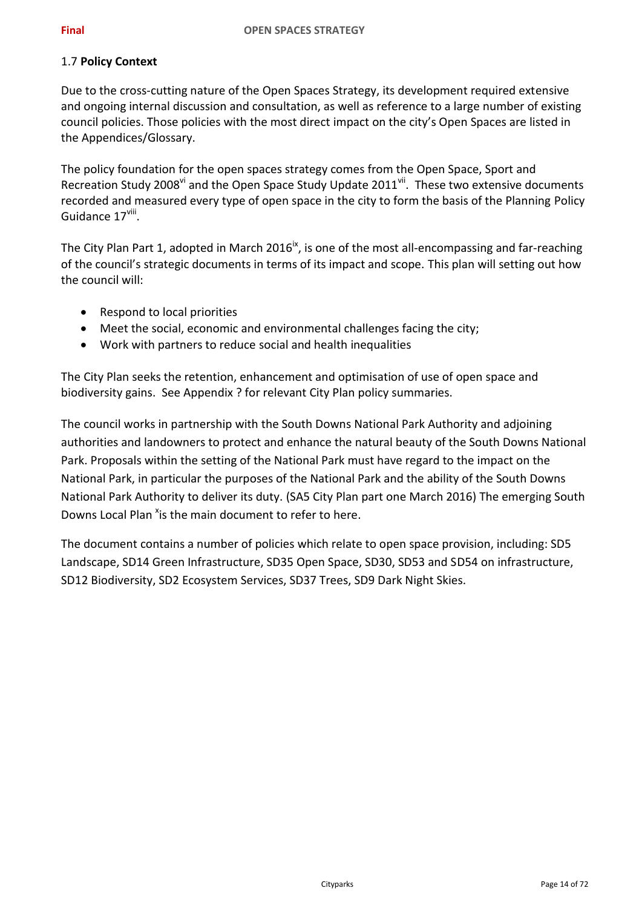## 1.7 **Policy Context**

Due to the cross-cutting nature of the Open Spaces Strategy, its development required extensive and ongoing internal discussion and consultation, as well as reference to a large number of existing council policies. Those policies with the most direct impact on the city's Open Spaces are listed in the Appendices/Glossary.

<span id="page-13-2"></span><span id="page-13-0"></span>The policy foundation for the open spaces strategy comes from the Open Space, Sport and Recreation Study 2008" and the Open Space Study Update 2011". These two extensive documents recorded and measured every type of open space in the city to form the basis of the Planning Policy Guidance 17<sup>viii</sup>.

The City Plan Part 1, adopted in March 2016<sup>ix</sup>, is one of the most all-encompassing and far-reaching of the council's strategic documents in terms of its impact and scope. This plan will setting out how the council will:

- <span id="page-13-1"></span>• Respond to local priorities
- Meet the social, economic and environmental challenges facing the city;
- Work with partners to reduce social and health inequalities

The City Plan seeks the retention, enhancement and optimisation of use of open space and biodiversity gains. See Appendix ? for relevant City Plan policy summaries.

The council works in partnership with the South Downs National Park Authority and adjoining authorities and landowners to protect and enhance the natural beauty of the South Downs National Park. Proposals within the setting of the National Park must have regard to the impact on the National Park, in particular the purposes of the National Park and the ability of the South Downs National Park Authority to deliver its duty. (SA5 City Plan part one March 2016) The emerging South Downs Local Plan <sup>x</sup>is the main document to refer to here.

<span id="page-13-3"></span>The document contains a number of policies which relate to open space provision, including: SD5 Landscape, SD14 Green Infrastructure, SD35 Open Space, SD30, SD53 and SD54 on infrastructure, SD12 Biodiversity, SD2 Ecosystem Services, SD37 Trees, SD9 Dark Night Skies.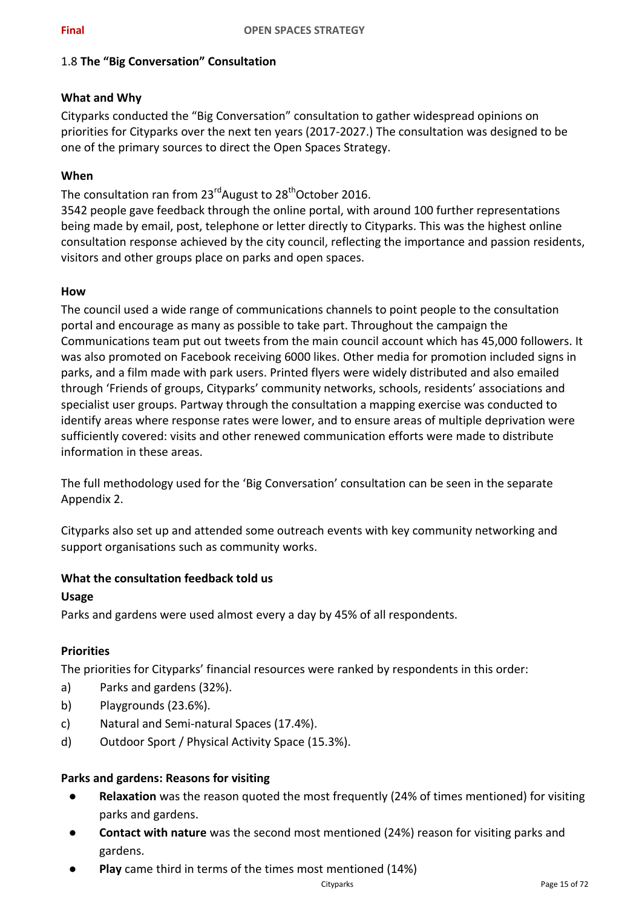## 1.8 **The "Big Conversation" Consultation**

## **What and Why**

Cityparks conducted the "Big Conversation" consultation to gather widespread opinions on priorities for Cityparks over the next ten years (2017-2027.) The consultation was designed to be one of the primary sources to direct the Open Spaces Strategy.

# **When**

The consultation ran from 23<sup>rd</sup>August to 28<sup>th</sup>October 2016.

3542 people gave feedback through the online portal, with around 100 further representations being made by email, post, telephone or letter directly to Cityparks. This was the highest online consultation response achieved by the city council, reflecting the importance and passion residents, visitors and other groups place on parks and open spaces.

## **How**

The council used a wide range of communications channels to point people to the consultation portal and encourage as many as possible to take part. Throughout the campaign the Communications team put out tweets from the main council account which has 45,000 followers. It was also promoted on Facebook receiving 6000 likes. Other media for promotion included signs in parks, and a film made with park users. Printed flyers were widely distributed and also emailed through 'Friends of groups, Cityparks' community networks, schools, residents' associations and specialist user groups. Partway through the consultation a mapping exercise was conducted to identify areas where response rates were lower, and to ensure areas of multiple deprivation were sufficiently covered: visits and other renewed communication efforts were made to distribute information in these areas.

The full methodology used for the 'Big Conversation' consultation can be seen in the separate Appendix 2.

Cityparks also set up and attended some outreach events with key community networking and support organisations such as community works.

## **What the consultation feedback told us**

#### **Usage**

Parks and gardens were used almost every a day by 45% of all respondents.

## **Priorities**

The priorities for Cityparks' financial resources were ranked by respondents in this order:

- a) Parks and gardens (32%).
- b) Playgrounds (23.6%).
- c) Natural and Semi-natural Spaces (17.4%).
- d) Outdoor Sport / Physical Activity Space (15.3%).

## **Parks and gardens: Reasons for visiting**

- **Relaxation** was the reason quoted the most frequently (24% of times mentioned) for visiting parks and gardens.
- **Contact with nature** was the second most mentioned (24%) reason for visiting parks and gardens.
- **Play** came third in terms of the times most mentioned (14%)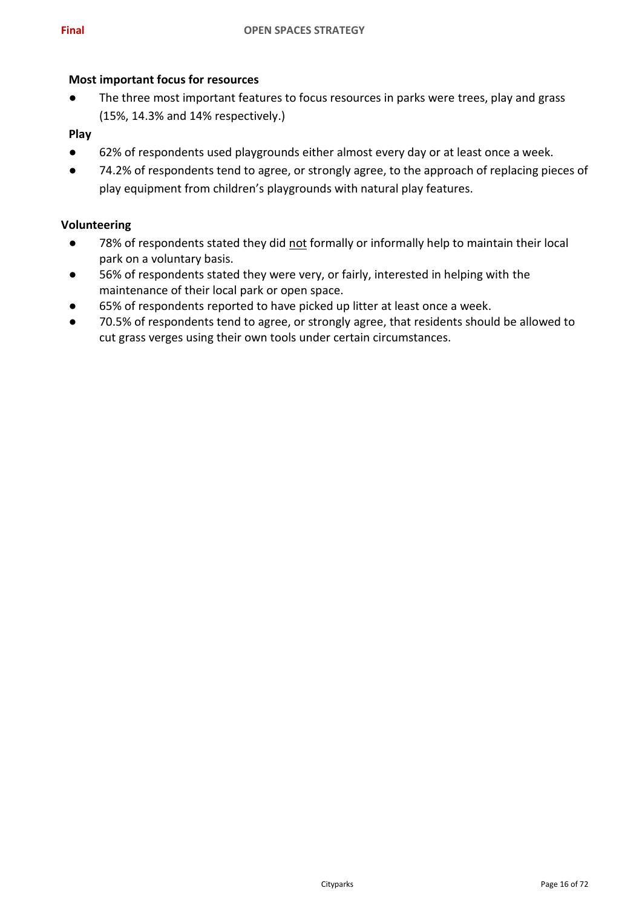#### **Most important focus for resources**

● The three most important features to focus resources in parks were trees, play and grass (15%, 14.3% and 14% respectively.)

#### **Play**

- 62% of respondents used playgrounds either almost every day or at least once a week.
- 74.2% of respondents tend to agree, or strongly agree, to the approach of replacing pieces of play equipment from children's playgrounds with natural play features.

#### **Volunteering**

- 78% of respondents stated they did not formally or informally help to maintain their local park on a voluntary basis.
- 56% of respondents stated they were very, or fairly, interested in helping with the maintenance of their local park or open space.
- 65% of respondents reported to have picked up litter at least once a week.
- 70.5% of respondents tend to agree, or strongly agree, that residents should be allowed to cut grass verges using their own tools under certain circumstances.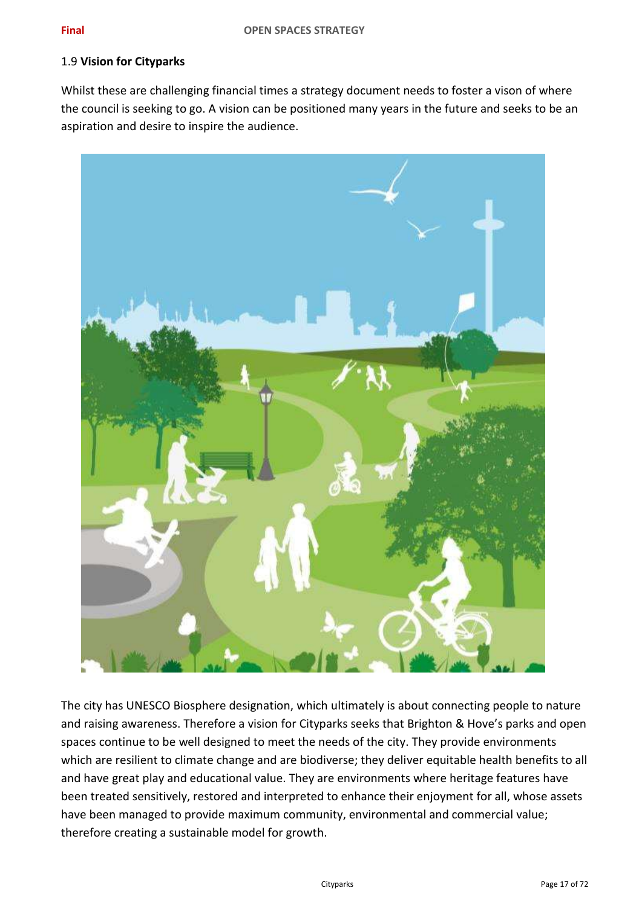#### 1.9 **Vision for Cityparks**

Whilst these are challenging financial times a strategy document needs to foster a vison of where the council is seeking to go. A vision can be positioned many years in the future and seeks to be an aspiration and desire to inspire the audience.



The city has UNESCO Biosphere designation, which ultimately is about connecting people to nature and raising awareness. Therefore a vision for Cityparks seeks that Brighton & Hove's parks and open spaces continue to be well designed to meet the needs of the city. They provide environments which are resilient to climate change and are biodiverse; they deliver equitable health benefits to all and have great play and educational value. They are environments where heritage features have been treated sensitively, restored and interpreted to enhance their enjoyment for all, whose assets have been managed to provide maximum community, environmental and commercial value; therefore creating a sustainable model for growth.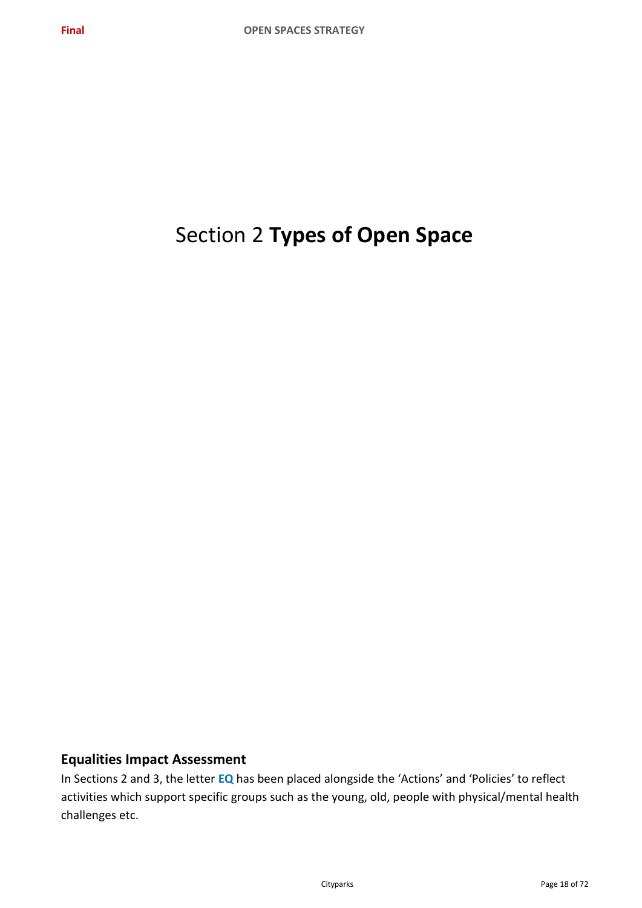# Section 2 **Types of Open Space**

# **Equalities Impact Assessment**

In Sections 2 and 3, the letter **EQ** has been placed alongside the 'Actions' and 'Policies' to reflect activities which support specific groups such as the young, old, people with physical/mental health challenges etc.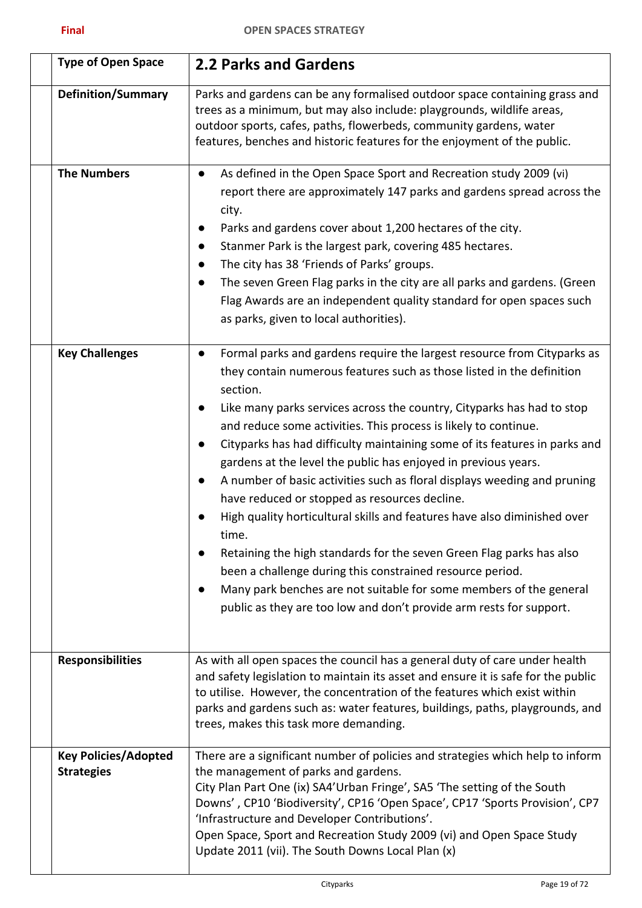| <b>Type of Open Space</b>                        | <b>2.2 Parks and Gardens</b>                                                                                                                                                                                                                                                                                                                                                                                                                                                                                                                                                                                                                                                                                                                                                                                                                                                                                                                                                            |
|--------------------------------------------------|-----------------------------------------------------------------------------------------------------------------------------------------------------------------------------------------------------------------------------------------------------------------------------------------------------------------------------------------------------------------------------------------------------------------------------------------------------------------------------------------------------------------------------------------------------------------------------------------------------------------------------------------------------------------------------------------------------------------------------------------------------------------------------------------------------------------------------------------------------------------------------------------------------------------------------------------------------------------------------------------|
| <b>Definition/Summary</b>                        | Parks and gardens can be any formalised outdoor space containing grass and<br>trees as a minimum, but may also include: playgrounds, wildlife areas,<br>outdoor sports, cafes, paths, flowerbeds, community gardens, water<br>features, benches and historic features for the enjoyment of the public.                                                                                                                                                                                                                                                                                                                                                                                                                                                                                                                                                                                                                                                                                  |
| <b>The Numbers</b>                               | As defined in the Open Space Sport and Recreation study 2009 (vi)<br>$\bullet$<br>report there are approximately 147 parks and gardens spread across the<br>city.<br>Parks and gardens cover about 1,200 hectares of the city.<br>$\bullet$<br>Stanmer Park is the largest park, covering 485 hectares.<br>$\bullet$<br>The city has 38 'Friends of Parks' groups.<br>$\bullet$<br>The seven Green Flag parks in the city are all parks and gardens. (Green<br>Flag Awards are an independent quality standard for open spaces such<br>as parks, given to local authorities).                                                                                                                                                                                                                                                                                                                                                                                                           |
| <b>Key Challenges</b>                            | Formal parks and gardens require the largest resource from Cityparks as<br>they contain numerous features such as those listed in the definition<br>section.<br>Like many parks services across the country, Cityparks has had to stop<br>$\bullet$<br>and reduce some activities. This process is likely to continue.<br>Cityparks has had difficulty maintaining some of its features in parks and<br>gardens at the level the public has enjoyed in previous years.<br>A number of basic activities such as floral displays weeding and pruning<br>$\bullet$<br>have reduced or stopped as resources decline.<br>High quality horticultural skills and features have also diminished over<br>time.<br>Retaining the high standards for the seven Green Flag parks has also<br>been a challenge during this constrained resource period.<br>Many park benches are not suitable for some members of the general<br>public as they are too low and don't provide arm rests for support. |
| <b>Responsibilities</b>                          | As with all open spaces the council has a general duty of care under health<br>and safety legislation to maintain its asset and ensure it is safe for the public<br>to utilise. However, the concentration of the features which exist within<br>parks and gardens such as: water features, buildings, paths, playgrounds, and<br>trees, makes this task more demanding.                                                                                                                                                                                                                                                                                                                                                                                                                                                                                                                                                                                                                |
| <b>Key Policies/Adopted</b><br><b>Strategies</b> | There are a significant number of policies and strategies which help to inform<br>the management of parks and gardens.<br>City Plan Part One (ix) SA4'Urban Fringe', SA5 'The setting of the South<br>Downs', CP10 'Biodiversity', CP16 'Open Space', CP17 'Sports Provision', CP7<br>'Infrastructure and Developer Contributions'.<br>Open Space, Sport and Recreation Study 2009 (vi) and Open Space Study<br>Update 2011 (vii). The South Downs Local Plan (x)                                                                                                                                                                                                                                                                                                                                                                                                                                                                                                                       |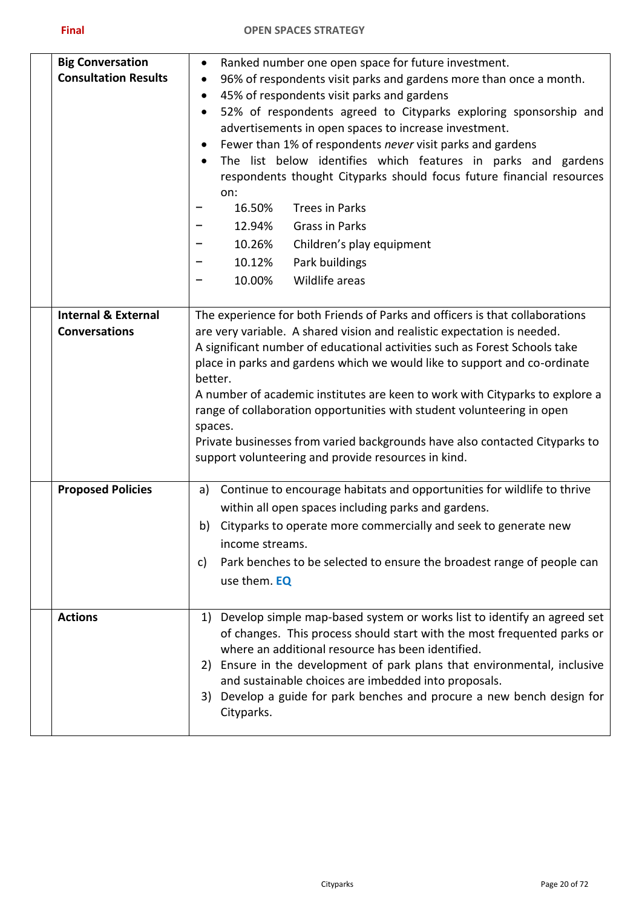| <b>Big Conversation</b><br><b>Consultation Results</b> | Ranked number one open space for future investment.<br>$\bullet$<br>96% of respondents visit parks and gardens more than once a month.<br>٠<br>45% of respondents visit parks and gardens<br>٠<br>52% of respondents agreed to Cityparks exploring sponsorship and<br>٠<br>advertisements in open spaces to increase investment.<br>Fewer than 1% of respondents never visit parks and gardens<br>$\bullet$<br>The list below identifies which features in parks and gardens<br>respondents thought Cityparks should focus future financial resources<br>on:<br>16.50%<br><b>Trees in Parks</b><br>12.94%<br><b>Grass in Parks</b><br>10.26%<br>Children's play equipment<br>10.12%<br>Park buildings<br>Wildlife areas<br>10.00% |
|--------------------------------------------------------|-----------------------------------------------------------------------------------------------------------------------------------------------------------------------------------------------------------------------------------------------------------------------------------------------------------------------------------------------------------------------------------------------------------------------------------------------------------------------------------------------------------------------------------------------------------------------------------------------------------------------------------------------------------------------------------------------------------------------------------|
| <b>Internal &amp; External</b><br><b>Conversations</b> | The experience for both Friends of Parks and officers is that collaborations<br>are very variable. A shared vision and realistic expectation is needed.<br>A significant number of educational activities such as Forest Schools take<br>place in parks and gardens which we would like to support and co-ordinate<br>better.<br>A number of academic institutes are keen to work with Cityparks to explore a<br>range of collaboration opportunities with student volunteering in open<br>spaces.<br>Private businesses from varied backgrounds have also contacted Cityparks to<br>support volunteering and provide resources in kind.                                                                                          |
| <b>Proposed Policies</b>                               | Continue to encourage habitats and opportunities for wildlife to thrive<br>a)<br>within all open spaces including parks and gardens.<br>Cityparks to operate more commercially and seek to generate new<br>b)<br>income streams.<br>Park benches to be selected to ensure the broadest range of people can<br>C)<br>use them. EQ                                                                                                                                                                                                                                                                                                                                                                                                  |
| <b>Actions</b>                                         | 1) Develop simple map-based system or works list to identify an agreed set<br>of changes. This process should start with the most frequented parks or<br>where an additional resource has been identified.<br>2) Ensure in the development of park plans that environmental, inclusive<br>and sustainable choices are imbedded into proposals.<br>Develop a guide for park benches and procure a new bench design for<br>3)<br>Cityparks.                                                                                                                                                                                                                                                                                         |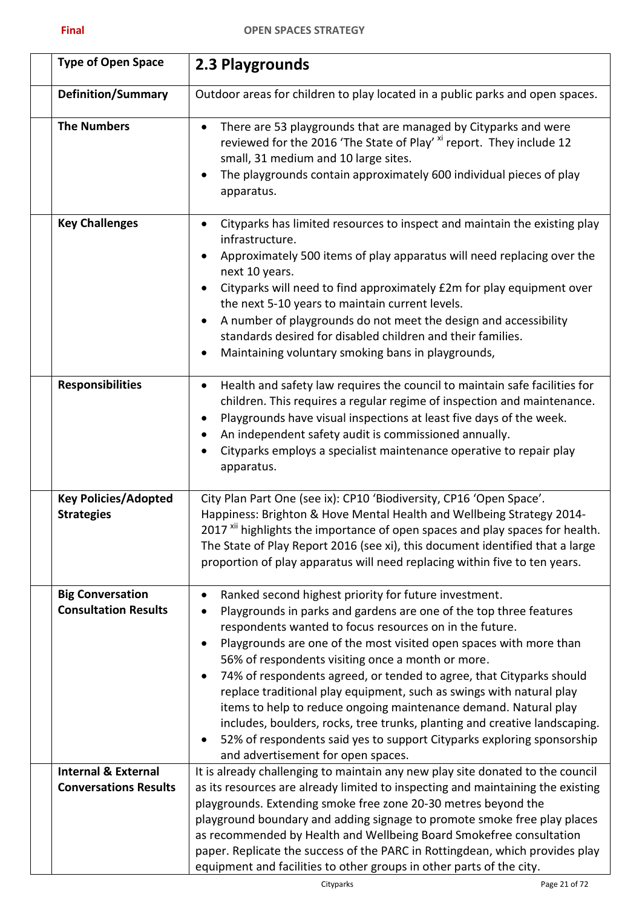<span id="page-20-0"></span>

| <b>Type of Open Space</b>                                      | 2.3 Playgrounds                                                                                                                                                                                                                                                                                                                                                                                                                                                                                                                                                                                                                                                                                                                                                 |
|----------------------------------------------------------------|-----------------------------------------------------------------------------------------------------------------------------------------------------------------------------------------------------------------------------------------------------------------------------------------------------------------------------------------------------------------------------------------------------------------------------------------------------------------------------------------------------------------------------------------------------------------------------------------------------------------------------------------------------------------------------------------------------------------------------------------------------------------|
| <b>Definition/Summary</b>                                      | Outdoor areas for children to play located in a public parks and open spaces.                                                                                                                                                                                                                                                                                                                                                                                                                                                                                                                                                                                                                                                                                   |
| <b>The Numbers</b>                                             | There are 53 playgrounds that are managed by Cityparks and were<br>$\bullet$<br>reviewed for the 2016 'The State of Play' <sup>xi</sup> report. They include 12<br>small, 31 medium and 10 large sites.<br>The playgrounds contain approximately 600 individual pieces of play<br>apparatus.                                                                                                                                                                                                                                                                                                                                                                                                                                                                    |
| <b>Key Challenges</b>                                          | Cityparks has limited resources to inspect and maintain the existing play<br>٠<br>infrastructure.<br>Approximately 500 items of play apparatus will need replacing over the<br>next 10 years.<br>Cityparks will need to find approximately £2m for play equipment over<br>the next 5-10 years to maintain current levels.<br>A number of playgrounds do not meet the design and accessibility<br>standards desired for disabled children and their families.<br>Maintaining voluntary smoking bans in playgrounds,                                                                                                                                                                                                                                              |
| <b>Responsibilities</b>                                        | Health and safety law requires the council to maintain safe facilities for<br>$\bullet$<br>children. This requires a regular regime of inspection and maintenance.<br>Playgrounds have visual inspections at least five days of the week.<br>An independent safety audit is commissioned annually.<br>Cityparks employs a specialist maintenance operative to repair play<br>apparatus.                                                                                                                                                                                                                                                                                                                                                                         |
| <b>Key Policies/Adopted</b><br><b>Strategies</b>               | City Plan Part One (see ix): CP10 'Biodiversity, CP16 'Open Space'.<br>Happiness: Brighton & Hove Mental Health and Wellbeing Strategy 2014-<br>2017 <sup>xii</sup> highlights the importance of open spaces and play spaces for health.<br>The State of Play Report 2016 (see xi), this document identified that a large<br>proportion of play apparatus will need replacing within five to ten years.                                                                                                                                                                                                                                                                                                                                                         |
| <b>Big Conversation</b><br><b>Consultation Results</b>         | Ranked second highest priority for future investment.<br>$\bullet$<br>Playgrounds in parks and gardens are one of the top three features<br>٠<br>respondents wanted to focus resources on in the future.<br>Playgrounds are one of the most visited open spaces with more than<br>٠<br>56% of respondents visiting once a month or more.<br>74% of respondents agreed, or tended to agree, that Cityparks should<br>٠<br>replace traditional play equipment, such as swings with natural play<br>items to help to reduce ongoing maintenance demand. Natural play<br>includes, boulders, rocks, tree trunks, planting and creative landscaping.<br>52% of respondents said yes to support Cityparks exploring sponsorship<br>and advertisement for open spaces. |
| <b>Internal &amp; External</b><br><b>Conversations Results</b> | It is already challenging to maintain any new play site donated to the council<br>as its resources are already limited to inspecting and maintaining the existing<br>playgrounds. Extending smoke free zone 20-30 metres beyond the<br>playground boundary and adding signage to promote smoke free play places<br>as recommended by Health and Wellbeing Board Smokefree consultation<br>paper. Replicate the success of the PARC in Rottingdean, which provides play<br>equipment and facilities to other groups in other parts of the city.                                                                                                                                                                                                                  |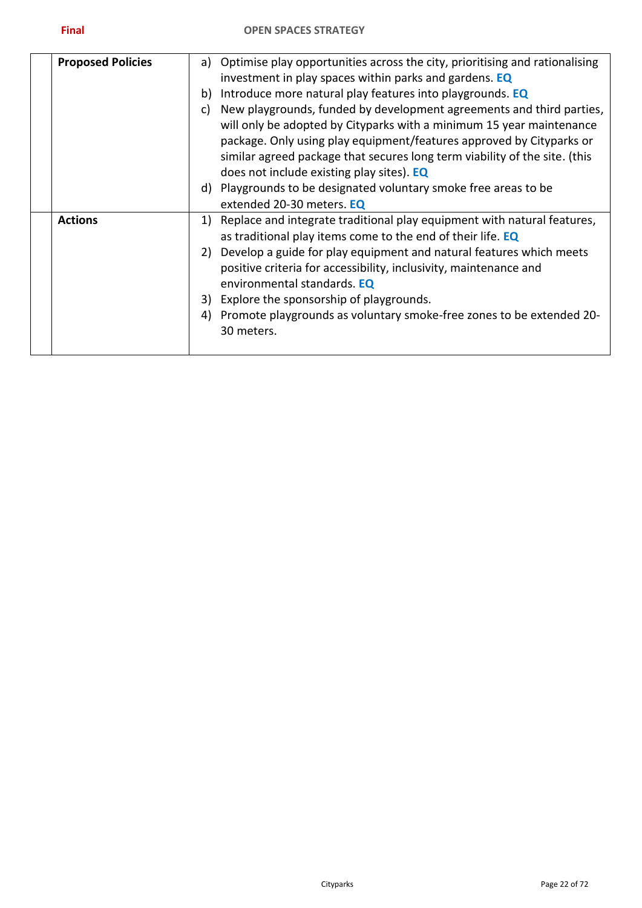| <b>Proposed Policies</b> | a)<br>b)<br>c) | Optimise play opportunities across the city, prioritising and rationalising<br>investment in play spaces within parks and gardens. EQ<br>Introduce more natural play features into playgrounds. EQ<br>New playgrounds, funded by development agreements and third parties,<br>will only be adopted by Cityparks with a minimum 15 year maintenance<br>package. Only using play equipment/features approved by Cityparks or<br>similar agreed package that secures long term viability of the site. (this<br>does not include existing play sites). EQ<br>d) Playgrounds to be designated voluntary smoke free areas to be |
|--------------------------|----------------|---------------------------------------------------------------------------------------------------------------------------------------------------------------------------------------------------------------------------------------------------------------------------------------------------------------------------------------------------------------------------------------------------------------------------------------------------------------------------------------------------------------------------------------------------------------------------------------------------------------------------|
|                          |                | extended 20-30 meters. EQ                                                                                                                                                                                                                                                                                                                                                                                                                                                                                                                                                                                                 |
| <b>Actions</b>           | 1)             | Replace and integrate traditional play equipment with natural features,<br>as traditional play items come to the end of their life. EQ                                                                                                                                                                                                                                                                                                                                                                                                                                                                                    |
|                          | 2)             | Develop a guide for play equipment and natural features which meets<br>positive criteria for accessibility, inclusivity, maintenance and<br>environmental standards. EQ                                                                                                                                                                                                                                                                                                                                                                                                                                                   |
|                          |                | 3) Explore the sponsorship of playgrounds.                                                                                                                                                                                                                                                                                                                                                                                                                                                                                                                                                                                |
|                          | 4)             | Promote playgrounds as voluntary smoke-free zones to be extended 20-<br>30 meters.                                                                                                                                                                                                                                                                                                                                                                                                                                                                                                                                        |
|                          |                |                                                                                                                                                                                                                                                                                                                                                                                                                                                                                                                                                                                                                           |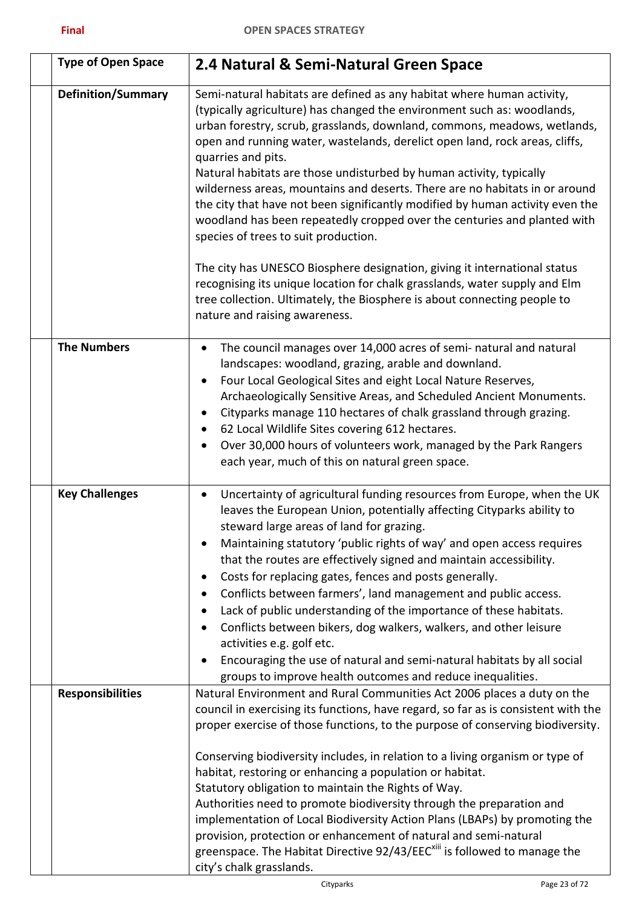<span id="page-22-0"></span>

| <b>Type of Open Space</b> | 2.4 Natural & Semi-Natural Green Space                                                                                                                                                                                                                                                                                                                                                                                                                                                                                                                                                                                                                                                                                                                                                                       |
|---------------------------|--------------------------------------------------------------------------------------------------------------------------------------------------------------------------------------------------------------------------------------------------------------------------------------------------------------------------------------------------------------------------------------------------------------------------------------------------------------------------------------------------------------------------------------------------------------------------------------------------------------------------------------------------------------------------------------------------------------------------------------------------------------------------------------------------------------|
| <b>Definition/Summary</b> | Semi-natural habitats are defined as any habitat where human activity,<br>(typically agriculture) has changed the environment such as: woodlands,<br>urban forestry, scrub, grasslands, downland, commons, meadows, wetlands,<br>open and running water, wastelands, derelict open land, rock areas, cliffs,<br>quarries and pits.<br>Natural habitats are those undisturbed by human activity, typically<br>wilderness areas, mountains and deserts. There are no habitats in or around<br>the city that have not been significantly modified by human activity even the<br>woodland has been repeatedly cropped over the centuries and planted with<br>species of trees to suit production.<br>The city has UNESCO Biosphere designation, giving it international status                                   |
|                           | recognising its unique location for chalk grasslands, water supply and Elm<br>tree collection. Ultimately, the Biosphere is about connecting people to<br>nature and raising awareness.                                                                                                                                                                                                                                                                                                                                                                                                                                                                                                                                                                                                                      |
| <b>The Numbers</b>        | The council manages over 14,000 acres of semi- natural and natural<br>$\bullet$<br>landscapes: woodland, grazing, arable and downland.<br>Four Local Geological Sites and eight Local Nature Reserves,<br>$\bullet$<br>Archaeologically Sensitive Areas, and Scheduled Ancient Monuments.<br>Cityparks manage 110 hectares of chalk grassland through grazing.<br>$\bullet$<br>62 Local Wildlife Sites covering 612 hectares.<br>٠<br>Over 30,000 hours of volunteers work, managed by the Park Rangers<br>$\bullet$<br>each year, much of this on natural green space.                                                                                                                                                                                                                                      |
| <b>Key Challenges</b>     | Uncertainty of agricultural funding resources from Europe, when the UK<br>٠<br>leaves the European Union, potentially affecting Cityparks ability to<br>steward large areas of land for grazing.<br>Maintaining statutory 'public rights of way' and open access requires<br>that the routes are effectively signed and maintain accessibility.<br>Costs for replacing gates, fences and posts generally.<br>$\bullet$<br>Conflicts between farmers', land management and public access.<br>٠<br>Lack of public understanding of the importance of these habitats.<br>Conflicts between bikers, dog walkers, walkers, and other leisure<br>activities e.g. golf etc.<br>Encouraging the use of natural and semi-natural habitats by all social<br>groups to improve health outcomes and reduce inequalities. |
| <b>Responsibilities</b>   | Natural Environment and Rural Communities Act 2006 places a duty on the<br>council in exercising its functions, have regard, so far as is consistent with the<br>proper exercise of those functions, to the purpose of conserving biodiversity.<br>Conserving biodiversity includes, in relation to a living organism or type of<br>habitat, restoring or enhancing a population or habitat.<br>Statutory obligation to maintain the Rights of Way.<br>Authorities need to promote biodiversity through the preparation and<br>implementation of Local Biodiversity Action Plans (LBAPs) by promoting the<br>provision, protection or enhancement of natural and semi-natural<br>greenspace. The Habitat Directive 92/43/EEC <sup>xiii</sup> is followed to manage the<br>city's chalk grasslands.           |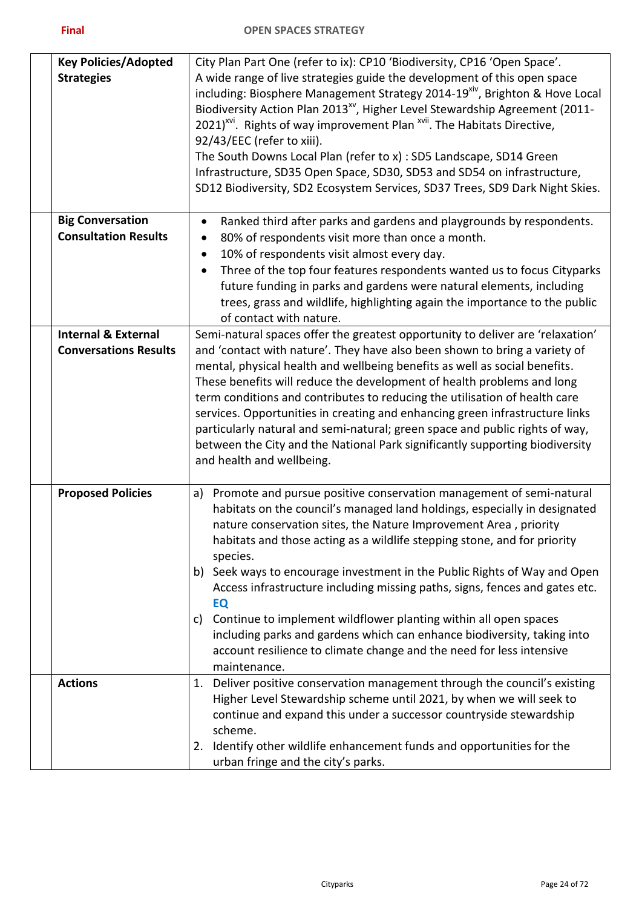| <b>Key Policies/Adopted</b><br><b>Strategies</b>               | City Plan Part One (refer to ix): CP10 'Biodiversity, CP16 'Open Space'.<br>A wide range of live strategies guide the development of this open space<br>including: Biosphere Management Strategy 2014-19 <sup>xiv</sup> , Brighton & Hove Local<br>Biodiversity Action Plan 2013 <sup>xv</sup> , Higher Level Stewardship Agreement (2011-<br>2021) <sup>YVI</sup> . Rights of way improvement Plan <sup>XVII</sup> . The Habitats Directive,<br>92/43/EEC (refer to xiii).<br>The South Downs Local Plan (refer to x) : SD5 Landscape, SD14 Green<br>Infrastructure, SD35 Open Space, SD30, SD53 and SD54 on infrastructure,<br>SD12 Biodiversity, SD2 Ecosystem Services, SD37 Trees, SD9 Dark Night Skies.                  |
|----------------------------------------------------------------|--------------------------------------------------------------------------------------------------------------------------------------------------------------------------------------------------------------------------------------------------------------------------------------------------------------------------------------------------------------------------------------------------------------------------------------------------------------------------------------------------------------------------------------------------------------------------------------------------------------------------------------------------------------------------------------------------------------------------------|
| <b>Big Conversation</b><br><b>Consultation Results</b>         | Ranked third after parks and gardens and playgrounds by respondents.<br>$\bullet$<br>80% of respondents visit more than once a month.<br>$\bullet$<br>10% of respondents visit almost every day.<br>$\bullet$<br>Three of the top four features respondents wanted us to focus Cityparks<br>$\bullet$<br>future funding in parks and gardens were natural elements, including<br>trees, grass and wildlife, highlighting again the importance to the public<br>of contact with nature.                                                                                                                                                                                                                                         |
| <b>Internal &amp; External</b><br><b>Conversations Results</b> | Semi-natural spaces offer the greatest opportunity to deliver are 'relaxation'<br>and 'contact with nature'. They have also been shown to bring a variety of<br>mental, physical health and wellbeing benefits as well as social benefits.<br>These benefits will reduce the development of health problems and long<br>term conditions and contributes to reducing the utilisation of health care<br>services. Opportunities in creating and enhancing green infrastructure links<br>particularly natural and semi-natural; green space and public rights of way,<br>between the City and the National Park significantly supporting biodiversity<br>and health and wellbeing.                                                |
| <b>Proposed Policies</b>                                       | a) Promote and pursue positive conservation management of semi-natural<br>habitats on the council's managed land holdings, especially in designated<br>nature conservation sites, the Nature Improvement Area, priority<br>habitats and those acting as a wildlife stepping stone, and for priority<br>species.<br>b) Seek ways to encourage investment in the Public Rights of Way and Open<br>Access infrastructure including missing paths, signs, fences and gates etc.<br>EQ<br>Continue to implement wildflower planting within all open spaces<br>C)<br>including parks and gardens which can enhance biodiversity, taking into<br>account resilience to climate change and the need for less intensive<br>maintenance. |
| <b>Actions</b>                                                 | Deliver positive conservation management through the council's existing<br>1.<br>Higher Level Stewardship scheme until 2021, by when we will seek to<br>continue and expand this under a successor countryside stewardship<br>scheme.<br>Identify other wildlife enhancement funds and opportunities for the<br>2.<br>urban fringe and the city's parks.                                                                                                                                                                                                                                                                                                                                                                       |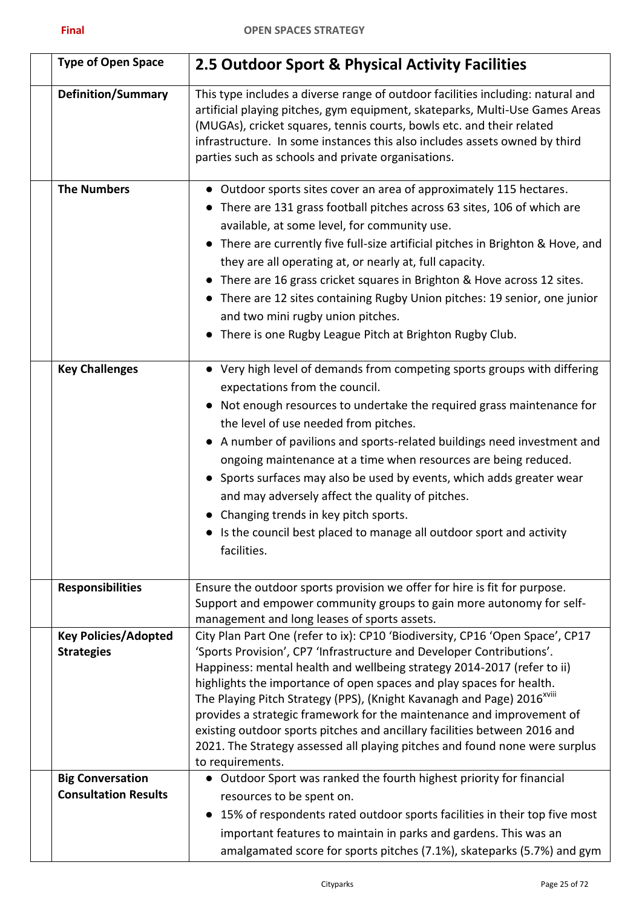| <b>Type of Open Space</b>                              | 2.5 Outdoor Sport & Physical Activity Facilities                                                                                                                                                                                                                                                                                                                                                                                                                                                                                                                                                                                                         |
|--------------------------------------------------------|----------------------------------------------------------------------------------------------------------------------------------------------------------------------------------------------------------------------------------------------------------------------------------------------------------------------------------------------------------------------------------------------------------------------------------------------------------------------------------------------------------------------------------------------------------------------------------------------------------------------------------------------------------|
| <b>Definition/Summary</b>                              | This type includes a diverse range of outdoor facilities including: natural and<br>artificial playing pitches, gym equipment, skateparks, Multi-Use Games Areas<br>(MUGAs), cricket squares, tennis courts, bowls etc. and their related<br>infrastructure. In some instances this also includes assets owned by third<br>parties such as schools and private organisations.                                                                                                                                                                                                                                                                             |
| <b>The Numbers</b>                                     | • Outdoor sports sites cover an area of approximately 115 hectares.<br>• There are 131 grass football pitches across 63 sites, 106 of which are<br>available, at some level, for community use.<br>• There are currently five full-size artificial pitches in Brighton & Hove, and<br>they are all operating at, or nearly at, full capacity.<br>• There are 16 grass cricket squares in Brighton & Hove across 12 sites.<br>• There are 12 sites containing Rugby Union pitches: 19 senior, one junior<br>and two mini rugby union pitches.<br>• There is one Rugby League Pitch at Brighton Rugby Club.                                                |
| <b>Key Challenges</b>                                  | • Very high level of demands from competing sports groups with differing<br>expectations from the council.<br>• Not enough resources to undertake the required grass maintenance for<br>the level of use needed from pitches.<br>• A number of pavilions and sports-related buildings need investment and<br>ongoing maintenance at a time when resources are being reduced.<br>• Sports surfaces may also be used by events, which adds greater wear<br>and may adversely affect the quality of pitches.<br>• Changing trends in key pitch sports.<br>• Is the council best placed to manage all outdoor sport and activity<br>facilities.              |
| <b>Responsibilities</b>                                | Ensure the outdoor sports provision we offer for hire is fit for purpose.<br>Support and empower community groups to gain more autonomy for self-<br>management and long leases of sports assets.                                                                                                                                                                                                                                                                                                                                                                                                                                                        |
| <b>Key Policies/Adopted</b><br><b>Strategies</b>       | City Plan Part One (refer to ix): CP10 'Biodiversity, CP16 'Open Space', CP17<br>'Sports Provision', CP7 'Infrastructure and Developer Contributions'.<br>Happiness: mental health and wellbeing strategy 2014-2017 (refer to ii)<br>highlights the importance of open spaces and play spaces for health.<br>The Playing Pitch Strategy (PPS), (Knight Kavanagh and Page) 2016 <sup>xviii</sup><br>provides a strategic framework for the maintenance and improvement of<br>existing outdoor sports pitches and ancillary facilities between 2016 and<br>2021. The Strategy assessed all playing pitches and found none were surplus<br>to requirements. |
| <b>Big Conversation</b><br><b>Consultation Results</b> | • Outdoor Sport was ranked the fourth highest priority for financial<br>resources to be spent on.<br>15% of respondents rated outdoor sports facilities in their top five most<br>important features to maintain in parks and gardens. This was an<br>amalgamated score for sports pitches (7.1%), skateparks (5.7%) and gym                                                                                                                                                                                                                                                                                                                             |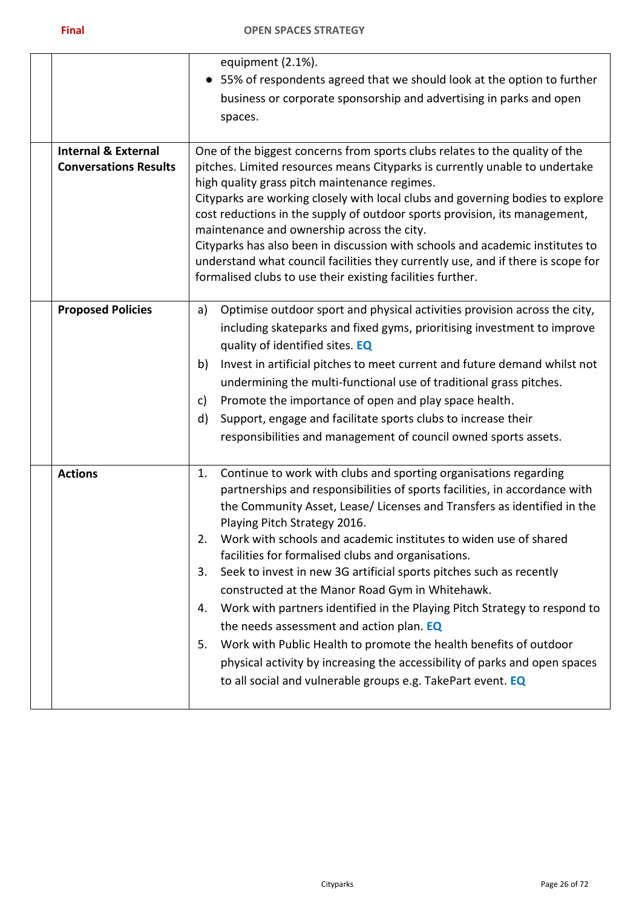| <b>Internal &amp; External</b><br><b>Conversations Results</b> | equipment (2.1%).<br>• 55% of respondents agreed that we should look at the option to further<br>business or corporate sponsorship and advertising in parks and open<br>spaces.<br>One of the biggest concerns from sports clubs relates to the quality of the<br>pitches. Limited resources means Cityparks is currently unable to undertake<br>high quality grass pitch maintenance regimes.<br>Cityparks are working closely with local clubs and governing bodies to explore<br>cost reductions in the supply of outdoor sports provision, its management,                                                                                                                                                                                                                                                                                                                         |
|----------------------------------------------------------------|----------------------------------------------------------------------------------------------------------------------------------------------------------------------------------------------------------------------------------------------------------------------------------------------------------------------------------------------------------------------------------------------------------------------------------------------------------------------------------------------------------------------------------------------------------------------------------------------------------------------------------------------------------------------------------------------------------------------------------------------------------------------------------------------------------------------------------------------------------------------------------------|
|                                                                | maintenance and ownership across the city.<br>Cityparks has also been in discussion with schools and academic institutes to<br>understand what council facilities they currently use, and if there is scope for<br>formalised clubs to use their existing facilities further.                                                                                                                                                                                                                                                                                                                                                                                                                                                                                                                                                                                                          |
| <b>Proposed Policies</b>                                       | Optimise outdoor sport and physical activities provision across the city,<br>a)<br>including skateparks and fixed gyms, prioritising investment to improve<br>quality of identified sites. EQ<br>Invest in artificial pitches to meet current and future demand whilst not<br>b)<br>undermining the multi-functional use of traditional grass pitches.<br>Promote the importance of open and play space health.<br>c)<br>d)<br>Support, engage and facilitate sports clubs to increase their<br>responsibilities and management of council owned sports assets.                                                                                                                                                                                                                                                                                                                        |
| <b>Actions</b>                                                 | Continue to work with clubs and sporting organisations regarding<br>1.<br>partnerships and responsibilities of sports facilities, in accordance with<br>the Community Asset, Lease/ Licenses and Transfers as identified in the<br>Playing Pitch Strategy 2016.<br>Work with schools and academic institutes to widen use of shared<br>2.<br>facilities for formalised clubs and organisations.<br>Seek to invest in new 3G artificial sports pitches such as recently<br>3.<br>constructed at the Manor Road Gym in Whitehawk.<br>Work with partners identified in the Playing Pitch Strategy to respond to<br>4.<br>the needs assessment and action plan. EQ<br>Work with Public Health to promote the health benefits of outdoor<br>5.<br>physical activity by increasing the accessibility of parks and open spaces<br>to all social and vulnerable groups e.g. TakePart event. EQ |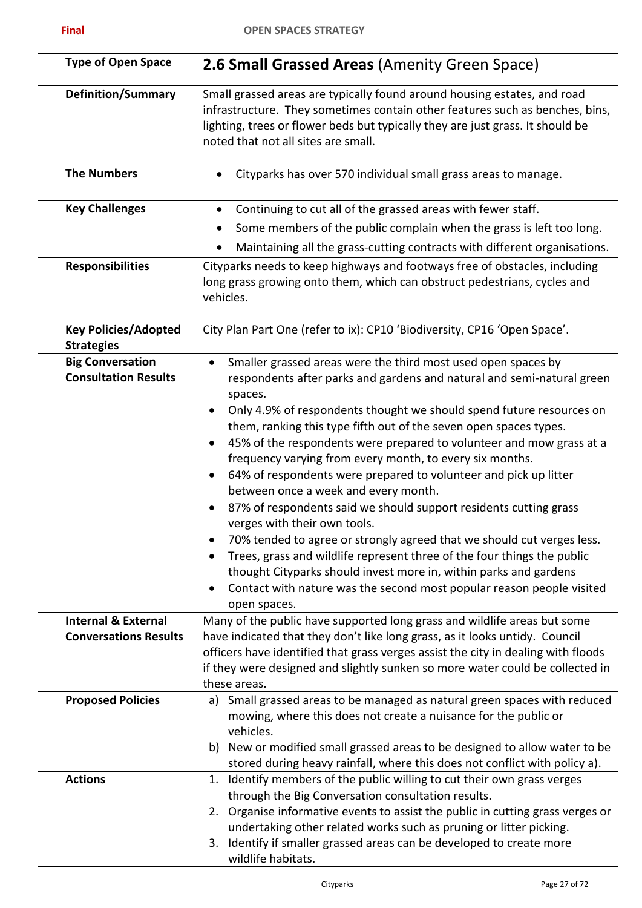| <b>Type of Open Space</b>                                                                                                | <b>2.6 Small Grassed Areas (Amenity Green Space)</b>                                                                                                                                                                                                                                                                                                                                                                                                                                                                                                                                                                                                                                                                                                                                                                                                                                                                                                                                                                                                                                                                                                                                                             |
|--------------------------------------------------------------------------------------------------------------------------|------------------------------------------------------------------------------------------------------------------------------------------------------------------------------------------------------------------------------------------------------------------------------------------------------------------------------------------------------------------------------------------------------------------------------------------------------------------------------------------------------------------------------------------------------------------------------------------------------------------------------------------------------------------------------------------------------------------------------------------------------------------------------------------------------------------------------------------------------------------------------------------------------------------------------------------------------------------------------------------------------------------------------------------------------------------------------------------------------------------------------------------------------------------------------------------------------------------|
| <b>Definition/Summary</b>                                                                                                | Small grassed areas are typically found around housing estates, and road<br>infrastructure. They sometimes contain other features such as benches, bins,<br>lighting, trees or flower beds but typically they are just grass. It should be<br>noted that not all sites are small.                                                                                                                                                                                                                                                                                                                                                                                                                                                                                                                                                                                                                                                                                                                                                                                                                                                                                                                                |
| <b>The Numbers</b>                                                                                                       | Cityparks has over 570 individual small grass areas to manage.<br>$\bullet$                                                                                                                                                                                                                                                                                                                                                                                                                                                                                                                                                                                                                                                                                                                                                                                                                                                                                                                                                                                                                                                                                                                                      |
| <b>Key Challenges</b>                                                                                                    | Continuing to cut all of the grassed areas with fewer staff.<br>$\bullet$                                                                                                                                                                                                                                                                                                                                                                                                                                                                                                                                                                                                                                                                                                                                                                                                                                                                                                                                                                                                                                                                                                                                        |
|                                                                                                                          | Some members of the public complain when the grass is left too long.<br>$\bullet$                                                                                                                                                                                                                                                                                                                                                                                                                                                                                                                                                                                                                                                                                                                                                                                                                                                                                                                                                                                                                                                                                                                                |
|                                                                                                                          | Maintaining all the grass-cutting contracts with different organisations.                                                                                                                                                                                                                                                                                                                                                                                                                                                                                                                                                                                                                                                                                                                                                                                                                                                                                                                                                                                                                                                                                                                                        |
| <b>Responsibilities</b>                                                                                                  | Cityparks needs to keep highways and footways free of obstacles, including<br>long grass growing onto them, which can obstruct pedestrians, cycles and<br>vehicles.                                                                                                                                                                                                                                                                                                                                                                                                                                                                                                                                                                                                                                                                                                                                                                                                                                                                                                                                                                                                                                              |
| <b>Key Policies/Adopted</b><br><b>Strategies</b>                                                                         | City Plan Part One (refer to ix): CP10 'Biodiversity, CP16 'Open Space'.                                                                                                                                                                                                                                                                                                                                                                                                                                                                                                                                                                                                                                                                                                                                                                                                                                                                                                                                                                                                                                                                                                                                         |
| <b>Big Conversation</b><br><b>Consultation Results</b><br><b>Internal &amp; External</b><br><b>Conversations Results</b> | Smaller grassed areas were the third most used open spaces by<br>$\bullet$<br>respondents after parks and gardens and natural and semi-natural green<br>spaces.<br>Only 4.9% of respondents thought we should spend future resources on<br>$\bullet$<br>them, ranking this type fifth out of the seven open spaces types.<br>45% of the respondents were prepared to volunteer and mow grass at a<br>$\bullet$<br>frequency varying from every month, to every six months.<br>64% of respondents were prepared to volunteer and pick up litter<br>$\bullet$<br>between once a week and every month.<br>87% of respondents said we should support residents cutting grass<br>$\bullet$<br>verges with their own tools.<br>70% tended to agree or strongly agreed that we should cut verges less.<br>Trees, grass and wildlife represent three of the four things the public<br>thought Cityparks should invest more in, within parks and gardens<br>Contact with nature was the second most popular reason people visited<br>$\bullet$<br>open spaces.<br>Many of the public have supported long grass and wildlife areas but some<br>have indicated that they don't like long grass, as it looks untidy. Council |
|                                                                                                                          | officers have identified that grass verges assist the city in dealing with floods<br>if they were designed and slightly sunken so more water could be collected in<br>these areas.                                                                                                                                                                                                                                                                                                                                                                                                                                                                                                                                                                                                                                                                                                                                                                                                                                                                                                                                                                                                                               |
| <b>Proposed Policies</b>                                                                                                 | Small grassed areas to be managed as natural green spaces with reduced<br>a)<br>mowing, where this does not create a nuisance for the public or<br>vehicles.<br>New or modified small grassed areas to be designed to allow water to be<br>b)<br>stored during heavy rainfall, where this does not conflict with policy a).                                                                                                                                                                                                                                                                                                                                                                                                                                                                                                                                                                                                                                                                                                                                                                                                                                                                                      |
| <b>Actions</b>                                                                                                           | Identify members of the public willing to cut their own grass verges<br>1.<br>through the Big Conversation consultation results.<br>2. Organise informative events to assist the public in cutting grass verges or<br>undertaking other related works such as pruning or litter picking.<br>Identify if smaller grassed areas can be developed to create more<br>3.<br>wildlife habitats.                                                                                                                                                                                                                                                                                                                                                                                                                                                                                                                                                                                                                                                                                                                                                                                                                        |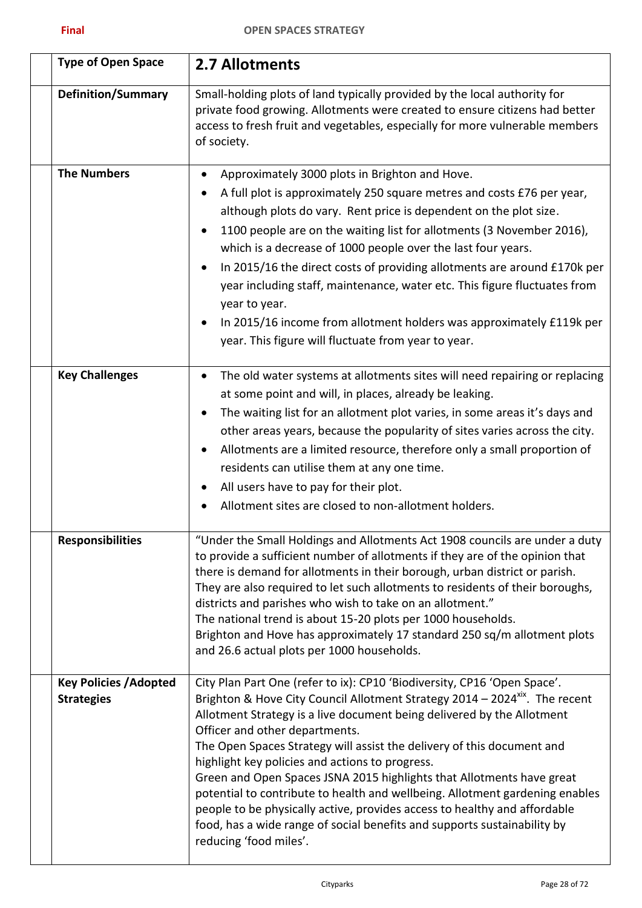| <b>Type of Open Space</b>                          | 2.7 Allotments                                                                                                                                                                                                                                                                                                                                                                                                                                                                                                                                                                                                                                                                                                                                           |
|----------------------------------------------------|----------------------------------------------------------------------------------------------------------------------------------------------------------------------------------------------------------------------------------------------------------------------------------------------------------------------------------------------------------------------------------------------------------------------------------------------------------------------------------------------------------------------------------------------------------------------------------------------------------------------------------------------------------------------------------------------------------------------------------------------------------|
| <b>Definition/Summary</b>                          | Small-holding plots of land typically provided by the local authority for<br>private food growing. Allotments were created to ensure citizens had better<br>access to fresh fruit and vegetables, especially for more vulnerable members<br>of society.                                                                                                                                                                                                                                                                                                                                                                                                                                                                                                  |
| <b>The Numbers</b>                                 | Approximately 3000 plots in Brighton and Hove.<br>٠<br>A full plot is approximately 250 square metres and costs £76 per year,<br>although plots do vary. Rent price is dependent on the plot size.<br>1100 people are on the waiting list for allotments (3 November 2016),<br>which is a decrease of 1000 people over the last four years.<br>In 2015/16 the direct costs of providing allotments are around £170k per<br>$\bullet$<br>year including staff, maintenance, water etc. This figure fluctuates from<br>year to year.<br>In 2015/16 income from allotment holders was approximately £119k per<br>year. This figure will fluctuate from year to year.                                                                                        |
| <b>Key Challenges</b>                              | The old water systems at allotments sites will need repairing or replacing<br>$\bullet$<br>at some point and will, in places, already be leaking.<br>The waiting list for an allotment plot varies, in some areas it's days and<br>other areas years, because the popularity of sites varies across the city.<br>Allotments are a limited resource, therefore only a small proportion of<br>residents can utilise them at any one time.<br>All users have to pay for their plot.<br>$\bullet$<br>Allotment sites are closed to non-allotment holders.<br>$\bullet$                                                                                                                                                                                       |
| <b>Responsibilities</b>                            | "Under the Small Holdings and Allotments Act 1908 councils are under a duty<br>to provide a sufficient number of allotments if they are of the opinion that<br>there is demand for allotments in their borough, urban district or parish.<br>They are also required to let such allotments to residents of their boroughs,<br>districts and parishes who wish to take on an allotment."<br>The national trend is about 15-20 plots per 1000 households.<br>Brighton and Hove has approximately 17 standard 250 sq/m allotment plots<br>and 26.6 actual plots per 1000 households.                                                                                                                                                                        |
| <b>Key Policies / Adopted</b><br><b>Strategies</b> | City Plan Part One (refer to ix): CP10 'Biodiversity, CP16 'Open Space'.<br>Brighton & Hove City Council Allotment Strategy 2014 - 2024 <sup>xix</sup> . The recent<br>Allotment Strategy is a live document being delivered by the Allotment<br>Officer and other departments.<br>The Open Spaces Strategy will assist the delivery of this document and<br>highlight key policies and actions to progress.<br>Green and Open Spaces JSNA 2015 highlights that Allotments have great<br>potential to contribute to health and wellbeing. Allotment gardening enables<br>people to be physically active, provides access to healthy and affordable<br>food, has a wide range of social benefits and supports sustainability by<br>reducing 'food miles'. |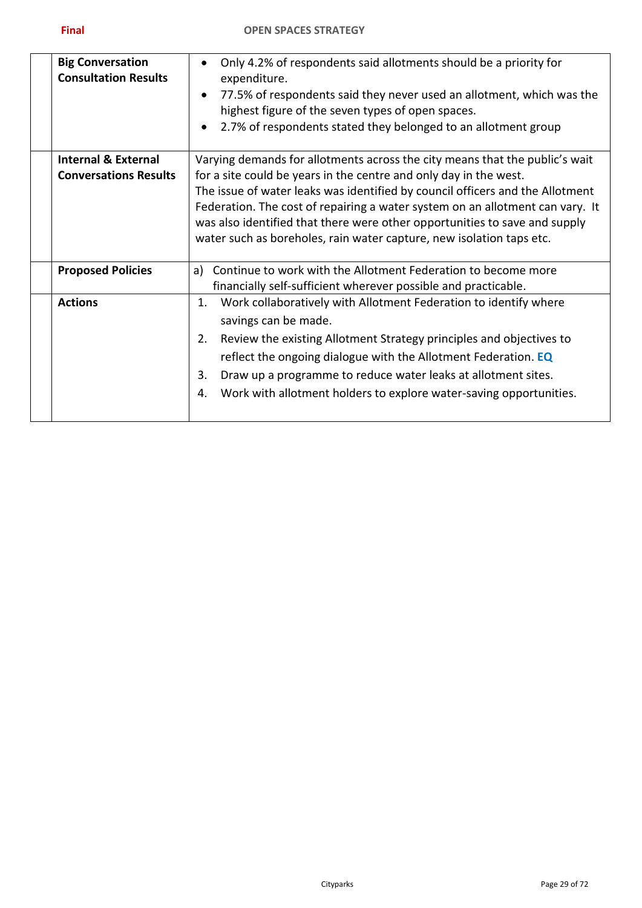| <b>Big Conversation</b><br><b>Consultation Results</b> | Only 4.2% of respondents said allotments should be a priority for<br>expenditure.<br>77.5% of respondents said they never used an allotment, which was the<br>$\bullet$<br>highest figure of the seven types of open spaces.<br>2.7% of respondents stated they belonged to an allotment group |
|--------------------------------------------------------|------------------------------------------------------------------------------------------------------------------------------------------------------------------------------------------------------------------------------------------------------------------------------------------------|
| <b>Internal &amp; External</b>                         | Varying demands for allotments across the city means that the public's wait                                                                                                                                                                                                                    |
| <b>Conversations Results</b>                           | for a site could be years in the centre and only day in the west.                                                                                                                                                                                                                              |
|                                                        | The issue of water leaks was identified by council officers and the Allotment                                                                                                                                                                                                                  |
|                                                        | Federation. The cost of repairing a water system on an allotment can vary. It                                                                                                                                                                                                                  |
|                                                        | was also identified that there were other opportunities to save and supply                                                                                                                                                                                                                     |
|                                                        | water such as boreholes, rain water capture, new isolation taps etc.                                                                                                                                                                                                                           |
|                                                        |                                                                                                                                                                                                                                                                                                |
| <b>Proposed Policies</b>                               | Continue to work with the Allotment Federation to become more<br>a)                                                                                                                                                                                                                            |
|                                                        | financially self-sufficient wherever possible and practicable.                                                                                                                                                                                                                                 |
| <b>Actions</b>                                         | Work collaboratively with Allotment Federation to identify where<br>1.                                                                                                                                                                                                                         |
|                                                        | savings can be made.                                                                                                                                                                                                                                                                           |
|                                                        | Review the existing Allotment Strategy principles and objectives to<br>2.                                                                                                                                                                                                                      |
|                                                        | reflect the ongoing dialogue with the Allotment Federation. EQ                                                                                                                                                                                                                                 |
|                                                        | Draw up a programme to reduce water leaks at allotment sites.<br>3.                                                                                                                                                                                                                            |
|                                                        | Work with allotment holders to explore water-saving opportunities.<br>4.                                                                                                                                                                                                                       |
|                                                        |                                                                                                                                                                                                                                                                                                |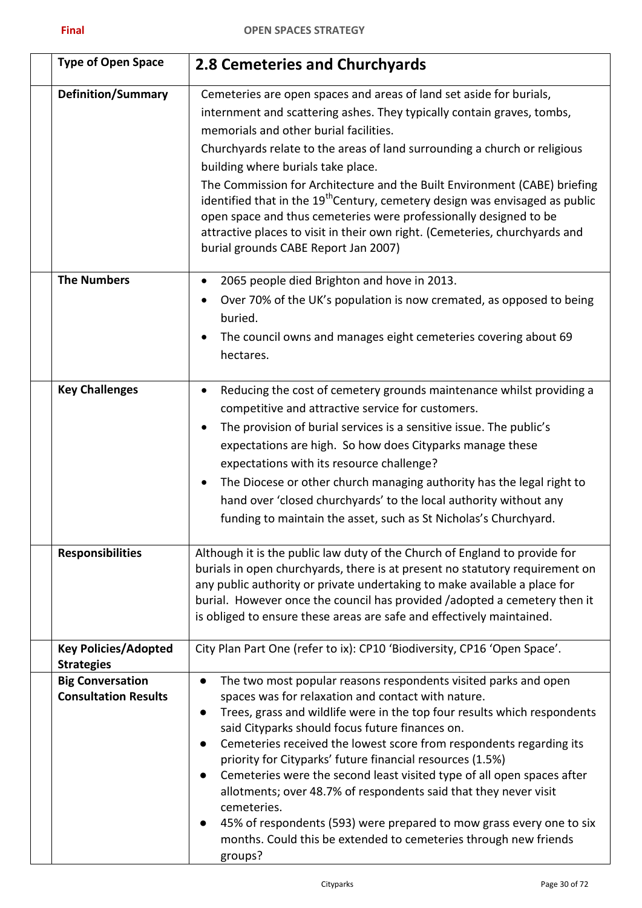| <b>Type of Open Space</b>                              | 2.8 Cemeteries and Churchyards                                                                                                                                                                                                                                                                                                                                                                                                                                                                                                                                                                                                                                                                                            |
|--------------------------------------------------------|---------------------------------------------------------------------------------------------------------------------------------------------------------------------------------------------------------------------------------------------------------------------------------------------------------------------------------------------------------------------------------------------------------------------------------------------------------------------------------------------------------------------------------------------------------------------------------------------------------------------------------------------------------------------------------------------------------------------------|
| <b>Definition/Summary</b>                              | Cemeteries are open spaces and areas of land set aside for burials,<br>internment and scattering ashes. They typically contain graves, tombs,<br>memorials and other burial facilities.<br>Churchyards relate to the areas of land surrounding a church or religious<br>building where burials take place.<br>The Commission for Architecture and the Built Environment (CABE) briefing<br>identified that in the 19 <sup>th</sup> Century, cemetery design was envisaged as public<br>open space and thus cemeteries were professionally designed to be<br>attractive places to visit in their own right. (Cemeteries, churchyards and<br>burial grounds CABE Report Jan 2007)                                           |
| <b>The Numbers</b>                                     | 2065 people died Brighton and hove in 2013.<br>$\bullet$<br>Over 70% of the UK's population is now cremated, as opposed to being<br>٠<br>buried.<br>The council owns and manages eight cemeteries covering about 69<br>$\bullet$<br>hectares.                                                                                                                                                                                                                                                                                                                                                                                                                                                                             |
| <b>Key Challenges</b>                                  | Reducing the cost of cemetery grounds maintenance whilst providing a<br>$\bullet$<br>competitive and attractive service for customers.<br>The provision of burial services is a sensitive issue. The public's<br>$\bullet$<br>expectations are high. So how does Cityparks manage these<br>expectations with its resource challenge?<br>The Diocese or other church managing authority has the legal right to<br>$\bullet$<br>hand over 'closed churchyards' to the local authority without any<br>funding to maintain the asset, such as St Nicholas's Churchyard.                                                                                                                                                       |
| <b>Responsibilities</b>                                | Although it is the public law duty of the Church of England to provide for<br>burials in open churchyards, there is at present no statutory requirement on<br>any public authority or private undertaking to make available a place for<br>burial. However once the council has provided /adopted a cemetery then it<br>is obliged to ensure these areas are safe and effectively maintained.                                                                                                                                                                                                                                                                                                                             |
| <b>Key Policies/Adopted</b><br><b>Strategies</b>       | City Plan Part One (refer to ix): CP10 'Biodiversity, CP16 'Open Space'.                                                                                                                                                                                                                                                                                                                                                                                                                                                                                                                                                                                                                                                  |
| <b>Big Conversation</b><br><b>Consultation Results</b> | The two most popular reasons respondents visited parks and open<br>spaces was for relaxation and contact with nature.<br>Trees, grass and wildlife were in the top four results which respondents<br>$\bullet$<br>said Cityparks should focus future finances on.<br>Cemeteries received the lowest score from respondents regarding its<br>priority for Cityparks' future financial resources (1.5%)<br>Cemeteries were the second least visited type of all open spaces after<br>allotments; over 48.7% of respondents said that they never visit<br>cemeteries.<br>45% of respondents (593) were prepared to mow grass every one to six<br>months. Could this be extended to cemeteries through new friends<br>groups? |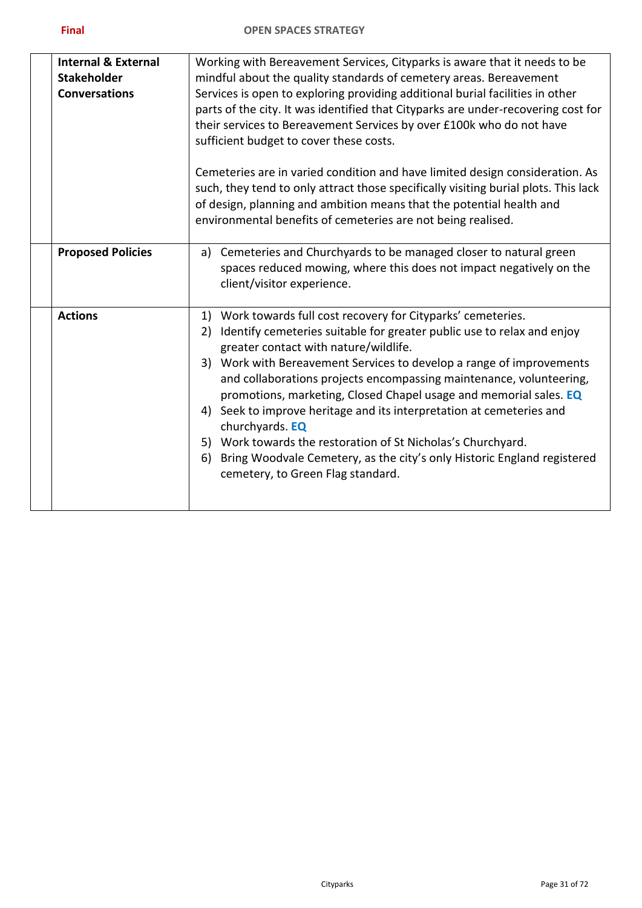| <b>Internal &amp; External</b><br><b>Stakeholder</b><br><b>Conversations</b> | Working with Bereavement Services, Cityparks is aware that it needs to be<br>mindful about the quality standards of cemetery areas. Bereavement<br>Services is open to exploring providing additional burial facilities in other<br>parts of the city. It was identified that Cityparks are under-recovering cost for<br>their services to Bereavement Services by over £100k who do not have<br>sufficient budget to cover these costs.                                                                                                                                                                                                                                                    |
|------------------------------------------------------------------------------|---------------------------------------------------------------------------------------------------------------------------------------------------------------------------------------------------------------------------------------------------------------------------------------------------------------------------------------------------------------------------------------------------------------------------------------------------------------------------------------------------------------------------------------------------------------------------------------------------------------------------------------------------------------------------------------------|
|                                                                              | Cemeteries are in varied condition and have limited design consideration. As<br>such, they tend to only attract those specifically visiting burial plots. This lack<br>of design, planning and ambition means that the potential health and<br>environmental benefits of cemeteries are not being realised.                                                                                                                                                                                                                                                                                                                                                                                 |
| <b>Proposed Policies</b>                                                     | Cemeteries and Churchyards to be managed closer to natural green<br>a)<br>spaces reduced mowing, where this does not impact negatively on the<br>client/visitor experience.                                                                                                                                                                                                                                                                                                                                                                                                                                                                                                                 |
| <b>Actions</b>                                                               | 1) Work towards full cost recovery for Cityparks' cemeteries.<br>Identify cemeteries suitable for greater public use to relax and enjoy<br>2)<br>greater contact with nature/wildlife.<br>3) Work with Bereavement Services to develop a range of improvements<br>and collaborations projects encompassing maintenance, volunteering,<br>promotions, marketing, Closed Chapel usage and memorial sales. EQ<br>4) Seek to improve heritage and its interpretation at cemeteries and<br>churchyards. EQ<br>5) Work towards the restoration of St Nicholas's Churchyard.<br>Bring Woodvale Cemetery, as the city's only Historic England registered<br>6)<br>cemetery, to Green Flag standard. |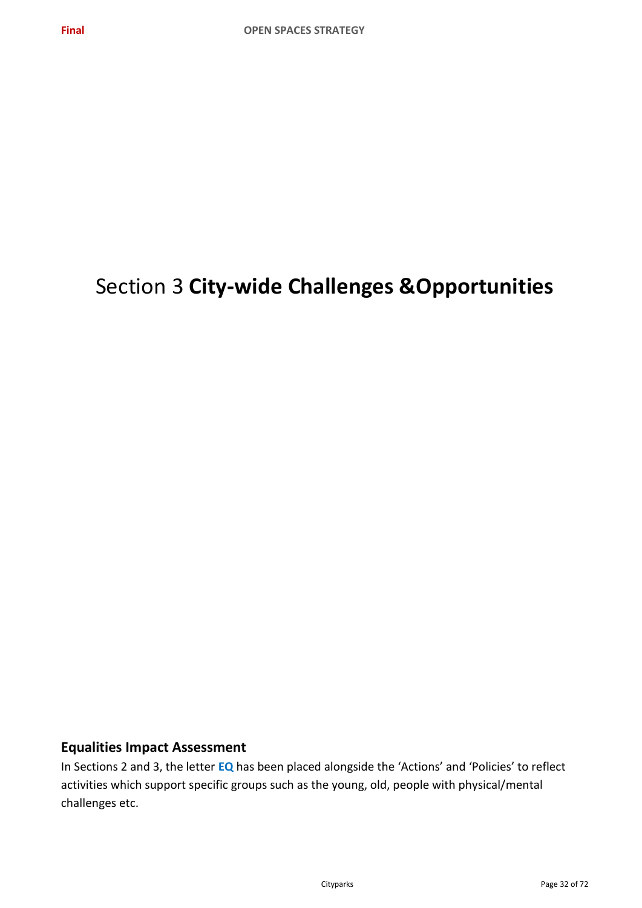# Section 3 **City-wide Challenges &Opportunities**

# **Equalities Impact Assessment**

In Sections 2 and 3, the letter **EQ** has been placed alongside the 'Actions' and 'Policies' to reflect activities which support specific groups such as the young, old, people with physical/mental challenges etc.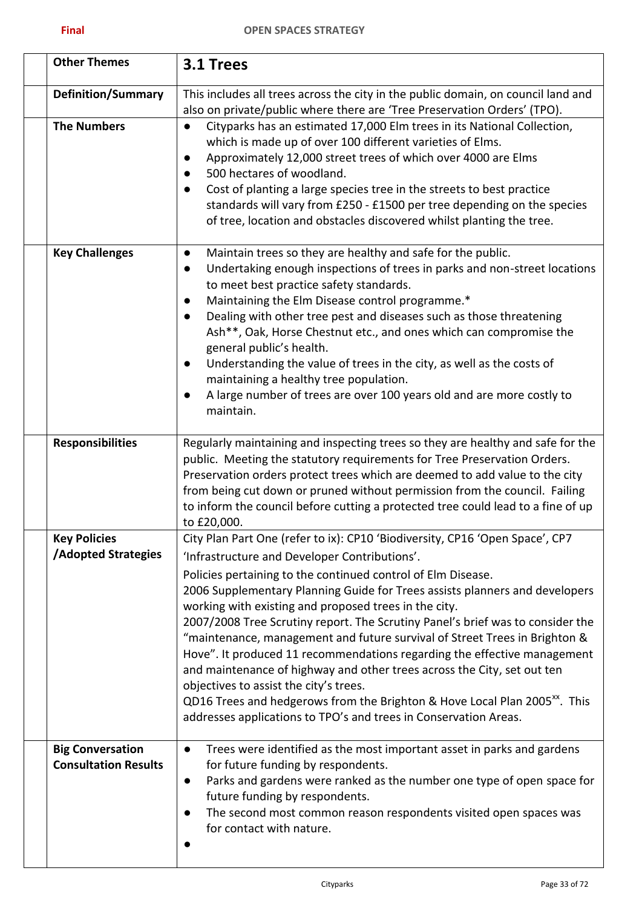| <b>Other Themes</b>                                    | 3.1 Trees                                                                                                                                                                                                                                                                                                                                                                                                                                                                                                                                                                                                                                                                                                                                                                                                                                                            |
|--------------------------------------------------------|----------------------------------------------------------------------------------------------------------------------------------------------------------------------------------------------------------------------------------------------------------------------------------------------------------------------------------------------------------------------------------------------------------------------------------------------------------------------------------------------------------------------------------------------------------------------------------------------------------------------------------------------------------------------------------------------------------------------------------------------------------------------------------------------------------------------------------------------------------------------|
| <b>Definition/Summary</b>                              | This includes all trees across the city in the public domain, on council land and<br>also on private/public where there are 'Tree Preservation Orders' (TPO).                                                                                                                                                                                                                                                                                                                                                                                                                                                                                                                                                                                                                                                                                                        |
| <b>The Numbers</b>                                     | Cityparks has an estimated 17,000 Elm trees in its National Collection,<br>$\bullet$<br>which is made up of over 100 different varieties of Elms.<br>Approximately 12,000 street trees of which over 4000 are Elms<br>$\bullet$<br>500 hectares of woodland.<br>Cost of planting a large species tree in the streets to best practice<br>standards will vary from £250 - £1500 per tree depending on the species<br>of tree, location and obstacles discovered whilst planting the tree.                                                                                                                                                                                                                                                                                                                                                                             |
| <b>Key Challenges</b>                                  | Maintain trees so they are healthy and safe for the public.<br>$\bullet$<br>Undertaking enough inspections of trees in parks and non-street locations<br>$\bullet$<br>to meet best practice safety standards.<br>Maintaining the Elm Disease control programme.*<br>$\bullet$<br>Dealing with other tree pest and diseases such as those threatening<br>$\bullet$<br>Ash**, Oak, Horse Chestnut etc., and ones which can compromise the<br>general public's health.<br>Understanding the value of trees in the city, as well as the costs of<br>$\bullet$<br>maintaining a healthy tree population.<br>A large number of trees are over 100 years old and are more costly to<br>$\bullet$<br>maintain.                                                                                                                                                               |
| <b>Responsibilities</b>                                | Regularly maintaining and inspecting trees so they are healthy and safe for the<br>public. Meeting the statutory requirements for Tree Preservation Orders.<br>Preservation orders protect trees which are deemed to add value to the city<br>from being cut down or pruned without permission from the council. Failing<br>to inform the council before cutting a protected tree could lead to a fine of up<br>to £20,000.                                                                                                                                                                                                                                                                                                                                                                                                                                          |
| <b>Key Policies</b><br><b>/Adopted Strategies</b>      | City Plan Part One (refer to ix): CP10 'Biodiversity, CP16 'Open Space', CP7<br>'Infrastructure and Developer Contributions'.<br>Policies pertaining to the continued control of Elm Disease.<br>2006 Supplementary Planning Guide for Trees assists planners and developers<br>working with existing and proposed trees in the city.<br>2007/2008 Tree Scrutiny report. The Scrutiny Panel's brief was to consider the<br>"maintenance, management and future survival of Street Trees in Brighton &<br>Hove". It produced 11 recommendations regarding the effective management<br>and maintenance of highway and other trees across the City, set out ten<br>objectives to assist the city's trees.<br>QD16 Trees and hedgerows from the Brighton & Hove Local Plan 2005 <sup>xx</sup> . This<br>addresses applications to TPO's and trees in Conservation Areas. |
| <b>Big Conversation</b><br><b>Consultation Results</b> | Trees were identified as the most important asset in parks and gardens<br>$\bullet$<br>for future funding by respondents.<br>Parks and gardens were ranked as the number one type of open space for<br>$\bullet$<br>future funding by respondents.<br>The second most common reason respondents visited open spaces was<br>for contact with nature.                                                                                                                                                                                                                                                                                                                                                                                                                                                                                                                  |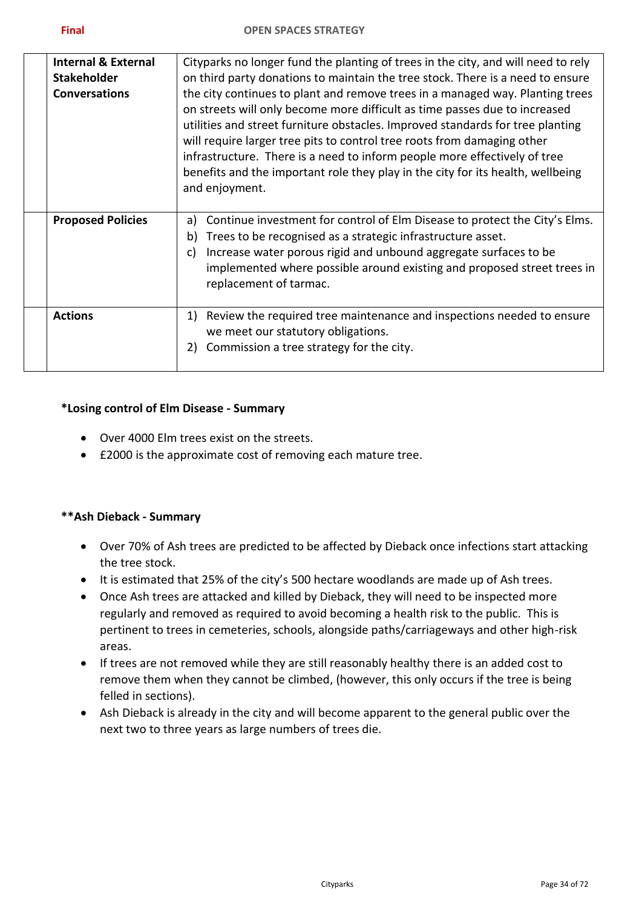| <b>Internal &amp; External</b><br><b>Stakeholder</b><br><b>Conversations</b> | Cityparks no longer fund the planting of trees in the city, and will need to rely<br>on third party donations to maintain the tree stock. There is a need to ensure<br>the city continues to plant and remove trees in a managed way. Planting trees<br>on streets will only become more difficult as time passes due to increased<br>utilities and street furniture obstacles. Improved standards for tree planting<br>will require larger tree pits to control tree roots from damaging other<br>infrastructure. There is a need to inform people more effectively of tree<br>benefits and the important role they play in the city for its health, wellbeing<br>and enjoyment. |
|------------------------------------------------------------------------------|-----------------------------------------------------------------------------------------------------------------------------------------------------------------------------------------------------------------------------------------------------------------------------------------------------------------------------------------------------------------------------------------------------------------------------------------------------------------------------------------------------------------------------------------------------------------------------------------------------------------------------------------------------------------------------------|
| <b>Proposed Policies</b>                                                     | Continue investment for control of Elm Disease to protect the City's Elms.<br>a)<br>Trees to be recognised as a strategic infrastructure asset.<br>b)<br>Increase water porous rigid and unbound aggregate surfaces to be<br>C)<br>implemented where possible around existing and proposed street trees in<br>replacement of tarmac.                                                                                                                                                                                                                                                                                                                                              |
| <b>Actions</b>                                                               | Review the required tree maintenance and inspections needed to ensure<br>1)<br>we meet our statutory obligations.<br>Commission a tree strategy for the city.<br>2)                                                                                                                                                                                                                                                                                                                                                                                                                                                                                                               |

#### **\*Losing control of Elm Disease - Summary**

- Over 4000 Elm trees exist on the streets.
- £2000 is the approximate cost of removing each mature tree.

#### **\*\*Ash Dieback - Summary**

- Over 70% of Ash trees are predicted to be affected by Dieback once infections start attacking the tree stock.
- It is estimated that 25% of the city's 500 hectare woodlands are made up of Ash trees.
- Once Ash trees are attacked and killed by Dieback, they will need to be inspected more regularly and removed as required to avoid becoming a health risk to the public. This is pertinent to trees in cemeteries, schools, alongside paths/carriageways and other high-risk areas.
- If trees are not removed while they are still reasonably healthy there is an added cost to remove them when they cannot be climbed, (however, this only occurs if the tree is being felled in sections).
- Ash Dieback is already in the city and will become apparent to the general public over the next two to three years as large numbers of trees die.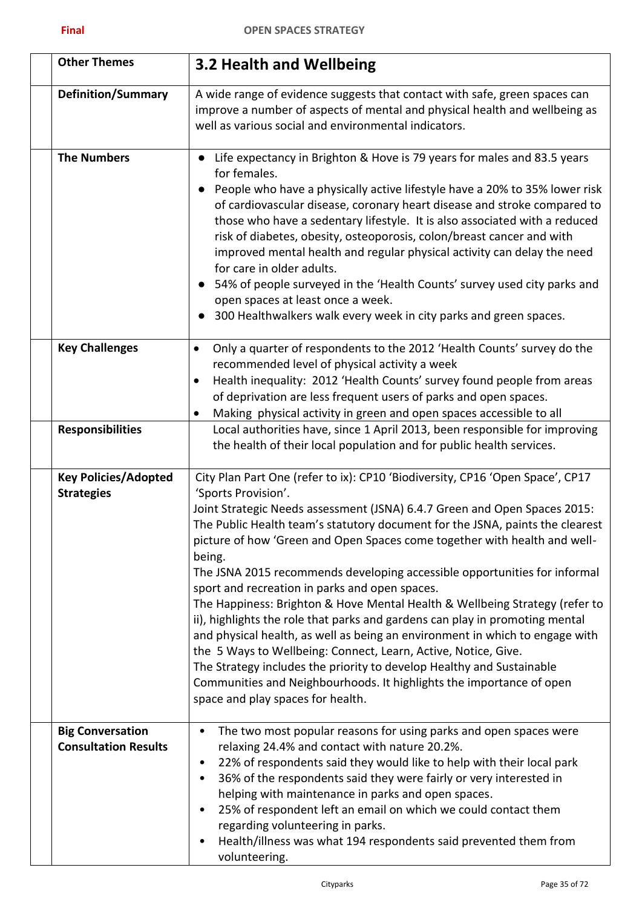| <b>Other Themes</b>                                    | 3.2 Health and Wellbeing                                                                                                                                                                                                                                                                                                                                                                                                                                                                                                                                                                                                                                                                                                                                                                                                                                                                                                                                                                        |
|--------------------------------------------------------|-------------------------------------------------------------------------------------------------------------------------------------------------------------------------------------------------------------------------------------------------------------------------------------------------------------------------------------------------------------------------------------------------------------------------------------------------------------------------------------------------------------------------------------------------------------------------------------------------------------------------------------------------------------------------------------------------------------------------------------------------------------------------------------------------------------------------------------------------------------------------------------------------------------------------------------------------------------------------------------------------|
| <b>Definition/Summary</b>                              | A wide range of evidence suggests that contact with safe, green spaces can<br>improve a number of aspects of mental and physical health and wellbeing as<br>well as various social and environmental indicators.                                                                                                                                                                                                                                                                                                                                                                                                                                                                                                                                                                                                                                                                                                                                                                                |
| <b>The Numbers</b>                                     | Life expectancy in Brighton & Hove is 79 years for males and 83.5 years<br>for females.<br>People who have a physically active lifestyle have a 20% to 35% lower risk<br>of cardiovascular disease, coronary heart disease and stroke compared to<br>those who have a sedentary lifestyle. It is also associated with a reduced<br>risk of diabetes, obesity, osteoporosis, colon/breast cancer and with<br>improved mental health and regular physical activity can delay the need<br>for care in older adults.<br>54% of people surveyed in the 'Health Counts' survey used city parks and<br>open spaces at least once a week.<br>300 Healthwalkers walk every week in city parks and green spaces.                                                                                                                                                                                                                                                                                          |
| <b>Key Challenges</b>                                  | Only a quarter of respondents to the 2012 'Health Counts' survey do the<br>$\bullet$<br>recommended level of physical activity a week<br>Health inequality: 2012 'Health Counts' survey found people from areas<br>$\bullet$<br>of deprivation are less frequent users of parks and open spaces.<br>Making physical activity in green and open spaces accessible to all<br>٠                                                                                                                                                                                                                                                                                                                                                                                                                                                                                                                                                                                                                    |
| <b>Responsibilities</b>                                | Local authorities have, since 1 April 2013, been responsible for improving<br>the health of their local population and for public health services.                                                                                                                                                                                                                                                                                                                                                                                                                                                                                                                                                                                                                                                                                                                                                                                                                                              |
| <b>Key Policies/Adopted</b><br><b>Strategies</b>       | City Plan Part One (refer to ix): CP10 'Biodiversity, CP16 'Open Space', CP17<br>'Sports Provision'.<br>Joint Strategic Needs assessment (JSNA) 6.4.7 Green and Open Spaces 2015:<br>The Public Health team's statutory document for the JSNA, paints the clearest<br>picture of how 'Green and Open Spaces come together with health and well-<br>being.<br>The JSNA 2015 recommends developing accessible opportunities for informal<br>sport and recreation in parks and open spaces.<br>The Happiness: Brighton & Hove Mental Health & Wellbeing Strategy (refer to<br>ii), highlights the role that parks and gardens can play in promoting mental<br>and physical health, as well as being an environment in which to engage with<br>the 5 Ways to Wellbeing: Connect, Learn, Active, Notice, Give.<br>The Strategy includes the priority to develop Healthy and Sustainable<br>Communities and Neighbourhoods. It highlights the importance of open<br>space and play spaces for health. |
| <b>Big Conversation</b><br><b>Consultation Results</b> | The two most popular reasons for using parks and open spaces were<br>relaxing 24.4% and contact with nature 20.2%.<br>22% of respondents said they would like to help with their local park<br>$\bullet$<br>36% of the respondents said they were fairly or very interested in<br>helping with maintenance in parks and open spaces.<br>25% of respondent left an email on which we could contact them<br>regarding volunteering in parks.<br>Health/illness was what 194 respondents said prevented them from<br>volunteering.                                                                                                                                                                                                                                                                                                                                                                                                                                                                 |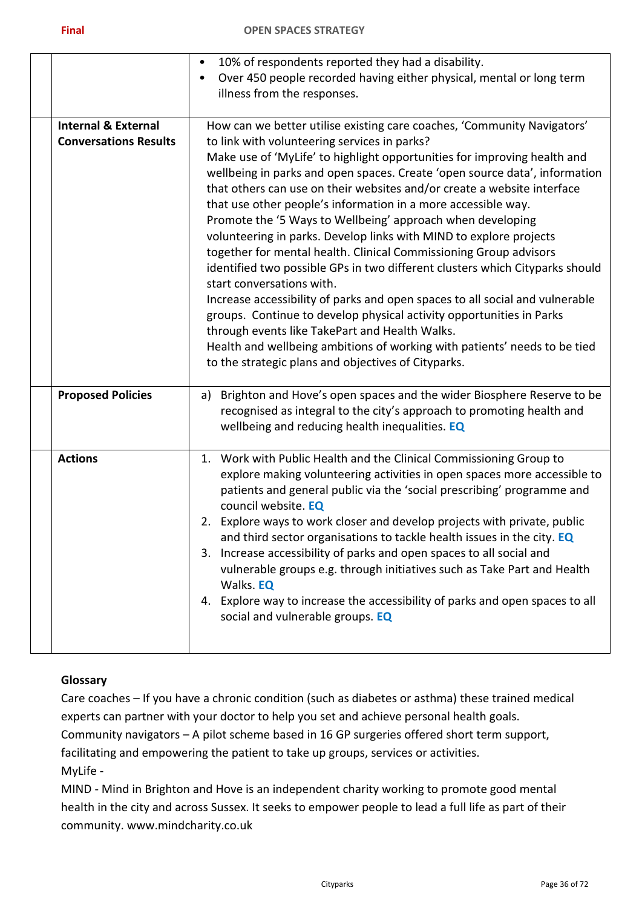|                                | 10% of respondents reported they had a disability.<br>$\bullet$                               |
|--------------------------------|-----------------------------------------------------------------------------------------------|
|                                | Over 450 people recorded having either physical, mental or long term                          |
|                                | illness from the responses.                                                                   |
|                                |                                                                                               |
| <b>Internal &amp; External</b> | How can we better utilise existing care coaches, 'Community Navigators'                       |
| <b>Conversations Results</b>   | to link with volunteering services in parks?                                                  |
|                                | Make use of 'MyLife' to highlight opportunities for improving health and                      |
|                                | wellbeing in parks and open spaces. Create 'open source data', information                    |
|                                | that others can use on their websites and/or create a website interface                       |
|                                | that use other people's information in a more accessible way.                                 |
|                                | Promote the '5 Ways to Wellbeing' approach when developing                                    |
|                                |                                                                                               |
|                                | volunteering in parks. Develop links with MIND to explore projects                            |
|                                | together for mental health. Clinical Commissioning Group advisors                             |
|                                | identified two possible GPs in two different clusters which Cityparks should                  |
|                                | start conversations with.                                                                     |
|                                | Increase accessibility of parks and open spaces to all social and vulnerable                  |
|                                | groups. Continue to develop physical activity opportunities in Parks                          |
|                                | through events like TakePart and Health Walks.                                                |
|                                | Health and wellbeing ambitions of working with patients' needs to be tied                     |
|                                | to the strategic plans and objectives of Cityparks.                                           |
|                                |                                                                                               |
| <b>Proposed Policies</b>       | Brighton and Hove's open spaces and the wider Biosphere Reserve to be<br>a)                   |
|                                | recognised as integral to the city's approach to promoting health and                         |
|                                | wellbeing and reducing health inequalities. EQ                                                |
| <b>Actions</b>                 | 1. Work with Public Health and the Clinical Commissioning Group to                            |
|                                | explore making volunteering activities in open spaces more accessible to                      |
|                                |                                                                                               |
|                                | patients and general public via the 'social prescribing' programme and<br>council website. EQ |
|                                | 2. Explore ways to work closer and develop projects with private, public                      |
|                                | and third sector organisations to tackle health issues in the city. EQ                        |
|                                |                                                                                               |
|                                | 3. Increase accessibility of parks and open spaces to all social and                          |
|                                | vulnerable groups e.g. through initiatives such as Take Part and Health                       |
|                                | Walks. EQ                                                                                     |
|                                | 4. Explore way to increase the accessibility of parks and open spaces to all                  |
|                                | social and vulnerable groups. EQ                                                              |
|                                |                                                                                               |
|                                |                                                                                               |

# **Glossary**

Care coaches – If you have a chronic condition (such as diabetes or asthma) these trained medical experts can partner with your doctor to help you set and achieve personal health goals. Community navigators – A pilot scheme based in 16 GP surgeries offered short term support, facilitating and empowering the patient to take up groups, services or activities. MyLife -

MIND - Mind in Brighton and Hove is an independent charity working to promote good mental health in the city and across Sussex. It seeks to empower people to lead a full life as part of their community. www.mindcharity.co.uk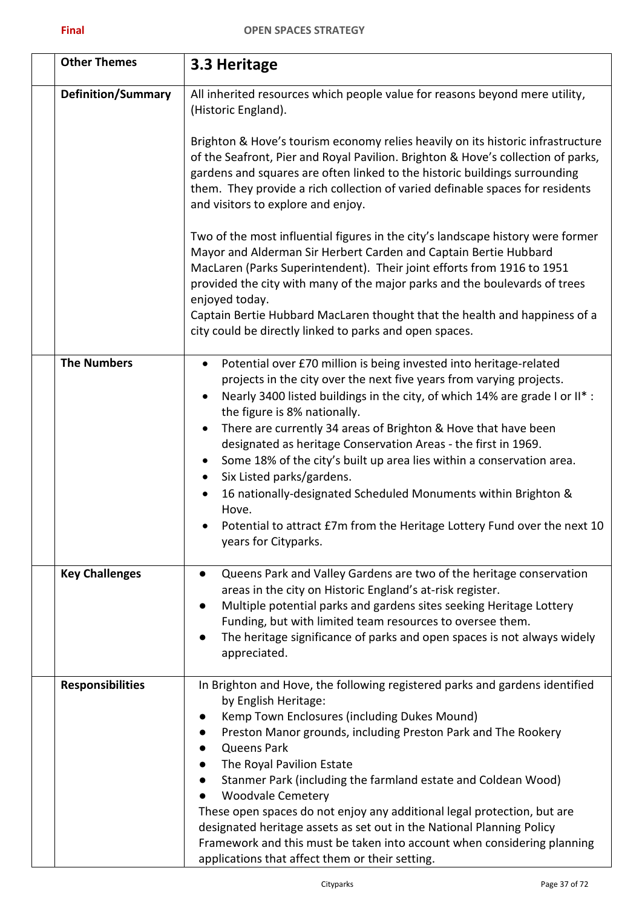| <b>Other Themes</b>       | 3.3 Heritage                                                                                                                                                                                                                                                                                                                                                                                                                                                                                                                                                                                                                                                                                                                           |
|---------------------------|----------------------------------------------------------------------------------------------------------------------------------------------------------------------------------------------------------------------------------------------------------------------------------------------------------------------------------------------------------------------------------------------------------------------------------------------------------------------------------------------------------------------------------------------------------------------------------------------------------------------------------------------------------------------------------------------------------------------------------------|
| <b>Definition/Summary</b> | All inherited resources which people value for reasons beyond mere utility,<br>(Historic England).                                                                                                                                                                                                                                                                                                                                                                                                                                                                                                                                                                                                                                     |
|                           | Brighton & Hove's tourism economy relies heavily on its historic infrastructure<br>of the Seafront, Pier and Royal Pavilion. Brighton & Hove's collection of parks,<br>gardens and squares are often linked to the historic buildings surrounding<br>them. They provide a rich collection of varied definable spaces for residents<br>and visitors to explore and enjoy.                                                                                                                                                                                                                                                                                                                                                               |
|                           | Two of the most influential figures in the city's landscape history were former<br>Mayor and Alderman Sir Herbert Carden and Captain Bertie Hubbard<br>MacLaren (Parks Superintendent). Their joint efforts from 1916 to 1951<br>provided the city with many of the major parks and the boulevards of trees<br>enjoyed today.<br>Captain Bertie Hubbard MacLaren thought that the health and happiness of a<br>city could be directly linked to parks and open spaces.                                                                                                                                                                                                                                                                 |
| <b>The Numbers</b>        | Potential over £70 million is being invested into heritage-related<br>$\bullet$<br>projects in the city over the next five years from varying projects.<br>Nearly 3400 listed buildings in the city, of which 14% are grade I or II* :<br>$\bullet$<br>the figure is 8% nationally.<br>There are currently 34 areas of Brighton & Hove that have been<br>$\bullet$<br>designated as heritage Conservation Areas - the first in 1969.<br>Some 18% of the city's built up area lies within a conservation area.<br>Six Listed parks/gardens.<br>$\bullet$<br>16 nationally-designated Scheduled Monuments within Brighton &<br>Hove.<br>Potential to attract £7m from the Heritage Lottery Fund over the next 10<br>years for Cityparks. |
| <b>Key Challenges</b>     | Queens Park and Valley Gardens are two of the heritage conservation<br>areas in the city on Historic England's at-risk register.<br>Multiple potential parks and gardens sites seeking Heritage Lottery<br>Funding, but with limited team resources to oversee them.<br>The heritage significance of parks and open spaces is not always widely<br>appreciated.                                                                                                                                                                                                                                                                                                                                                                        |
| <b>Responsibilities</b>   | In Brighton and Hove, the following registered parks and gardens identified<br>by English Heritage:<br>Kemp Town Enclosures (including Dukes Mound)<br>Preston Manor grounds, including Preston Park and The Rookery<br><b>Queens Park</b><br>The Royal Pavilion Estate<br>Stanmer Park (including the farmland estate and Coldean Wood)<br><b>Woodvale Cemetery</b><br>These open spaces do not enjoy any additional legal protection, but are<br>designated heritage assets as set out in the National Planning Policy<br>Framework and this must be taken into account when considering planning<br>applications that affect them or their setting.                                                                                 |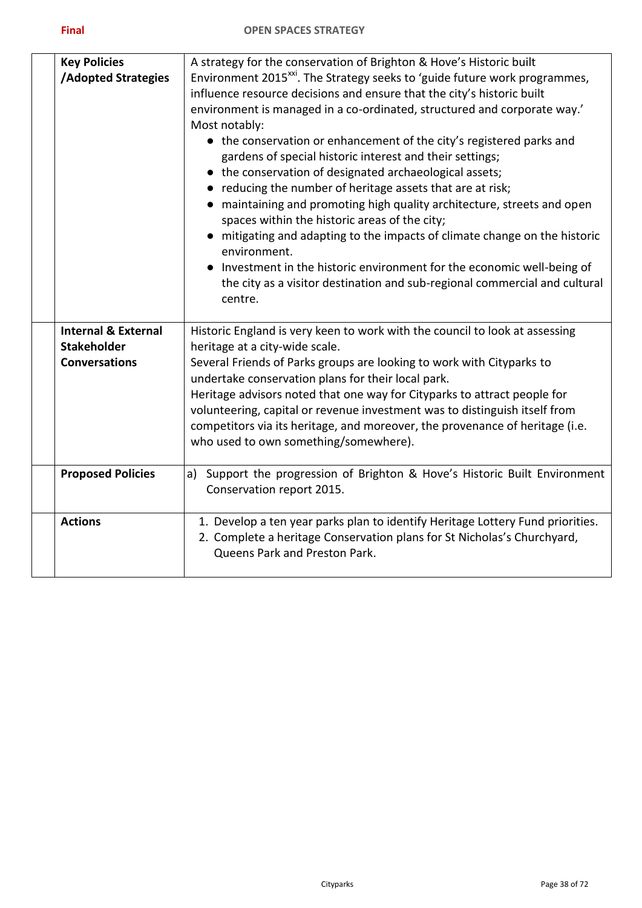| I |  |
|---|--|
| _ |  |

| <b>Key Policies</b>            | A strategy for the conservation of Brighton & Hove's Historic built                                                    |
|--------------------------------|------------------------------------------------------------------------------------------------------------------------|
| <b>/Adopted Strategies</b>     | Environment 2015 <sup>xxi</sup> . The Strategy seeks to 'guide future work programmes,                                 |
|                                | influence resource decisions and ensure that the city's historic built                                                 |
|                                | environment is managed in a co-ordinated, structured and corporate way.'                                               |
|                                | Most notably:                                                                                                          |
|                                | • the conservation or enhancement of the city's registered parks and                                                   |
|                                | gardens of special historic interest and their settings;                                                               |
|                                | • the conservation of designated archaeological assets;                                                                |
|                                | reducing the number of heritage assets that are at risk;                                                               |
|                                | maintaining and promoting high quality architecture, streets and open<br>spaces within the historic areas of the city; |
|                                | • mitigating and adapting to the impacts of climate change on the historic<br>environment.                             |
|                                | • Investment in the historic environment for the economic well-being of                                                |
|                                | the city as a visitor destination and sub-regional commercial and cultural                                             |
|                                | centre.                                                                                                                |
|                                |                                                                                                                        |
| <b>Internal &amp; External</b> | Historic England is very keen to work with the council to look at assessing                                            |
| <b>Stakeholder</b>             | heritage at a city-wide scale.                                                                                         |
| <b>Conversations</b>           | Several Friends of Parks groups are looking to work with Cityparks to                                                  |
|                                | undertake conservation plans for their local park.                                                                     |
|                                | Heritage advisors noted that one way for Cityparks to attract people for                                               |
|                                | volunteering, capital or revenue investment was to distinguish itself from                                             |
|                                | competitors via its heritage, and moreover, the provenance of heritage (i.e.                                           |
|                                | who used to own something/somewhere).                                                                                  |
| <b>Proposed Policies</b>       | Support the progression of Brighton & Hove's Historic Built Environment<br>a)                                          |
|                                | Conservation report 2015.                                                                                              |
| <b>Actions</b>                 | 1. Develop a ten year parks plan to identify Heritage Lottery Fund priorities.                                         |
|                                | 2. Complete a heritage Conservation plans for St Nicholas's Churchyard,                                                |
|                                | Queens Park and Preston Park.                                                                                          |
|                                |                                                                                                                        |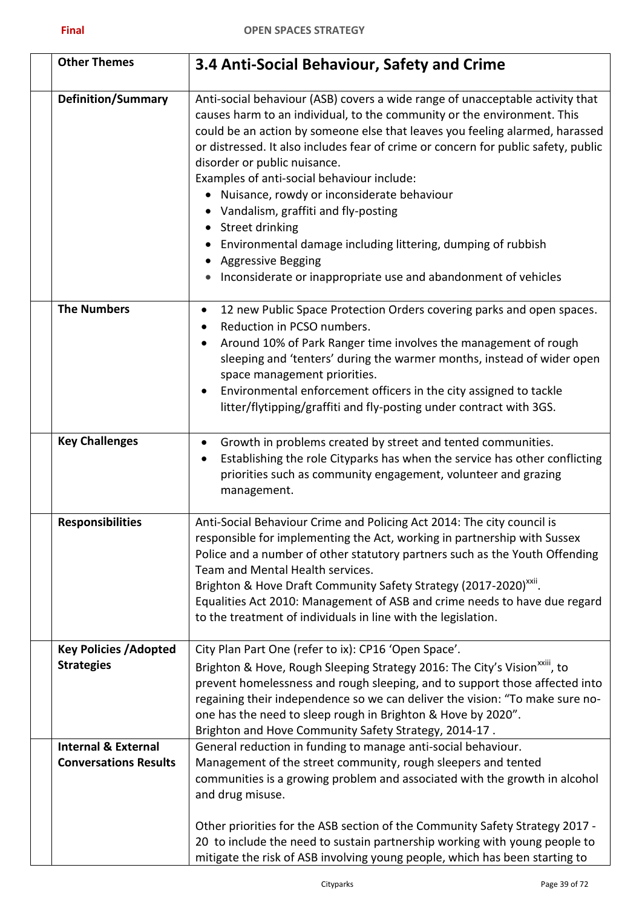| <b>Other Themes</b>            | 3.4 Anti-Social Behaviour, Safety and Crime                                                                                                                                                                                                                                                                                                                                                                                                                                                                                                                                                                                                                                         |
|--------------------------------|-------------------------------------------------------------------------------------------------------------------------------------------------------------------------------------------------------------------------------------------------------------------------------------------------------------------------------------------------------------------------------------------------------------------------------------------------------------------------------------------------------------------------------------------------------------------------------------------------------------------------------------------------------------------------------------|
| <b>Definition/Summary</b>      | Anti-social behaviour (ASB) covers a wide range of unacceptable activity that<br>causes harm to an individual, to the community or the environment. This<br>could be an action by someone else that leaves you feeling alarmed, harassed<br>or distressed. It also includes fear of crime or concern for public safety, public<br>disorder or public nuisance.<br>Examples of anti-social behaviour include:<br>Nuisance, rowdy or inconsiderate behaviour<br>Vandalism, graffiti and fly-posting<br>Street drinking<br>Environmental damage including littering, dumping of rubbish<br><b>Aggressive Begging</b><br>Inconsiderate or inappropriate use and abandonment of vehicles |
| <b>The Numbers</b>             | 12 new Public Space Protection Orders covering parks and open spaces.<br>$\bullet$<br>Reduction in PCSO numbers.                                                                                                                                                                                                                                                                                                                                                                                                                                                                                                                                                                    |
|                                | Around 10% of Park Ranger time involves the management of rough<br>٠<br>sleeping and 'tenters' during the warmer months, instead of wider open<br>space management priorities.                                                                                                                                                                                                                                                                                                                                                                                                                                                                                                      |
|                                | Environmental enforcement officers in the city assigned to tackle<br>litter/flytipping/graffiti and fly-posting under contract with 3GS.                                                                                                                                                                                                                                                                                                                                                                                                                                                                                                                                            |
| <b>Key Challenges</b>          | Growth in problems created by street and tented communities.<br>$\bullet$<br>Establishing the role Cityparks has when the service has other conflicting<br>٠<br>priorities such as community engagement, volunteer and grazing<br>management.                                                                                                                                                                                                                                                                                                                                                                                                                                       |
| <b>Responsibilities</b>        | Anti-Social Behaviour Crime and Policing Act 2014: The city council is<br>responsible for implementing the Act, working in partnership with Sussex<br>Police and a number of other statutory partners such as the Youth Offending<br>Team and Mental Health services.<br>Brighton & Hove Draft Community Safety Strategy (2017-2020) <sup>XXII</sup> .<br>Equalities Act 2010: Management of ASB and crime needs to have due regard<br>to the treatment of individuals in line with the legislation.                                                                                                                                                                                |
| <b>Key Policies / Adopted</b>  | City Plan Part One (refer to ix): CP16 'Open Space'.                                                                                                                                                                                                                                                                                                                                                                                                                                                                                                                                                                                                                                |
| <b>Strategies</b>              | Brighton & Hove, Rough Sleeping Strategy 2016: The City's Vision <sup>XXIII</sup> , to<br>prevent homelessness and rough sleeping, and to support those affected into<br>regaining their independence so we can deliver the vision: "To make sure no-<br>one has the need to sleep rough in Brighton & Hove by 2020".<br>Brighton and Hove Community Safety Strategy, 2014-17.                                                                                                                                                                                                                                                                                                      |
| <b>Internal &amp; External</b> | General reduction in funding to manage anti-social behaviour.                                                                                                                                                                                                                                                                                                                                                                                                                                                                                                                                                                                                                       |
| <b>Conversations Results</b>   | Management of the street community, rough sleepers and tented<br>communities is a growing problem and associated with the growth in alcohol<br>and drug misuse.                                                                                                                                                                                                                                                                                                                                                                                                                                                                                                                     |
|                                | Other priorities for the ASB section of the Community Safety Strategy 2017 -<br>20 to include the need to sustain partnership working with young people to<br>mitigate the risk of ASB involving young people, which has been starting to                                                                                                                                                                                                                                                                                                                                                                                                                                           |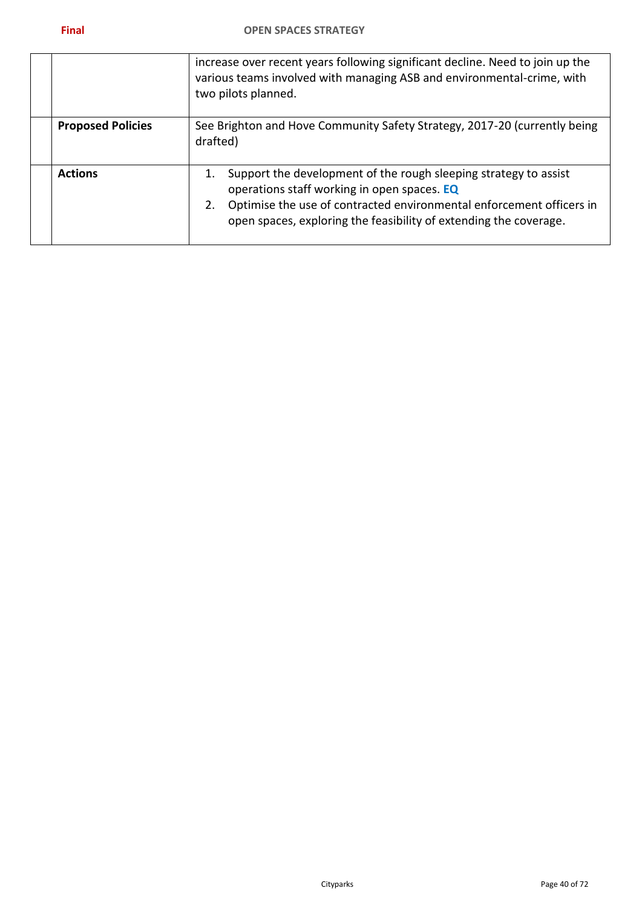|                          | increase over recent years following significant decline. Need to join up the<br>various teams involved with managing ASB and environmental-crime, with<br>two pilots planned.                                                                                     |
|--------------------------|--------------------------------------------------------------------------------------------------------------------------------------------------------------------------------------------------------------------------------------------------------------------|
| <b>Proposed Policies</b> | See Brighton and Hove Community Safety Strategy, 2017-20 (currently being<br>drafted)                                                                                                                                                                              |
| <b>Actions</b>           | Support the development of the rough sleeping strategy to assist<br>operations staff working in open spaces. EQ<br>Optimise the use of contracted environmental enforcement officers in<br>2.<br>open spaces, exploring the feasibility of extending the coverage. |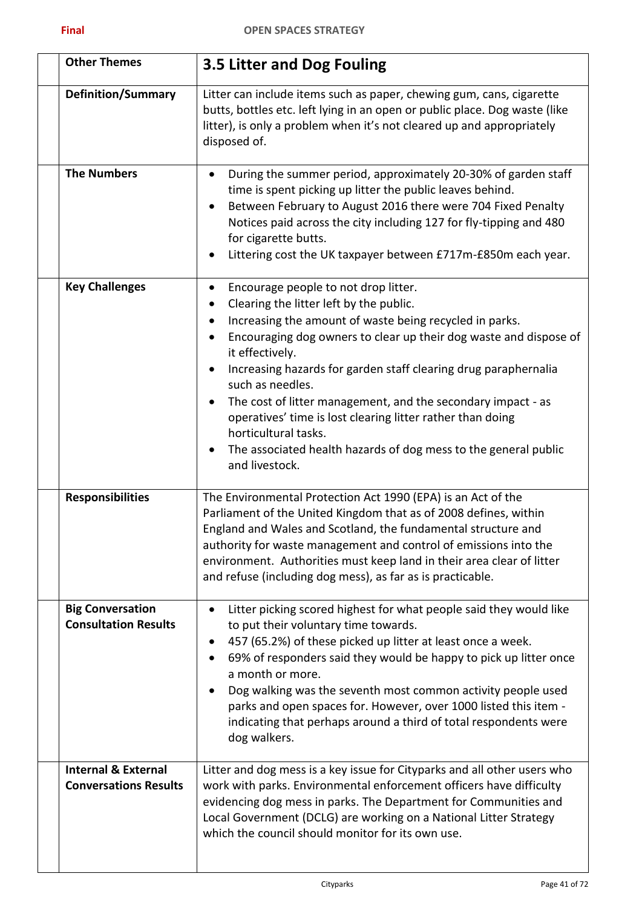| <b>Other Themes</b>                                            | 3.5 Litter and Dog Fouling                                                                                                                                                                                                                                                                                                                                                                                                                                                                                                                                                                                                 |
|----------------------------------------------------------------|----------------------------------------------------------------------------------------------------------------------------------------------------------------------------------------------------------------------------------------------------------------------------------------------------------------------------------------------------------------------------------------------------------------------------------------------------------------------------------------------------------------------------------------------------------------------------------------------------------------------------|
| <b>Definition/Summary</b>                                      | Litter can include items such as paper, chewing gum, cans, cigarette<br>butts, bottles etc. left lying in an open or public place. Dog waste (like<br>litter), is only a problem when it's not cleared up and appropriately<br>disposed of.                                                                                                                                                                                                                                                                                                                                                                                |
| <b>The Numbers</b>                                             | During the summer period, approximately 20-30% of garden staff<br>٠<br>time is spent picking up litter the public leaves behind.<br>Between February to August 2016 there were 704 Fixed Penalty<br>٠<br>Notices paid across the city including 127 for fly-tipping and 480<br>for cigarette butts.<br>Littering cost the UK taxpayer between £717m-£850m each year.                                                                                                                                                                                                                                                       |
| <b>Key Challenges</b>                                          | Encourage people to not drop litter.<br>$\bullet$<br>Clearing the litter left by the public.<br>٠<br>Increasing the amount of waste being recycled in parks.<br>$\bullet$<br>Encouraging dog owners to clear up their dog waste and dispose of<br>it effectively.<br>Increasing hazards for garden staff clearing drug paraphernalia<br>٠<br>such as needles.<br>The cost of litter management, and the secondary impact - as<br>$\bullet$<br>operatives' time is lost clearing litter rather than doing<br>horticultural tasks.<br>The associated health hazards of dog mess to the general public<br>٠<br>and livestock. |
| <b>Responsibilities</b>                                        | The Environmental Protection Act 1990 (EPA) is an Act of the<br>Parliament of the United Kingdom that as of 2008 defines, within<br>England and Wales and Scotland, the fundamental structure and<br>authority for waste management and control of emissions into the<br>environment. Authorities must keep land in their area clear of litter<br>and refuse (including dog mess), as far as is practicable.                                                                                                                                                                                                               |
| <b>Big Conversation</b><br><b>Consultation Results</b>         | Litter picking scored highest for what people said they would like<br>$\bullet$<br>to put their voluntary time towards.<br>457 (65.2%) of these picked up litter at least once a week.<br>$\bullet$<br>69% of responders said they would be happy to pick up litter once<br>٠<br>a month or more.<br>Dog walking was the seventh most common activity people used<br>٠<br>parks and open spaces for. However, over 1000 listed this item -<br>indicating that perhaps around a third of total respondents were<br>dog walkers.                                                                                             |
| <b>Internal &amp; External</b><br><b>Conversations Results</b> | Litter and dog mess is a key issue for Cityparks and all other users who<br>work with parks. Environmental enforcement officers have difficulty<br>evidencing dog mess in parks. The Department for Communities and<br>Local Government (DCLG) are working on a National Litter Strategy<br>which the council should monitor for its own use.                                                                                                                                                                                                                                                                              |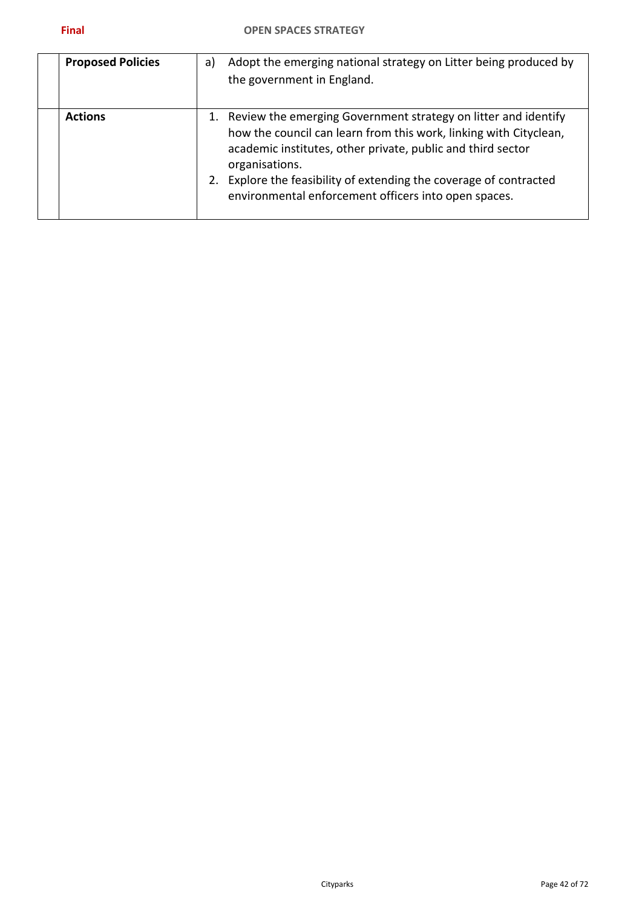| <b>Proposed Policies</b> | a) | Adopt the emerging national strategy on Litter being produced by<br>the government in England.                                                                                                                                                                                                                                                     |
|--------------------------|----|----------------------------------------------------------------------------------------------------------------------------------------------------------------------------------------------------------------------------------------------------------------------------------------------------------------------------------------------------|
| <b>Actions</b>           |    | 1. Review the emerging Government strategy on litter and identify<br>how the council can learn from this work, linking with Cityclean,<br>academic institutes, other private, public and third sector<br>organisations.<br>Explore the feasibility of extending the coverage of contracted<br>environmental enforcement officers into open spaces. |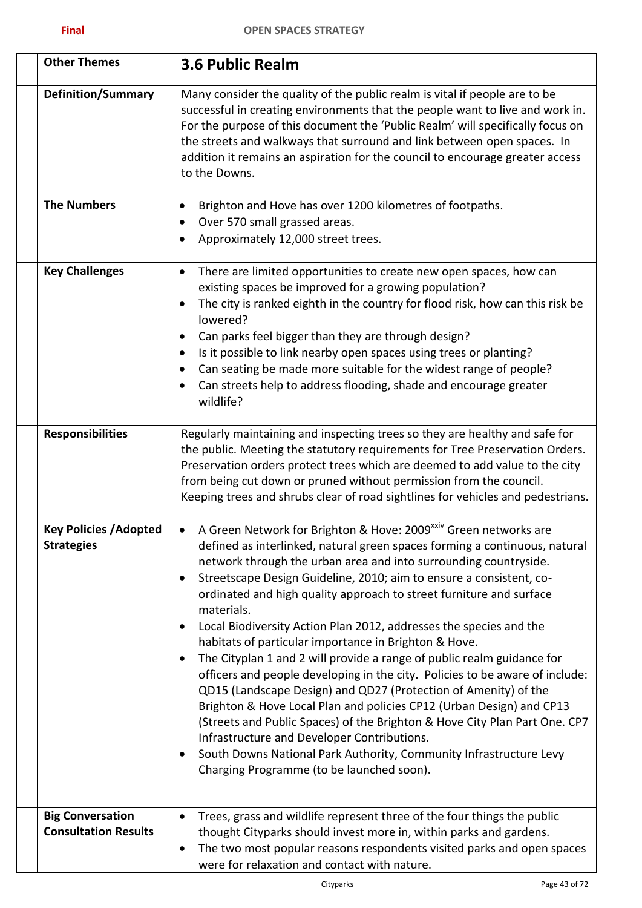| <b>Other Themes</b>                                    | <b>3.6 Public Realm</b>                                                                                                                                                                                                                                                                                                                                                                                                                                                                                                                                                                                                                                                                                                                                                                                                                                                                                                                                                                                                                                                                                                                 |
|--------------------------------------------------------|-----------------------------------------------------------------------------------------------------------------------------------------------------------------------------------------------------------------------------------------------------------------------------------------------------------------------------------------------------------------------------------------------------------------------------------------------------------------------------------------------------------------------------------------------------------------------------------------------------------------------------------------------------------------------------------------------------------------------------------------------------------------------------------------------------------------------------------------------------------------------------------------------------------------------------------------------------------------------------------------------------------------------------------------------------------------------------------------------------------------------------------------|
| <b>Definition/Summary</b>                              | Many consider the quality of the public realm is vital if people are to be<br>successful in creating environments that the people want to live and work in.<br>For the purpose of this document the 'Public Realm' will specifically focus on<br>the streets and walkways that surround and link between open spaces. In<br>addition it remains an aspiration for the council to encourage greater access<br>to the Downs.                                                                                                                                                                                                                                                                                                                                                                                                                                                                                                                                                                                                                                                                                                              |
| <b>The Numbers</b>                                     | Brighton and Hove has over 1200 kilometres of footpaths.<br>$\bullet$<br>Over 570 small grassed areas.<br>٠<br>Approximately 12,000 street trees.<br>٠                                                                                                                                                                                                                                                                                                                                                                                                                                                                                                                                                                                                                                                                                                                                                                                                                                                                                                                                                                                  |
| <b>Key Challenges</b>                                  | There are limited opportunities to create new open spaces, how can<br>$\bullet$<br>existing spaces be improved for a growing population?<br>The city is ranked eighth in the country for flood risk, how can this risk be<br>$\bullet$<br>lowered?<br>Can parks feel bigger than they are through design?<br>$\bullet$<br>Is it possible to link nearby open spaces using trees or planting?<br>$\bullet$<br>Can seating be made more suitable for the widest range of people?<br>٠<br>Can streets help to address flooding, shade and encourage greater<br>wildlife?                                                                                                                                                                                                                                                                                                                                                                                                                                                                                                                                                                   |
| <b>Responsibilities</b>                                | Regularly maintaining and inspecting trees so they are healthy and safe for<br>the public. Meeting the statutory requirements for Tree Preservation Orders.<br>Preservation orders protect trees which are deemed to add value to the city<br>from being cut down or pruned without permission from the council.<br>Keeping trees and shrubs clear of road sightlines for vehicles and pedestrians.                                                                                                                                                                                                                                                                                                                                                                                                                                                                                                                                                                                                                                                                                                                                     |
| <b>Key Policies / Adopted</b><br><b>Strategies</b>     | A Green Network for Brighton & Hove: 2009 <sup>xxiv</sup> Green networks are<br>$\bullet$<br>defined as interlinked, natural green spaces forming a continuous, natural<br>network through the urban area and into surrounding countryside.<br>Streetscape Design Guideline, 2010; aim to ensure a consistent, co-<br>$\bullet$<br>ordinated and high quality approach to street furniture and surface<br>materials.<br>Local Biodiversity Action Plan 2012, addresses the species and the<br>$\bullet$<br>habitats of particular importance in Brighton & Hove.<br>The Cityplan 1 and 2 will provide a range of public realm guidance for<br>٠<br>officers and people developing in the city. Policies to be aware of include:<br>QD15 (Landscape Design) and QD27 (Protection of Amenity) of the<br>Brighton & Hove Local Plan and policies CP12 (Urban Design) and CP13<br>(Streets and Public Spaces) of the Brighton & Hove City Plan Part One. CP7<br>Infrastructure and Developer Contributions.<br>South Downs National Park Authority, Community Infrastructure Levy<br>$\bullet$<br>Charging Programme (to be launched soon). |
| <b>Big Conversation</b><br><b>Consultation Results</b> | Trees, grass and wildlife represent three of the four things the public<br>$\bullet$<br>thought Cityparks should invest more in, within parks and gardens.<br>The two most popular reasons respondents visited parks and open spaces<br>$\bullet$<br>were for relaxation and contact with nature.                                                                                                                                                                                                                                                                                                                                                                                                                                                                                                                                                                                                                                                                                                                                                                                                                                       |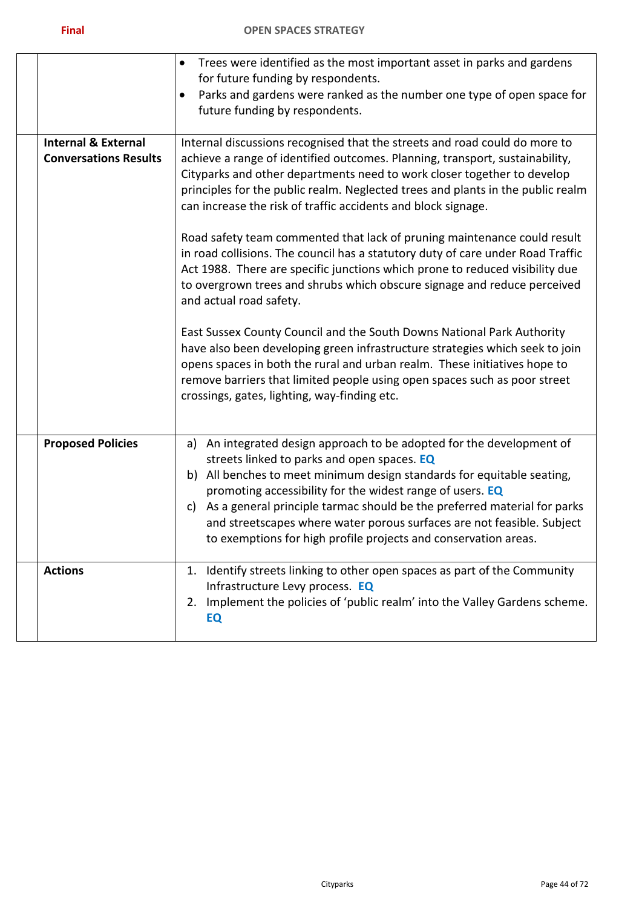|                                                                | Trees were identified as the most important asset in parks and gardens<br>$\bullet$<br>for future funding by respondents.<br>Parks and gardens were ranked as the number one type of open space for<br>$\bullet$<br>future funding by respondents.                                                                                                                                                                                                                                               |  |
|----------------------------------------------------------------|--------------------------------------------------------------------------------------------------------------------------------------------------------------------------------------------------------------------------------------------------------------------------------------------------------------------------------------------------------------------------------------------------------------------------------------------------------------------------------------------------|--|
| <b>Internal &amp; External</b><br><b>Conversations Results</b> | Internal discussions recognised that the streets and road could do more to<br>achieve a range of identified outcomes. Planning, transport, sustainability,<br>Cityparks and other departments need to work closer together to develop<br>principles for the public realm. Neglected trees and plants in the public realm<br>can increase the risk of traffic accidents and block signage.                                                                                                        |  |
|                                                                | Road safety team commented that lack of pruning maintenance could result<br>in road collisions. The council has a statutory duty of care under Road Traffic<br>Act 1988. There are specific junctions which prone to reduced visibility due<br>to overgrown trees and shrubs which obscure signage and reduce perceived<br>and actual road safety.                                                                                                                                               |  |
|                                                                | East Sussex County Council and the South Downs National Park Authority<br>have also been developing green infrastructure strategies which seek to join<br>opens spaces in both the rural and urban realm. These initiatives hope to<br>remove barriers that limited people using open spaces such as poor street<br>crossings, gates, lighting, way-finding etc.                                                                                                                                 |  |
| <b>Proposed Policies</b>                                       | An integrated design approach to be adopted for the development of<br>a)<br>streets linked to parks and open spaces. EQ<br>All benches to meet minimum design standards for equitable seating,<br>b)<br>promoting accessibility for the widest range of users. EQ<br>As a general principle tarmac should be the preferred material for parks<br>C)<br>and streetscapes where water porous surfaces are not feasible. Subject<br>to exemptions for high profile projects and conservation areas. |  |
| <b>Actions</b>                                                 | Identify streets linking to other open spaces as part of the Community<br>1.<br>Infrastructure Levy process. EQ<br>2. Implement the policies of 'public realm' into the Valley Gardens scheme.<br>EQ                                                                                                                                                                                                                                                                                             |  |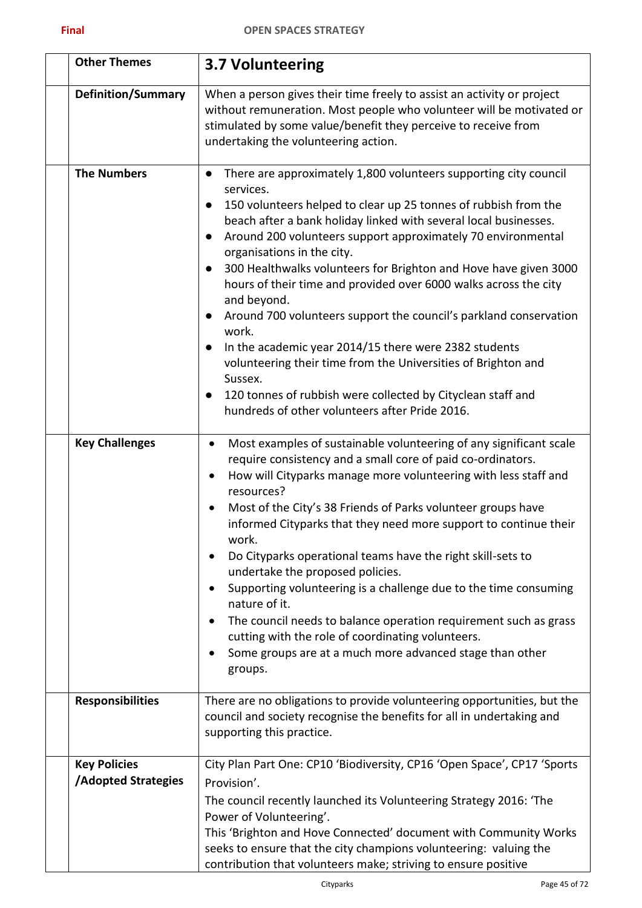| ____ |
|------|
|------|

| <b>Other Themes</b>                              | 3.7 Volunteering                                                                                                                                                                                                                                                                                                                                                                                                                                                                                                                                                                                                                                                                                                                                                                                                                                                                                         |
|--------------------------------------------------|----------------------------------------------------------------------------------------------------------------------------------------------------------------------------------------------------------------------------------------------------------------------------------------------------------------------------------------------------------------------------------------------------------------------------------------------------------------------------------------------------------------------------------------------------------------------------------------------------------------------------------------------------------------------------------------------------------------------------------------------------------------------------------------------------------------------------------------------------------------------------------------------------------|
| <b>Definition/Summary</b>                        | When a person gives their time freely to assist an activity or project<br>without remuneration. Most people who volunteer will be motivated or<br>stimulated by some value/benefit they perceive to receive from<br>undertaking the volunteering action.                                                                                                                                                                                                                                                                                                                                                                                                                                                                                                                                                                                                                                                 |
| <b>The Numbers</b>                               | There are approximately 1,800 volunteers supporting city council<br>$\bullet$<br>services.<br>150 volunteers helped to clear up 25 tonnes of rubbish from the<br>$\bullet$<br>beach after a bank holiday linked with several local businesses.<br>Around 200 volunteers support approximately 70 environmental<br>$\bullet$<br>organisations in the city.<br>300 Healthwalks volunteers for Brighton and Hove have given 3000<br>$\bullet$<br>hours of their time and provided over 6000 walks across the city<br>and beyond.<br>Around 700 volunteers support the council's parkland conservation<br>$\bullet$<br>work.<br>In the academic year 2014/15 there were 2382 students<br>$\bullet$<br>volunteering their time from the Universities of Brighton and<br>Sussex.<br>120 tonnes of rubbish were collected by Cityclean staff and<br>$\bullet$<br>hundreds of other volunteers after Pride 2016. |
| <b>Key Challenges</b>                            | Most examples of sustainable volunteering of any significant scale<br>$\bullet$<br>require consistency and a small core of paid co-ordinators.<br>How will Cityparks manage more volunteering with less staff and<br>resources?<br>Most of the City's 38 Friends of Parks volunteer groups have<br>$\bullet$<br>informed Cityparks that they need more support to continue their<br>work.<br>Do Cityparks operational teams have the right skill-sets to<br>undertake the proposed policies.<br>Supporting volunteering is a challenge due to the time consuming<br>nature of it.<br>The council needs to balance operation requirement such as grass<br>cutting with the role of coordinating volunteers.<br>Some groups are at a much more advanced stage than other<br>groups.                                                                                                                        |
| <b>Responsibilities</b>                          | There are no obligations to provide volunteering opportunities, but the<br>council and society recognise the benefits for all in undertaking and<br>supporting this practice.                                                                                                                                                                                                                                                                                                                                                                                                                                                                                                                                                                                                                                                                                                                            |
| <b>Key Policies</b><br><b>Adopted Strategies</b> | City Plan Part One: CP10 'Biodiversity, CP16 'Open Space', CP17 'Sports<br>Provision'.<br>The council recently launched its Volunteering Strategy 2016: 'The<br>Power of Volunteering'.<br>This 'Brighton and Hove Connected' document with Community Works<br>seeks to ensure that the city champions volunteering: valuing the<br>contribution that volunteers make; striving to ensure positive                                                                                                                                                                                                                                                                                                                                                                                                                                                                                                       |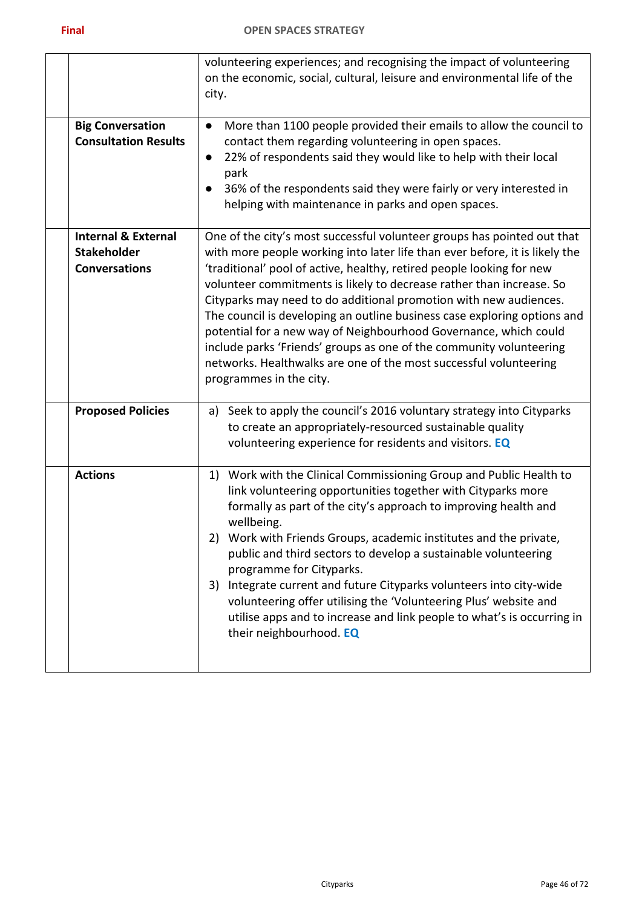|                                                                              | volunteering experiences; and recognising the impact of volunteering<br>on the economic, social, cultural, leisure and environmental life of the<br>city.                                                                                                                                                                                                                                                                                                                                                                                                                                                                                                                                           |
|------------------------------------------------------------------------------|-----------------------------------------------------------------------------------------------------------------------------------------------------------------------------------------------------------------------------------------------------------------------------------------------------------------------------------------------------------------------------------------------------------------------------------------------------------------------------------------------------------------------------------------------------------------------------------------------------------------------------------------------------------------------------------------------------|
| <b>Big Conversation</b><br><b>Consultation Results</b>                       | More than 1100 people provided their emails to allow the council to<br>$\bullet$<br>contact them regarding volunteering in open spaces.<br>22% of respondents said they would like to help with their local<br>$\bullet$<br>park<br>36% of the respondents said they were fairly or very interested in<br>helping with maintenance in parks and open spaces.                                                                                                                                                                                                                                                                                                                                        |
| <b>Internal &amp; External</b><br><b>Stakeholder</b><br><b>Conversations</b> | One of the city's most successful volunteer groups has pointed out that<br>with more people working into later life than ever before, it is likely the<br>'traditional' pool of active, healthy, retired people looking for new<br>volunteer commitments is likely to decrease rather than increase. So<br>Cityparks may need to do additional promotion with new audiences.<br>The council is developing an outline business case exploring options and<br>potential for a new way of Neighbourhood Governance, which could<br>include parks 'Friends' groups as one of the community volunteering<br>networks. Healthwalks are one of the most successful volunteering<br>programmes in the city. |
| <b>Proposed Policies</b>                                                     | Seek to apply the council's 2016 voluntary strategy into Cityparks<br>a)<br>to create an appropriately-resourced sustainable quality<br>volunteering experience for residents and visitors. EQ                                                                                                                                                                                                                                                                                                                                                                                                                                                                                                      |
| <b>Actions</b>                                                               | Work with the Clinical Commissioning Group and Public Health to<br>1)<br>link volunteering opportunities together with Cityparks more<br>formally as part of the city's approach to improving health and<br>wellbeing.<br>2) Work with Friends Groups, academic institutes and the private,<br>public and third sectors to develop a sustainable volunteering<br>programme for Cityparks.<br>Integrate current and future Cityparks volunteers into city-wide<br>3)<br>volunteering offer utilising the 'Volunteering Plus' website and<br>utilise apps and to increase and link people to what's is occurring in<br>their neighbourhood. EQ                                                        |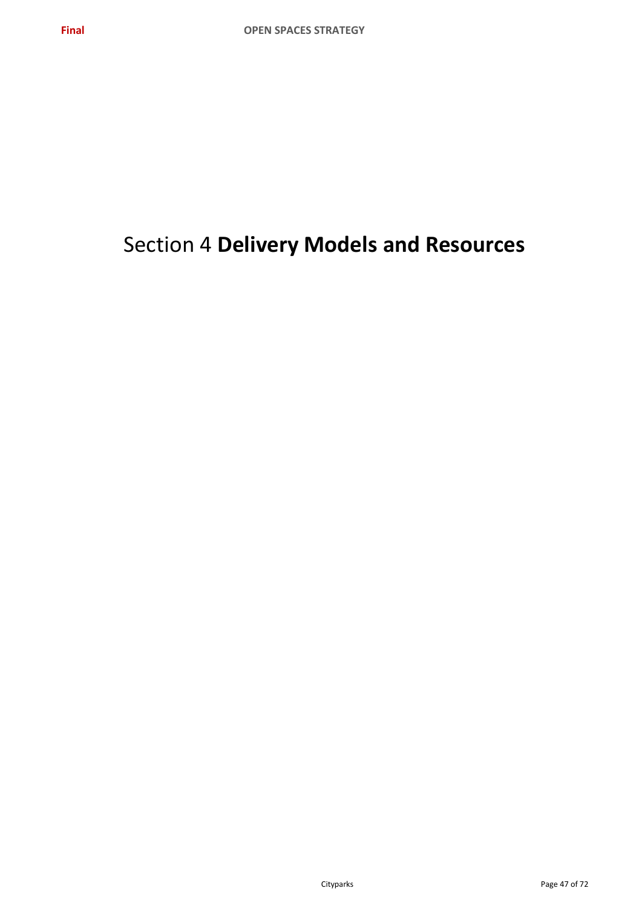# Section 4 **Delivery Models and Resources**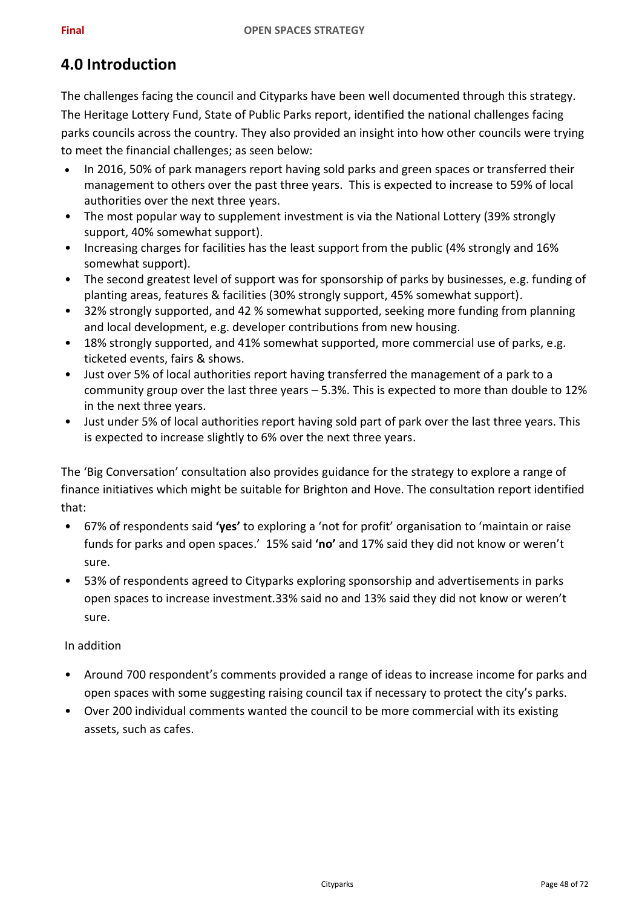# **4.0 Introduction**

The challenges facing the council and Cityparks have been well documented through this strategy. The Heritage Lottery Fund, State of Public Parks report, identified the national challenges facing parks councils across the country. They also provided an insight into how other councils were trying to meet the financial challenges; as seen below:

- In 2016, 50% of park managers report having sold parks and green spaces or transferred their management to others over the past three years. This is expected to increase to 59% of local authorities over the next three years.
- The most popular way to supplement investment is via the National Lottery (39% strongly support, 40% somewhat support).
- Increasing charges for facilities has the least support from the public (4% strongly and 16% somewhat support).
- The second greatest level of support was for sponsorship of parks by businesses, e.g. funding of planting areas, features & facilities (30% strongly support, 45% somewhat support).
- 32% strongly supported, and 42 % somewhat supported, seeking more funding from planning and local development, e.g. developer contributions from new housing.
- 18% strongly supported, and 41% somewhat supported, more commercial use of parks, e.g. ticketed events, fairs & shows.
- Just over 5% of local authorities report having transferred the management of a park to a community group over the last three years – 5.3%. This is expected to more than double to 12% in the next three years.
- Just under 5% of local authorities report having sold part of park over the last three years. This is expected to increase slightly to 6% over the next three years.

The 'Big Conversation' consultation also provides guidance for the strategy to explore a range of finance initiatives which might be suitable for Brighton and Hove. The consultation report identified that:

- 67% of respondents said **'yes'** to exploring a 'not for profit' organisation to 'maintain or raise funds for parks and open spaces.' 15% said **'no'** and 17% said they did not know or weren't sure.
- 53% of respondents agreed to Cityparks exploring sponsorship and advertisements in parks open spaces to increase investment.33% said no and 13% said they did not know or weren't sure.

### In addition

- Around 700 respondent's comments provided a range of ideas to increase income for parks and open spaces with some suggesting raising council tax if necessary to protect the city's parks.
- Over 200 individual comments wanted the council to be more commercial with its existing assets, such as cafes.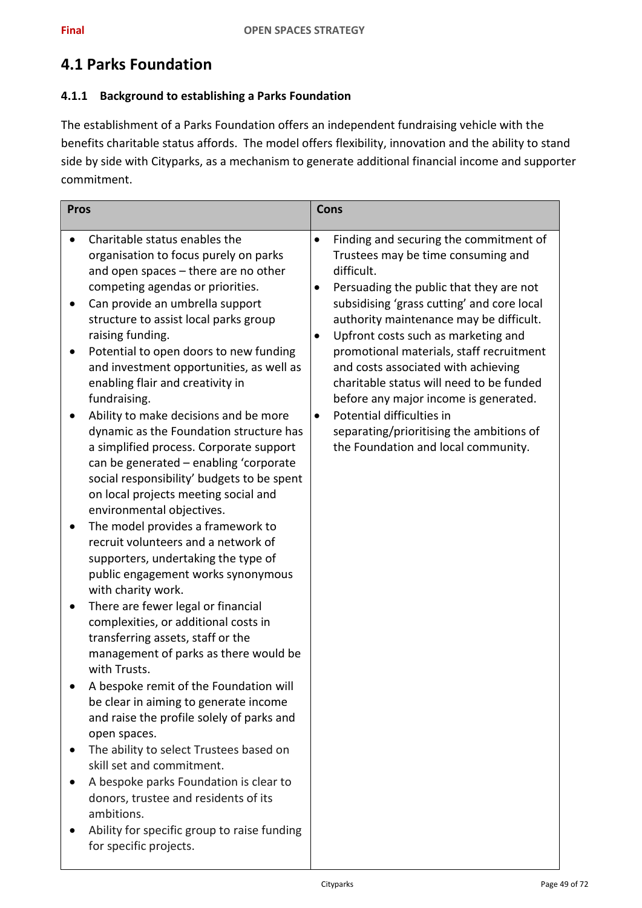# **4.1 Parks Foundation**

### **4.1.1 Background to establishing a Parks Foundation**

The establishment of a Parks Foundation offers an independent fundraising vehicle with the benefits charitable status affords. The model offers flexibility, innovation and the ability to stand side by side with Cityparks, as a mechanism to generate additional financial income and supporter commitment.

| <b>Pros</b>                                                                                                                                                                                                                                                                                                                                                                                                                                                                                                                                                                                                                                                                                                                                                                                                                                                                                                                                                                                                                                                                                                                                                                                                                                                                                                                                                                                                                                                       | <b>Cons</b>                                                                                                                                                                                                                                                                                                                                                                                                                                                                                                                                                                             |
|-------------------------------------------------------------------------------------------------------------------------------------------------------------------------------------------------------------------------------------------------------------------------------------------------------------------------------------------------------------------------------------------------------------------------------------------------------------------------------------------------------------------------------------------------------------------------------------------------------------------------------------------------------------------------------------------------------------------------------------------------------------------------------------------------------------------------------------------------------------------------------------------------------------------------------------------------------------------------------------------------------------------------------------------------------------------------------------------------------------------------------------------------------------------------------------------------------------------------------------------------------------------------------------------------------------------------------------------------------------------------------------------------------------------------------------------------------------------|-----------------------------------------------------------------------------------------------------------------------------------------------------------------------------------------------------------------------------------------------------------------------------------------------------------------------------------------------------------------------------------------------------------------------------------------------------------------------------------------------------------------------------------------------------------------------------------------|
| Charitable status enables the<br>$\bullet$<br>organisation to focus purely on parks<br>and open spaces - there are no other<br>competing agendas or priorities.<br>Can provide an umbrella support<br>structure to assist local parks group<br>raising funding.<br>Potential to open doors to new funding<br>and investment opportunities, as well as<br>enabling flair and creativity in<br>fundraising.<br>Ability to make decisions and be more<br>dynamic as the Foundation structure has<br>a simplified process. Corporate support<br>can be generated - enabling 'corporate<br>social responsibility' budgets to be spent<br>on local projects meeting social and<br>environmental objectives.<br>The model provides a framework to<br>recruit volunteers and a network of<br>supporters, undertaking the type of<br>public engagement works synonymous<br>with charity work.<br>There are fewer legal or financial<br>complexities, or additional costs in<br>transferring assets, staff or the<br>management of parks as there would be<br>with Trusts.<br>A bespoke remit of the Foundation will<br>be clear in aiming to generate income<br>and raise the profile solely of parks and<br>open spaces.<br>The ability to select Trustees based on<br>skill set and commitment.<br>A bespoke parks Foundation is clear to<br>donors, trustee and residents of its<br>ambitions.<br>Ability for specific group to raise funding<br>for specific projects. | Finding and securing the commitment of<br>$\bullet$<br>Trustees may be time consuming and<br>difficult.<br>Persuading the public that they are not<br>subsidising 'grass cutting' and core local<br>authority maintenance may be difficult.<br>Upfront costs such as marketing and<br>$\bullet$<br>promotional materials, staff recruitment<br>and costs associated with achieving<br>charitable status will need to be funded<br>before any major income is generated.<br>Potential difficulties in<br>separating/prioritising the ambitions of<br>the Foundation and local community. |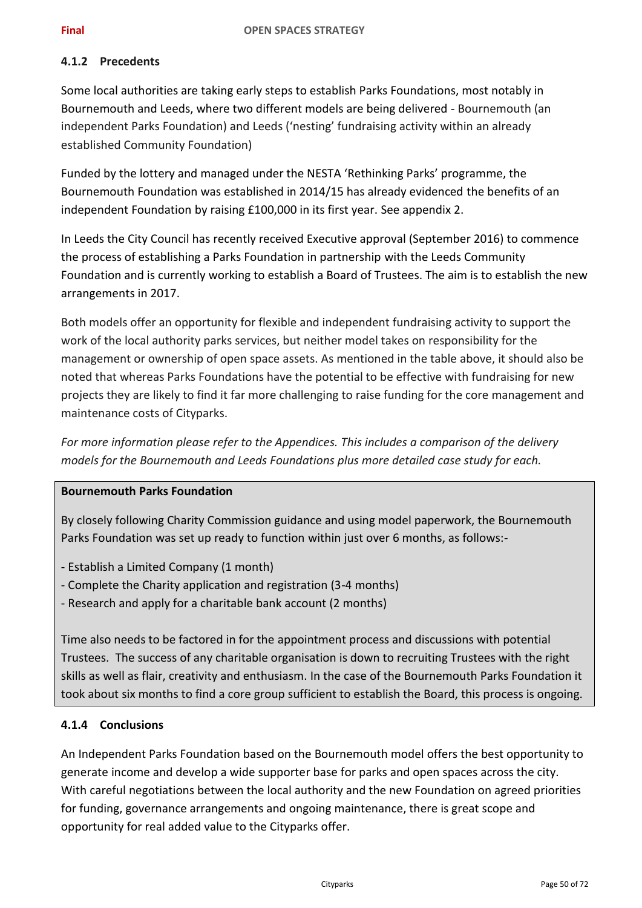### **4.1.2 Precedents**

Some local authorities are taking early steps to establish Parks Foundations, most notably in Bournemouth and Leeds, where two different models are being delivered - Bournemouth (an independent Parks Foundation) and Leeds ('nesting' fundraising activity within an already established Community Foundation)

Funded by the lottery and managed under the NESTA 'Rethinking Parks' programme, the Bournemouth Foundation was established in 2014/15 has already evidenced the benefits of an independent Foundation by raising £100,000 in its first year. See appendix 2.

In Leeds the City Council has recently received Executive approval (September 2016) to commence the process of establishing a Parks Foundation in partnership with the Leeds Community Foundation and is currently working to establish a Board of Trustees. The aim is to establish the new arrangements in 2017.

Both models offer an opportunity for flexible and independent fundraising activity to support the work of the local authority parks services, but neither model takes on responsibility for the management or ownership of open space assets. As mentioned in the table above, it should also be noted that whereas Parks Foundations have the potential to be effective with fundraising for new projects they are likely to find it far more challenging to raise funding for the core management and maintenance costs of Cityparks.

*For more information please refer to the Appendices. This includes a comparison of the delivery models for the Bournemouth and Leeds Foundations plus more detailed case study for each.*

### **Bournemouth Parks Foundation**

By closely following Charity Commission guidance and using model paperwork, the Bournemouth Parks Foundation was set up ready to function within just over 6 months, as follows:-

- Establish a Limited Company (1 month)
- Complete the Charity application and registration (3-4 months)
- Research and apply for a charitable bank account (2 months)

Time also needs to be factored in for the appointment process and discussions with potential Trustees. The success of any charitable organisation is down to recruiting Trustees with the right skills as well as flair, creativity and enthusiasm. In the case of the Bournemouth Parks Foundation it took about six months to find a core group sufficient to establish the Board, this process is ongoing.

### **4.1.4 Conclusions**

An Independent Parks Foundation based on the Bournemouth model offers the best opportunity to generate income and develop a wide supporter base for parks and open spaces across the city. With careful negotiations between the local authority and the new Foundation on agreed priorities for funding, governance arrangements and ongoing maintenance, there is great scope and opportunity for real added value to the Cityparks offer.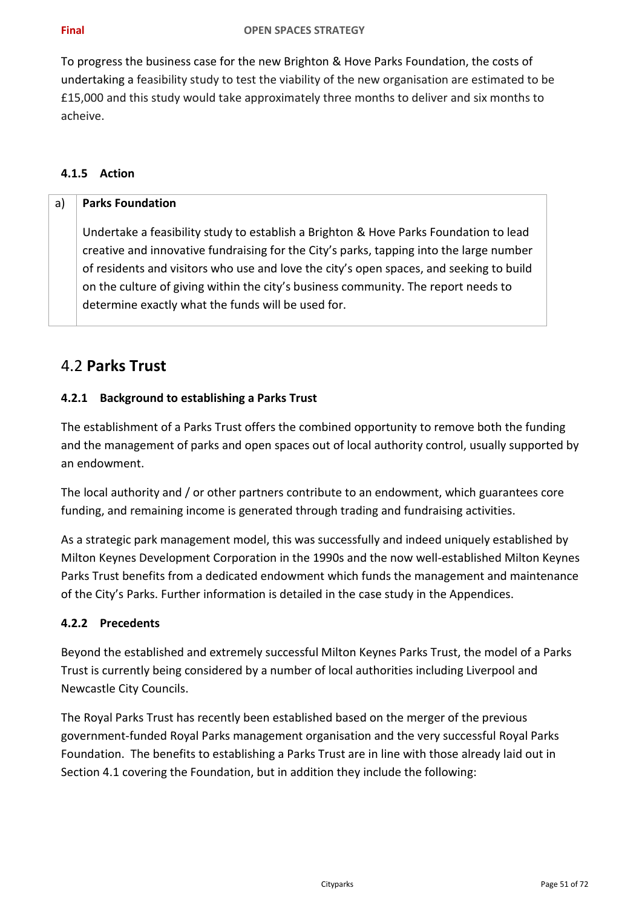To progress the business case for the new Brighton & Hove Parks Foundation, the costs of undertaking a feasibility study to test the viability of the new organisation are estimated to be £15,000 and this study would take approximately three months to deliver and six months to acheive.

### **4.1.5 Action**

### a) **Parks Foundation**

Undertake a feasibility study to establish a Brighton & Hove Parks Foundation to lead creative and innovative fundraising for the City's parks, tapping into the large number of residents and visitors who use and love the city's open spaces, and seeking to build on the culture of giving within the city's business community. The report needs to determine exactly what the funds will be used for.

## 4.2 **Parks Trust**

### **4.2.1 Background to establishing a Parks Trust**

The establishment of a Parks Trust offers the combined opportunity to remove both the funding and the management of parks and open spaces out of local authority control, usually supported by an endowment.

The local authority and / or other partners contribute to an endowment, which guarantees core funding, and remaining income is generated through trading and fundraising activities.

As a strategic park management model, this was successfully and indeed uniquely established by Milton Keynes Development Corporation in the 1990s and the now well-established Milton Keynes Parks Trust benefits from a dedicated endowment which funds the management and maintenance of the City's Parks. Further information is detailed in the case study in the Appendices.

### **4.2.2 Precedents**

Beyond the established and extremely successful Milton Keynes Parks Trust, the model of a Parks Trust is currently being considered by a number of local authorities including Liverpool and Newcastle City Councils.

The Royal Parks Trust has recently been established based on the merger of the previous government-funded Royal Parks management organisation and the very successful Royal Parks Foundation. The benefits to establishing a Parks Trust are in line with those already laid out in Section 4.1 covering the Foundation, but in addition they include the following: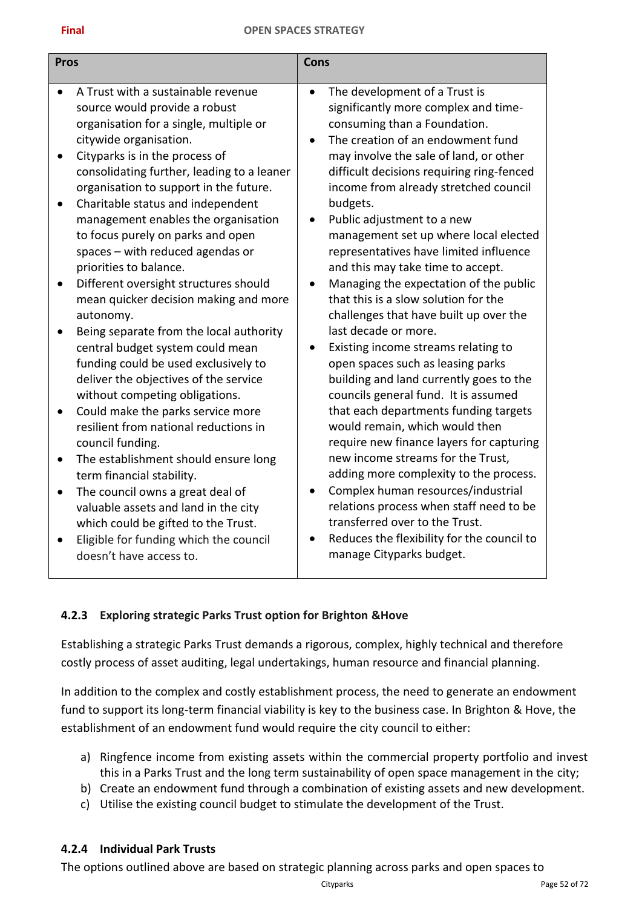### **Final OPEN SPACES STRATEGY**

| <b>Pros</b> |                                                                                                                                                             | Cons                   |                                                                                                                                                             |
|-------------|-------------------------------------------------------------------------------------------------------------------------------------------------------------|------------------------|-------------------------------------------------------------------------------------------------------------------------------------------------------------|
|             | A Trust with a sustainable revenue<br>source would provide a robust<br>organisation for a single, multiple or<br>citywide organisation.                     | $\bullet$<br>$\bullet$ | The development of a Trust is<br>significantly more complex and time-<br>consuming than a Foundation.<br>The creation of an endowment fund                  |
| ٠           | Cityparks is in the process of<br>consolidating further, leading to a leaner<br>organisation to support in the future.<br>Charitable status and independent |                        | may involve the sale of land, or other<br>difficult decisions requiring ring-fenced<br>income from already stretched council<br>budgets.                    |
|             | management enables the organisation<br>to focus purely on parks and open<br>spaces - with reduced agendas or<br>priorities to balance.                      |                        | Public adjustment to a new<br>management set up where local elected<br>representatives have limited influence<br>and this may take time to accept.          |
| $\bullet$   | Different oversight structures should<br>mean quicker decision making and more<br>autonomy.<br>Being separate from the local authority                      |                        | Managing the expectation of the public<br>that this is a slow solution for the<br>challenges that have built up over the<br>last decade or more.            |
|             | central budget system could mean<br>funding could be used exclusively to<br>deliver the objectives of the service<br>without competing obligations.         |                        | Existing income streams relating to<br>open spaces such as leasing parks<br>building and land currently goes to the<br>councils general fund. It is assumed |
|             | Could make the parks service more<br>resilient from national reductions in<br>council funding.                                                              |                        | that each departments funding targets<br>would remain, which would then<br>require new finance layers for capturing                                         |
|             | The establishment should ensure long<br>term financial stability.                                                                                           |                        | new income streams for the Trust,<br>adding more complexity to the process.                                                                                 |
| $\bullet$   | The council owns a great deal of<br>valuable assets and land in the city<br>which could be gifted to the Trust.                                             | $\bullet$              | Complex human resources/industrial<br>relations process when staff need to be<br>transferred over to the Trust.                                             |
|             | Eligible for funding which the council<br>doesn't have access to.                                                                                           |                        | Reduces the flexibility for the council to<br>manage Cityparks budget.                                                                                      |

### **4.2.3 Exploring strategic Parks Trust option for Brighton &Hove**

Establishing a strategic Parks Trust demands a rigorous, complex, highly technical and therefore costly process of asset auditing, legal undertakings, human resource and financial planning.

In addition to the complex and costly establishment process, the need to generate an endowment fund to support its long-term financial viability is key to the business case. In Brighton & Hove, the establishment of an endowment fund would require the city council to either:

- a) Ringfence income from existing assets within the commercial property portfolio and invest this in a Parks Trust and the long term sustainability of open space management in the city;
- b) Create an endowment fund through a combination of existing assets and new development.
- c) Utilise the existing council budget to stimulate the development of the Trust.

### **4.2.4 Individual Park Trusts**

The options outlined above are based on strategic planning across parks and open spaces to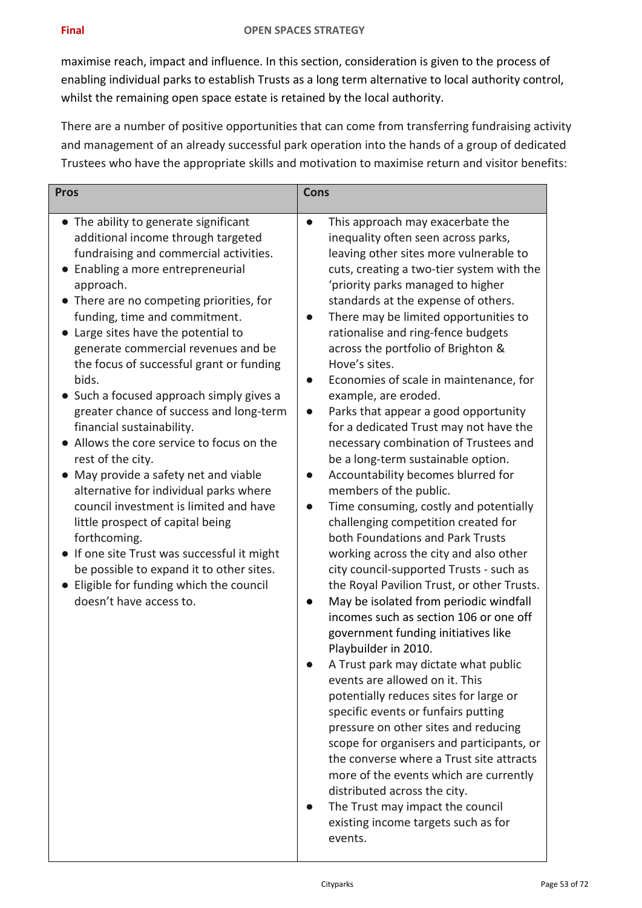maximise reach, impact and influence. In this section, consideration is given to the process of enabling individual parks to establish Trusts as a long term alternative to local authority control, whilst the remaining open space estate is retained by the local authority.

There are a number of positive opportunities that can come from transferring fundraising activity and management of an already successful park operation into the hands of a group of dedicated Trustees who have the appropriate skills and motivation to maximise return and visitor benefits:

| <b>Pros</b>                                                                                                                                                                                                                                                                                                                                                                                                                                                                                                                                                                                                                                                                                                                                                                                                                                                                                                                           | <b>Cons</b>                                                                                                                                                                                                                                                                                                                                                                                                                                                                                                                                                                                                                                                                                                                                                                                                                                                                                                                                                                                                                                                                                                                                                                                                                                                                                                                                                                                                                                                                                                                                                             |  |
|---------------------------------------------------------------------------------------------------------------------------------------------------------------------------------------------------------------------------------------------------------------------------------------------------------------------------------------------------------------------------------------------------------------------------------------------------------------------------------------------------------------------------------------------------------------------------------------------------------------------------------------------------------------------------------------------------------------------------------------------------------------------------------------------------------------------------------------------------------------------------------------------------------------------------------------|-------------------------------------------------------------------------------------------------------------------------------------------------------------------------------------------------------------------------------------------------------------------------------------------------------------------------------------------------------------------------------------------------------------------------------------------------------------------------------------------------------------------------------------------------------------------------------------------------------------------------------------------------------------------------------------------------------------------------------------------------------------------------------------------------------------------------------------------------------------------------------------------------------------------------------------------------------------------------------------------------------------------------------------------------------------------------------------------------------------------------------------------------------------------------------------------------------------------------------------------------------------------------------------------------------------------------------------------------------------------------------------------------------------------------------------------------------------------------------------------------------------------------------------------------------------------------|--|
| • The ability to generate significant<br>additional income through targeted<br>fundraising and commercial activities.<br>Enabling a more entrepreneurial<br>$\bullet$<br>approach.<br>• There are no competing priorities, for<br>funding, time and commitment.<br>Large sites have the potential to<br>generate commercial revenues and be<br>the focus of successful grant or funding<br>bids.<br>Such a focused approach simply gives a<br>greater chance of success and long-term<br>financial sustainability.<br>• Allows the core service to focus on the<br>rest of the city.<br>May provide a safety net and viable<br>alternative for individual parks where<br>council investment is limited and have<br>little prospect of capital being<br>forthcoming.<br>• If one site Trust was successful it might<br>be possible to expand it to other sites.<br>• Eligible for funding which the council<br>doesn't have access to. | This approach may exacerbate the<br>inequality often seen across parks,<br>leaving other sites more vulnerable to<br>cuts, creating a two-tier system with the<br>'priority parks managed to higher<br>standards at the expense of others.<br>There may be limited opportunities to<br>rationalise and ring-fence budgets<br>across the portfolio of Brighton &<br>Hove's sites.<br>Economies of scale in maintenance, for<br>$\bullet$<br>example, are eroded.<br>Parks that appear a good opportunity<br>for a dedicated Trust may not have the<br>necessary combination of Trustees and<br>be a long-term sustainable option.<br>Accountability becomes blurred for<br>members of the public.<br>Time consuming, costly and potentially<br>challenging competition created for<br>both Foundations and Park Trusts<br>working across the city and also other<br>city council-supported Trusts - such as<br>the Royal Pavilion Trust, or other Trusts.<br>May be isolated from periodic windfall<br>incomes such as section 106 or one off<br>government funding initiatives like<br>Playbuilder in 2010.<br>A Trust park may dictate what public<br>events are allowed on it. This<br>potentially reduces sites for large or<br>specific events or funfairs putting<br>pressure on other sites and reducing<br>scope for organisers and participants, or<br>the converse where a Trust site attracts<br>more of the events which are currently<br>distributed across the city.<br>The Trust may impact the council<br>existing income targets such as for<br>events. |  |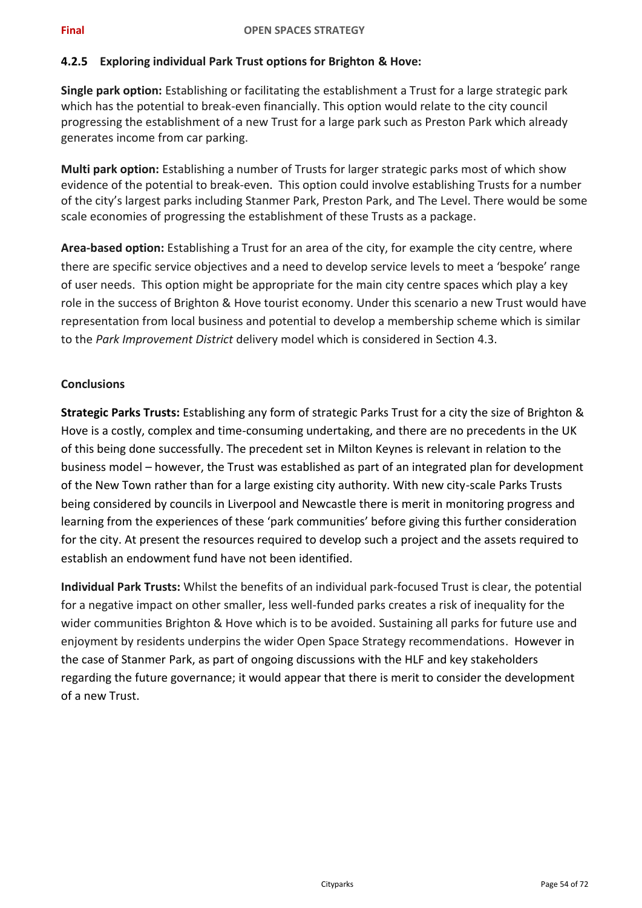### **4.2.5 Exploring individual Park Trust options for Brighton & Hove:**

**Single park option:** Establishing or facilitating the establishment a Trust for a large strategic park which has the potential to break-even financially. This option would relate to the city council progressing the establishment of a new Trust for a large park such as Preston Park which already generates income from car parking.

**Multi park option:** Establishing a number of Trusts for larger strategic parks most of which show evidence of the potential to break-even. This option could involve establishing Trusts for a number of the city's largest parks including Stanmer Park, Preston Park, and The Level. There would be some scale economies of progressing the establishment of these Trusts as a package.

**Area-based option:** Establishing a Trust for an area of the city, for example the city centre, where there are specific service objectives and a need to develop service levels to meet a 'bespoke' range of user needs. This option might be appropriate for the main city centre spaces which play a key role in the success of Brighton & Hove tourist economy. Under this scenario a new Trust would have representation from local business and potential to develop a membership scheme which is similar to the *Park Improvement District* delivery model which is considered in Section 4.3.

### **Conclusions**

**Strategic Parks Trusts:** Establishing any form of strategic Parks Trust for a city the size of Brighton & Hove is a costly, complex and time-consuming undertaking, and there are no precedents in the UK of this being done successfully. The precedent set in Milton Keynes is relevant in relation to the business model – however, the Trust was established as part of an integrated plan for development of the New Town rather than for a large existing city authority. With new city-scale Parks Trusts being considered by councils in Liverpool and Newcastle there is merit in monitoring progress and learning from the experiences of these 'park communities' before giving this further consideration for the city. At present the resources required to develop such a project and the assets required to establish an endowment fund have not been identified.

**Individual Park Trusts:** Whilst the benefits of an individual park-focused Trust is clear, the potential for a negative impact on other smaller, less well-funded parks creates a risk of inequality for the wider communities Brighton & Hove which is to be avoided. Sustaining all parks for future use and enjoyment by residents underpins the wider Open Space Strategy recommendations. However in the case of Stanmer Park, as part of ongoing discussions with the HLF and key stakeholders regarding the future governance; it would appear that there is merit to consider the development of a new Trust.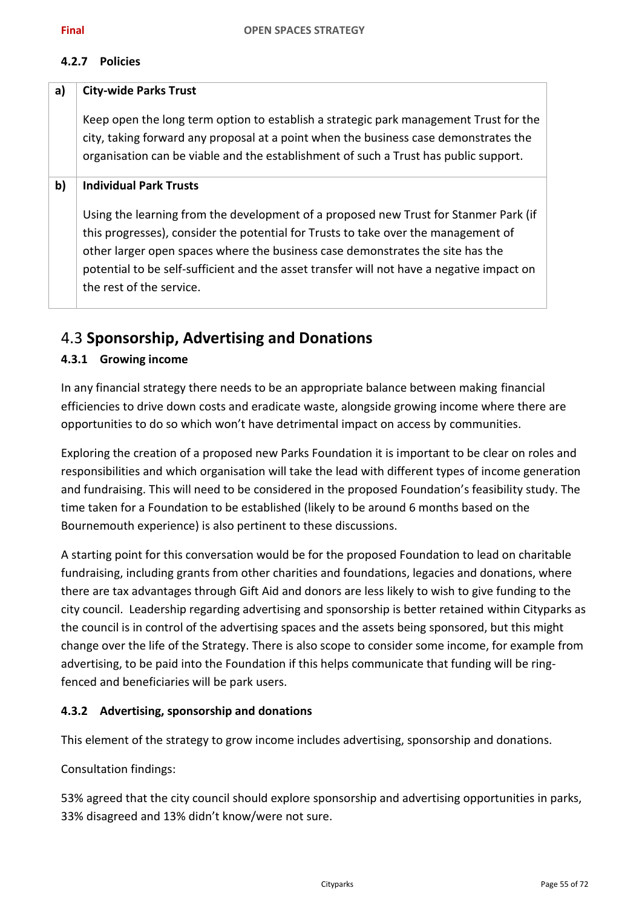### **4.2.7 Policies**

| a) | <b>City-wide Parks Trust</b>                                                                                                                                                                                                                                                                                                                                                          |
|----|---------------------------------------------------------------------------------------------------------------------------------------------------------------------------------------------------------------------------------------------------------------------------------------------------------------------------------------------------------------------------------------|
|    | Keep open the long term option to establish a strategic park management Trust for the<br>city, taking forward any proposal at a point when the business case demonstrates the<br>organisation can be viable and the establishment of such a Trust has public support.                                                                                                                 |
| b) | <b>Individual Park Trusts</b>                                                                                                                                                                                                                                                                                                                                                         |
|    | Using the learning from the development of a proposed new Trust for Stanmer Park (if<br>this progresses), consider the potential for Trusts to take over the management of<br>other larger open spaces where the business case demonstrates the site has the<br>potential to be self-sufficient and the asset transfer will not have a negative impact on<br>the rest of the service. |

# 4.3 **Sponsorship, Advertising and Donations**

### **4.3.1 Growing income**

In any financial strategy there needs to be an appropriate balance between making financial efficiencies to drive down costs and eradicate waste, alongside growing income where there are opportunities to do so which won't have detrimental impact on access by communities.

Exploring the creation of a proposed new Parks Foundation it is important to be clear on roles and responsibilities and which organisation will take the lead with different types of income generation and fundraising. This will need to be considered in the proposed Foundation's feasibility study. The time taken for a Foundation to be established (likely to be around 6 months based on the Bournemouth experience) is also pertinent to these discussions.

A starting point for this conversation would be for the proposed Foundation to lead on charitable fundraising, including grants from other charities and foundations, legacies and donations, where there are tax advantages through Gift Aid and donors are less likely to wish to give funding to the city council. Leadership regarding advertising and sponsorship is better retained within Cityparks as the council is in control of the advertising spaces and the assets being sponsored, but this might change over the life of the Strategy. There is also scope to consider some income, for example from advertising, to be paid into the Foundation if this helps communicate that funding will be ringfenced and beneficiaries will be park users.

### **4.3.2 Advertising, sponsorship and donations**

This element of the strategy to grow income includes advertising, sponsorship and donations.

### Consultation findings:

53% agreed that the city council should explore sponsorship and advertising opportunities in parks, 33% disagreed and 13% didn't know/were not sure.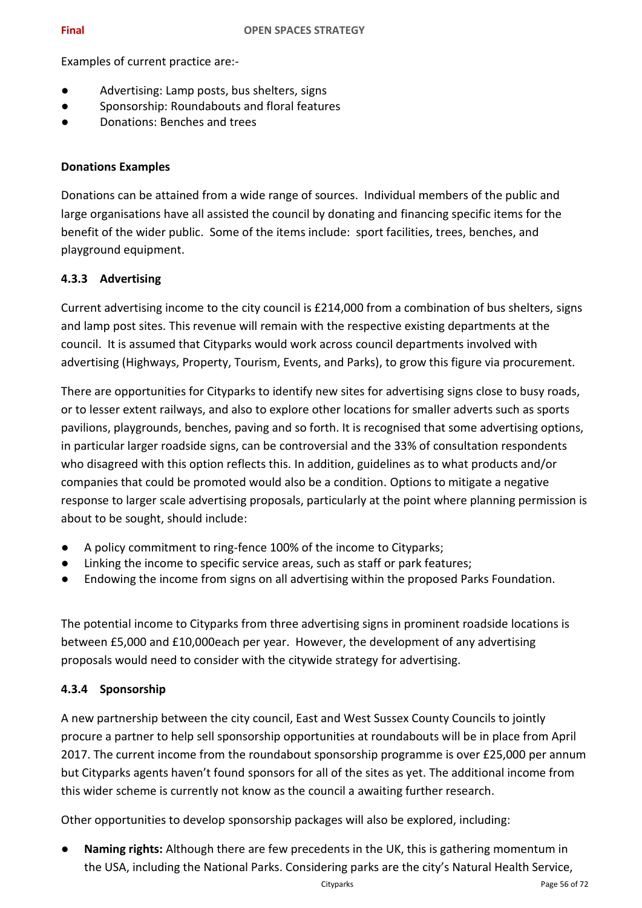Examples of current practice are:-

- Advertising: Lamp posts, bus shelters, signs
- Sponsorship: Roundabouts and floral features
- Donations: Benches and trees

### **Donations Examples**

Donations can be attained from a wide range of sources. Individual members of the public and large organisations have all assisted the council by donating and financing specific items for the benefit of the wider public. Some of the items include: sport facilities, trees, benches, and playground equipment.

### **4.3.3 Advertising**

Current advertising income to the city council is £214,000 from a combination of bus shelters, signs and lamp post sites. This revenue will remain with the respective existing departments at the council. It is assumed that Cityparks would work across council departments involved with advertising (Highways, Property, Tourism, Events, and Parks), to grow this figure via procurement.

There are opportunities for Cityparks to identify new sites for advertising signs close to busy roads, or to lesser extent railways, and also to explore other locations for smaller adverts such as sports pavilions, playgrounds, benches, paving and so forth. It is recognised that some advertising options, in particular larger roadside signs, can be controversial and the 33% of consultation respondents who disagreed with this option reflects this. In addition, guidelines as to what products and/or companies that could be promoted would also be a condition. Options to mitigate a negative response to larger scale advertising proposals, particularly at the point where planning permission is about to be sought, should include:

- A policy commitment to ring-fence 100% of the income to Cityparks;
- Linking the income to specific service areas, such as staff or park features;
- Endowing the income from signs on all advertising within the proposed Parks Foundation.

The potential income to Cityparks from three advertising signs in prominent roadside locations is between £5,000 and £10,000each per year. However, the development of any advertising proposals would need to consider with the citywide strategy for advertising.

### **4.3.4 Sponsorship**

A new partnership between the city council, East and West Sussex County Councils to jointly procure a partner to help sell sponsorship opportunities at roundabouts will be in place from April 2017. The current income from the roundabout sponsorship programme is over £25,000 per annum but Cityparks agents haven't found sponsors for all of the sites as yet. The additional income from this wider scheme is currently not know as the council a awaiting further research.

Other opportunities to develop sponsorship packages will also be explored, including:

**Naming rights:** Although there are few precedents in the UK, this is gathering momentum in the USA, including the National Parks. Considering parks are the city's Natural Health Service,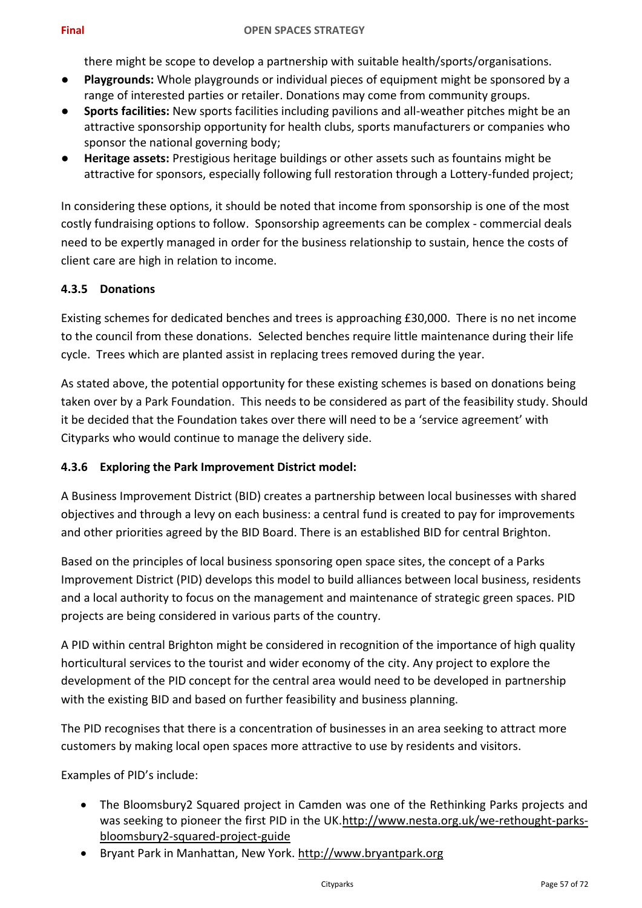there might be scope to develop a partnership with suitable health/sports/organisations.

- **Playgrounds:** Whole playgrounds or individual pieces of equipment might be sponsored by a range of interested parties or retailer. Donations may come from community groups.
- **Sports facilities:** New sports facilities including pavilions and all-weather pitches might be an attractive sponsorship opportunity for health clubs, sports manufacturers or companies who sponsor the national governing body;
- Heritage assets: Prestigious heritage buildings or other assets such as fountains might be attractive for sponsors, especially following full restoration through a Lottery-funded project;

In considering these options, it should be noted that income from sponsorship is one of the most costly fundraising options to follow. Sponsorship agreements can be complex - commercial deals need to be expertly managed in order for the business relationship to sustain, hence the costs of client care are high in relation to income.

### **4.3.5 Donations**

Existing schemes for dedicated benches and trees is approaching £30,000. There is no net income to the council from these donations. Selected benches require little maintenance during their life cycle. Trees which are planted assist in replacing trees removed during the year.

As stated above, the potential opportunity for these existing schemes is based on donations being taken over by a Park Foundation. This needs to be considered as part of the feasibility study. Should it be decided that the Foundation takes over there will need to be a 'service agreement' with Cityparks who would continue to manage the delivery side.

### **4.3.6 Exploring the Park Improvement District model:**

A Business Improvement District (BID) creates a partnership between local businesses with shared objectives and through a levy on each business: a central fund is created to pay for improvements and other priorities agreed by the BID Board. There is an established BID for central Brighton.

Based on the principles of local business sponsoring open space sites, the concept of a Parks Improvement District (PID) develops this model to build alliances between local business, residents and a local authority to focus on the management and maintenance of strategic green spaces. PID projects are being considered in various parts of the country.

A PID within central Brighton might be considered in recognition of the importance of high quality horticultural services to the tourist and wider economy of the city. Any project to explore the development of the PID concept for the central area would need to be developed in partnership with the existing BID and based on further feasibility and business planning.

The PID recognises that there is a concentration of businesses in an area seeking to attract more customers by making local open spaces more attractive to use by residents and visitors.

Examples of PID's include:

- The Bloomsbury2 Squared project in Camden was one of the Rethinking Parks projects and was seeking to pioneer the first PID in the UK[.http://www.nesta.org.uk/we-rethought-parks](http://www.nesta.org.uk/we-rethought-parks-bloomsbury2-squared-project-guide)[bloomsbury2-squared-project-guide](http://www.nesta.org.uk/we-rethought-parks-bloomsbury2-squared-project-guide)
- Bryant Park in Manhattan, New York. [http://www.bryantpark.org](http://www.bryantpark.org/)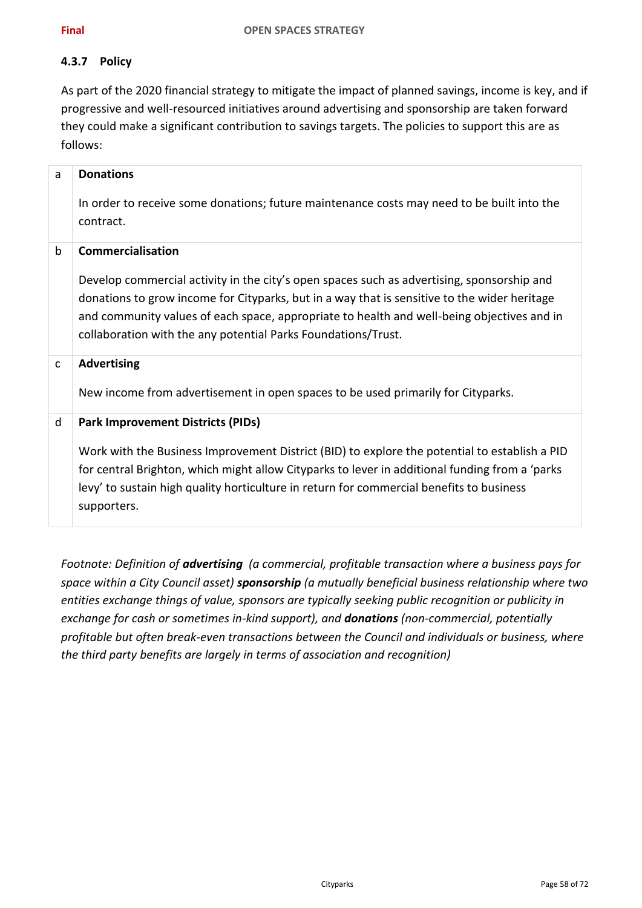### **4.3.7 Policy**

As part of the 2020 financial strategy to mitigate the impact of planned savings, income is key, and if progressive and well-resourced initiatives around advertising and sponsorship are taken forward they could make a significant contribution to savings targets. The policies to support this are as follows:

| a            | <b>Donations</b><br>In order to receive some donations; future maintenance costs may need to be built into the<br>contract.                                                                                                                                                                                                                                                           |
|--------------|---------------------------------------------------------------------------------------------------------------------------------------------------------------------------------------------------------------------------------------------------------------------------------------------------------------------------------------------------------------------------------------|
| $\mathsf b$  | <b>Commercialisation</b><br>Develop commercial activity in the city's open spaces such as advertising, sponsorship and<br>donations to grow income for Cityparks, but in a way that is sensitive to the wider heritage<br>and community values of each space, appropriate to health and well-being objectives and in<br>collaboration with the any potential Parks Foundations/Trust. |
| $\mathsf{C}$ | <b>Advertising</b><br>New income from advertisement in open spaces to be used primarily for Cityparks.                                                                                                                                                                                                                                                                                |
| d            | <b>Park Improvement Districts (PIDs)</b><br>Work with the Business Improvement District (BID) to explore the potential to establish a PID<br>for central Brighton, which might allow Cityparks to lever in additional funding from a 'parks<br>levy' to sustain high quality horticulture in return for commercial benefits to business<br>supporters.                                |

*Footnote: Definition of advertising (a commercial, profitable transaction where a business pays for space within a City Council asset) sponsorship (a mutually beneficial business relationship where two entities exchange things of value, sponsors are typically seeking public recognition or publicity in exchange for cash or sometimes in-kind support), and donations (non-commercial, potentially profitable but often break-even transactions between the Council and individuals or business, where the third party benefits are largely in terms of association and recognition)*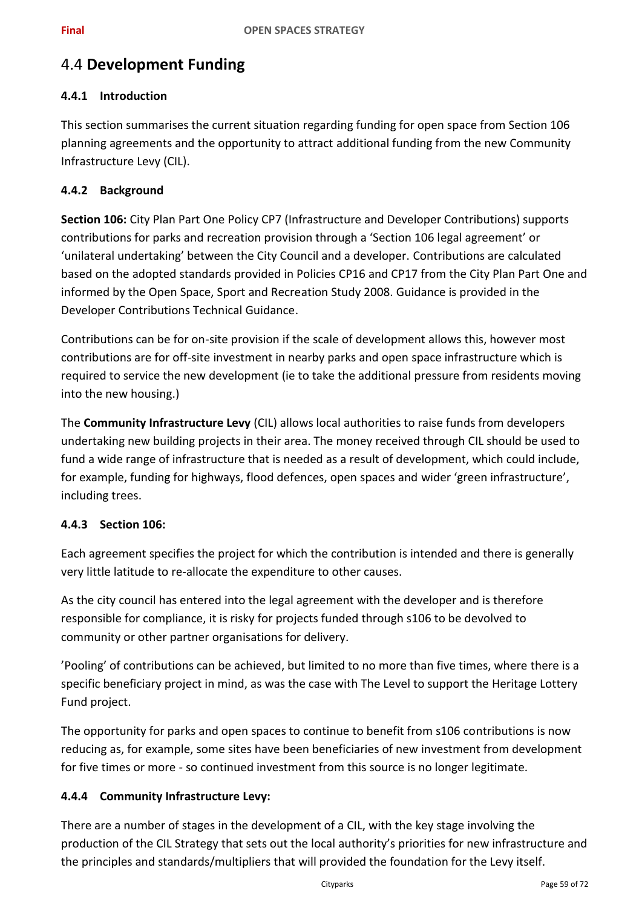# 4.4 **Development Funding**

### **4.4.1 Introduction**

This section summarises the current situation regarding funding for open space from Section 106 planning agreements and the opportunity to attract additional funding from the new Community Infrastructure Levy (CIL).

### **4.4.2 Background**

**Section 106:** City Plan Part One Policy CP7 (Infrastructure and Developer Contributions) supports contributions for parks and recreation provision through a 'Section 106 legal agreement' or 'unilateral undertaking' between the City Council and a developer. Contributions are calculated based on the adopted standards provided in Policies CP16 and CP17 from the City Plan Part One and informed by the Open Space, Sport and Recreation Study 2008. Guidance is provided in the Developer Contributions Technical Guidance.

Contributions can be for on-site provision if the scale of development allows this, however most contributions are for off-site investment in nearby parks and open space infrastructure which is required to service the new development (ie to take the additional pressure from residents moving into the new housing.)

The **Community Infrastructure Levy** (CIL) allows local authorities to raise funds from developers undertaking new building projects in their area. The money received through CIL should be used to fund a wide range of infrastructure that is needed as a result of development, which could include, for example, funding for highways, flood defences, open spaces and wider 'green infrastructure', including trees.

### **4.4.3 Section 106:**

Each agreement specifies the project for which the contribution is intended and there is generally very little latitude to re-allocate the expenditure to other causes.

As the city council has entered into the legal agreement with the developer and is therefore responsible for compliance, it is risky for projects funded through s106 to be devolved to community or other partner organisations for delivery.

'Pooling' of contributions can be achieved, but limited to no more than five times, where there is a specific beneficiary project in mind, as was the case with The Level to support the Heritage Lottery Fund project.

The opportunity for parks and open spaces to continue to benefit from s106 contributions is now reducing as, for example, some sites have been beneficiaries of new investment from development for five times or more - so continued investment from this source is no longer legitimate.

### **4.4.4 Community Infrastructure Levy:**

There are a number of stages in the development of a CIL, with the key stage involving the production of the CIL Strategy that sets out the local authority's priorities for new infrastructure and the principles and standards/multipliers that will provided the foundation for the Levy itself.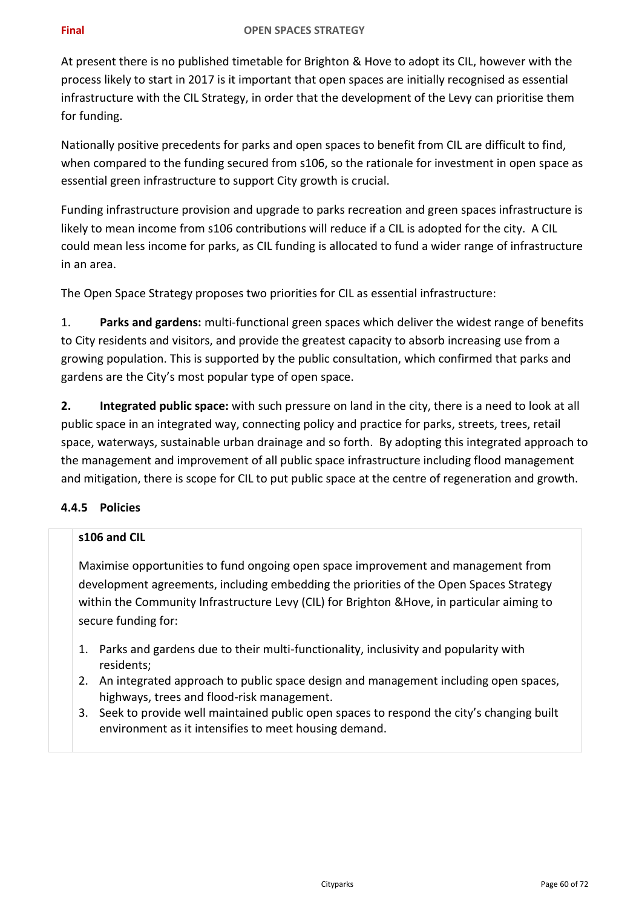At present there is no published timetable for Brighton & Hove to adopt its CIL, however with the process likely to start in 2017 is it important that open spaces are initially recognised as essential infrastructure with the CIL Strategy, in order that the development of the Levy can prioritise them for funding.

Nationally positive precedents for parks and open spaces to benefit from CIL are difficult to find, when compared to the funding secured from s106, so the rationale for investment in open space as essential green infrastructure to support City growth is crucial.

Funding infrastructure provision and upgrade to parks recreation and green spaces infrastructure is likely to mean income from s106 contributions will reduce if a CIL is adopted for the city. A CIL could mean less income for parks, as CIL funding is allocated to fund a wider range of infrastructure in an area.

The Open Space Strategy proposes two priorities for CIL as essential infrastructure:

1. **Parks and gardens:** multi-functional green spaces which deliver the widest range of benefits to City residents and visitors, and provide the greatest capacity to absorb increasing use from a growing population. This is supported by the public consultation, which confirmed that parks and gardens are the City's most popular type of open space.

**2. Integrated public space:** with such pressure on land in the city, there is a need to look at all public space in an integrated way, connecting policy and practice for parks, streets, trees, retail space, waterways, sustainable urban drainage and so forth. By adopting this integrated approach to the management and improvement of all public space infrastructure including flood management and mitigation, there is scope for CIL to put public space at the centre of regeneration and growth.

### **4.4.5 Policies**

### **s106 and CIL**

Maximise opportunities to fund ongoing open space improvement and management from development agreements, including embedding the priorities of the Open Spaces Strategy within the Community Infrastructure Levy (CIL) for Brighton &Hove, in particular aiming to secure funding for:

- 1. Parks and gardens due to their multi-functionality, inclusivity and popularity with residents;
- 2. An integrated approach to public space design and management including open spaces, highways, trees and flood-risk management.
- 3. Seek to provide well maintained public open spaces to respond the city's changing built environment as it intensifies to meet housing demand.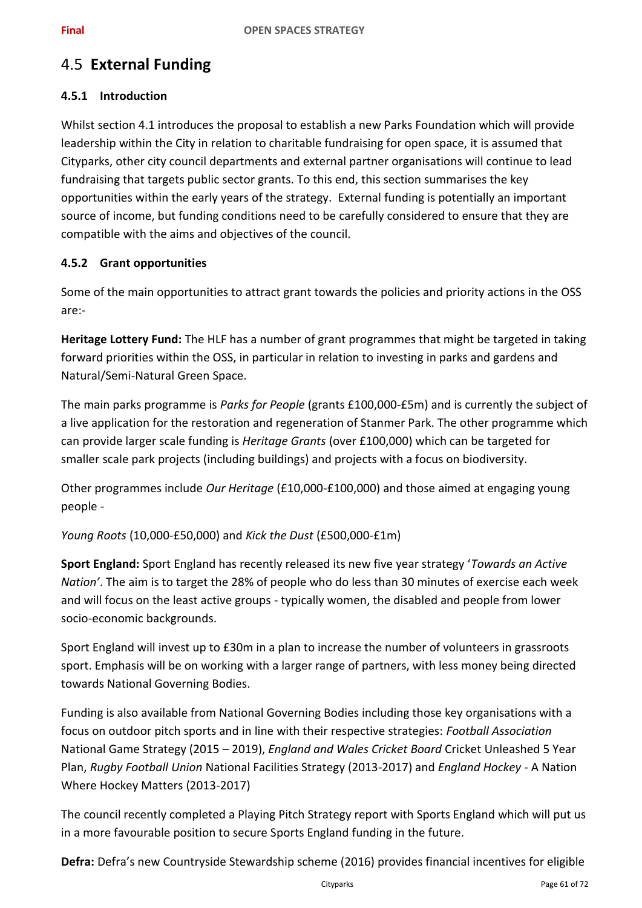# 4.5 **External Funding**

### **4.5.1 Introduction**

Whilst section 4.1 introduces the proposal to establish a new Parks Foundation which will provide leadership within the City in relation to charitable fundraising for open space, it is assumed that Cityparks, other city council departments and external partner organisations will continue to lead fundraising that targets public sector grants. To this end, this section summarises the key opportunities within the early years of the strategy. External funding is potentially an important source of income, but funding conditions need to be carefully considered to ensure that they are compatible with the aims and objectives of the council.

### **4.5.2 Grant opportunities**

Some of the main opportunities to attract grant towards the policies and priority actions in the OSS are:-

**Heritage Lottery Fund:** The HLF has a number of grant programmes that might be targeted in taking forward priorities within the OSS, in particular in relation to investing in parks and gardens and Natural/Semi-Natural Green Space.

The main parks programme is *Parks for People* (grants £100,000-£5m) and is currently the subject of a live application for the restoration and regeneration of Stanmer Park. The other programme which can provide larger scale funding is *Heritage Grants* (over £100,000) which can be targeted for smaller scale park projects (including buildings) and projects with a focus on biodiversity.

Other programmes include *Our Heritage* (£10,000-£100,000) and those aimed at engaging young people -

*Young Roots* (10,000-£50,000) and *Kick the Dust* (£500,000-£1m)

**Sport England:** Sport England has recently released its new five year strategy '*Towards an Active Nation'*. The aim is to target the 28% of people who do less than 30 minutes of exercise each week and will focus on the least active groups - typically women, the disabled and people from lower socio-economic backgrounds.

Sport England will invest up to £30m in a plan to increase the number of volunteers in grassroots sport. Emphasis will be on working with a larger range of partners, with less money being directed towards National Governing Bodies.

Funding is also available from National Governing Bodies including those key organisations with a focus on outdoor pitch sports and in line with their respective strategies: *Football Association* National Game Strategy (2015 – 2019), *England and Wales Cricket Board* Cricket Unleashed 5 Year Plan, *Rugby Football Union* National Facilities Strategy (2013-2017) and *England Hockey -* A Nation Where Hockey Matters (2013-2017)

The council recently completed a Playing Pitch Strategy report with Sports England which will put us in a more favourable position to secure Sports England funding in the future.

**Defra:** Defra's new Countryside Stewardship scheme (2016) provides financial incentives for eligible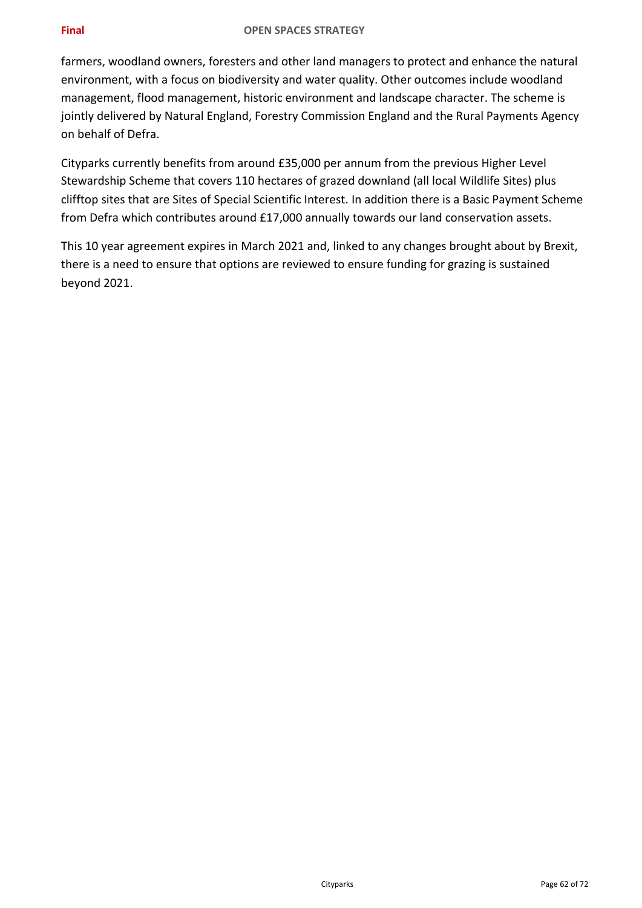### **Final OPEN SPACES STRATEGY**

farmers, woodland owners, foresters and other land managers to protect and enhance the natural environment, with a focus on biodiversity and water quality. Other outcomes include woodland management, flood management, historic environment and landscape character. The scheme is jointly delivered by Natural England, Forestry Commission England and the Rural Payments Agency on behalf of Defra.

Cityparks currently benefits from around £35,000 per annum from the previous Higher Level Stewardship Scheme that covers 110 hectares of grazed downland (all local Wildlife Sites) plus clifftop sites that are Sites of Special Scientific Interest. In addition there is a Basic Payment Scheme from Defra which contributes around £17,000 annually towards our land conservation assets.

This 10 year agreement expires in March 2021 and, linked to any changes brought about by Brexit, there is a need to ensure that options are reviewed to ensure funding for grazing is sustained beyond 2021.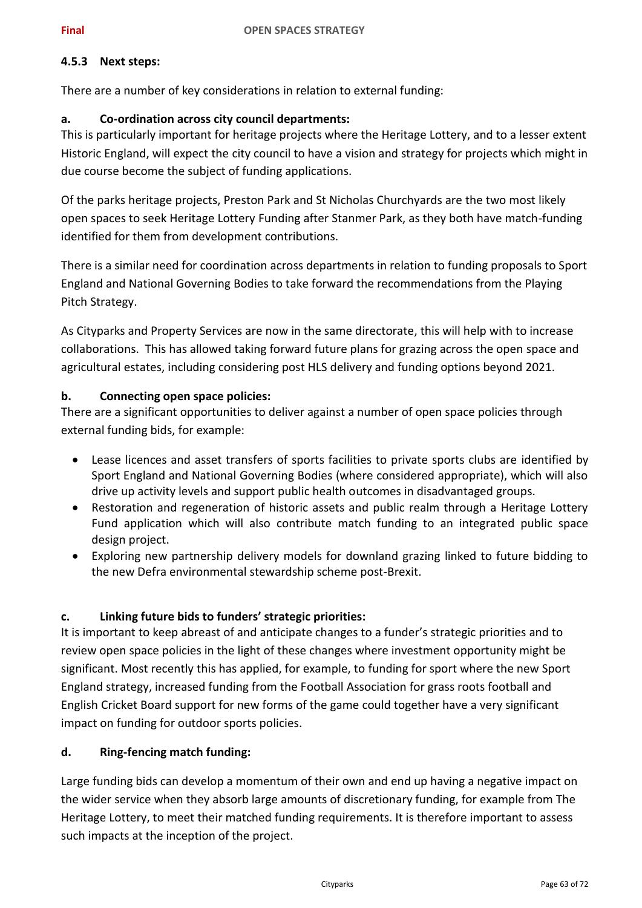### **4.5.3 Next steps:**

There are a number of key considerations in relation to external funding:

### **a. Co-ordination across city council departments:**

This is particularly important for heritage projects where the Heritage Lottery, and to a lesser extent Historic England, will expect the city council to have a vision and strategy for projects which might in due course become the subject of funding applications.

Of the parks heritage projects, Preston Park and St Nicholas Churchyards are the two most likely open spaces to seek Heritage Lottery Funding after Stanmer Park, as they both have match-funding identified for them from development contributions.

There is a similar need for coordination across departments in relation to funding proposals to Sport England and National Governing Bodies to take forward the recommendations from the Playing Pitch Strategy.

As Cityparks and Property Services are now in the same directorate, this will help with to increase collaborations. This has allowed taking forward future plans for grazing across the open space and agricultural estates, including considering post HLS delivery and funding options beyond 2021.

### **b. Connecting open space policies:**

There are a significant opportunities to deliver against a number of open space policies through external funding bids, for example:

- Lease licences and asset transfers of sports facilities to private sports clubs are identified by Sport England and National Governing Bodies (where considered appropriate), which will also drive up activity levels and support public health outcomes in disadvantaged groups.
- Restoration and regeneration of historic assets and public realm through a Heritage Lottery Fund application which will also contribute match funding to an integrated public space design project.
- Exploring new partnership delivery models for downland grazing linked to future bidding to the new Defra environmental stewardship scheme post-Brexit.

### **c. Linking future bids to funders' strategic priorities:**

It is important to keep abreast of and anticipate changes to a funder's strategic priorities and to review open space policies in the light of these changes where investment opportunity might be significant. Most recently this has applied, for example, to funding for sport where the new Sport England strategy, increased funding from the Football Association for grass roots football and English Cricket Board support for new forms of the game could together have a very significant impact on funding for outdoor sports policies.

### **d. Ring-fencing match funding:**

Large funding bids can develop a momentum of their own and end up having a negative impact on the wider service when they absorb large amounts of discretionary funding, for example from The Heritage Lottery, to meet their matched funding requirements. It is therefore important to assess such impacts at the inception of the project.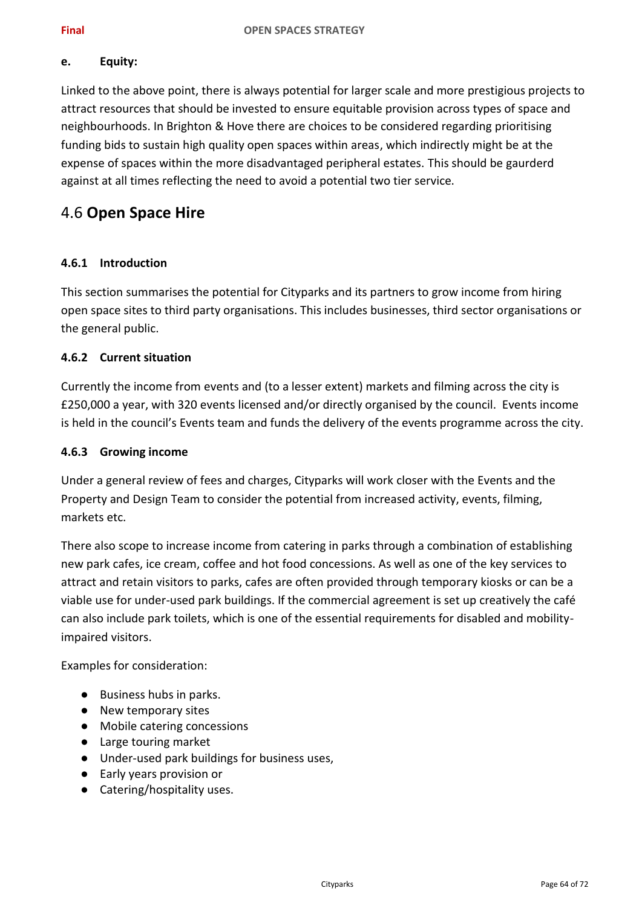### **e. Equity:**

Linked to the above point, there is always potential for larger scale and more prestigious projects to attract resources that should be invested to ensure equitable provision across types of space and neighbourhoods. In Brighton & Hove there are choices to be considered regarding prioritising funding bids to sustain high quality open spaces within areas, which indirectly might be at the expense of spaces within the more disadvantaged peripheral estates. This should be gaurderd against at all times reflecting the need to avoid a potential two tier service.

## 4.6 **Open Space Hire**

### **4.6.1 Introduction**

This section summarises the potential for Cityparks and its partners to grow income from hiring open space sites to third party organisations. This includes businesses, third sector organisations or the general public.

### **4.6.2 Current situation**

Currently the income from events and (to a lesser extent) markets and filming across the city is £250,000 a year, with 320 events licensed and/or directly organised by the council. Events income is held in the council's Events team and funds the delivery of the events programme across the city.

### **4.6.3 Growing income**

Under a general review of fees and charges, Cityparks will work closer with the Events and the Property and Design Team to consider the potential from increased activity, events, filming, markets etc.

There also scope to increase income from catering in parks through a combination of establishing new park cafes, ice cream, coffee and hot food concessions. As well as one of the key services to attract and retain visitors to parks, cafes are often provided through temporary kiosks or can be a viable use for under-used park buildings. If the commercial agreement is set up creatively the café can also include park toilets, which is one of the essential requirements for disabled and mobilityimpaired visitors.

Examples for consideration:

- Business hubs in parks.
- New temporary sites
- Mobile catering concessions
- Large touring market
- Under-used park buildings for business uses,
- Early years provision or
- Catering/hospitality uses.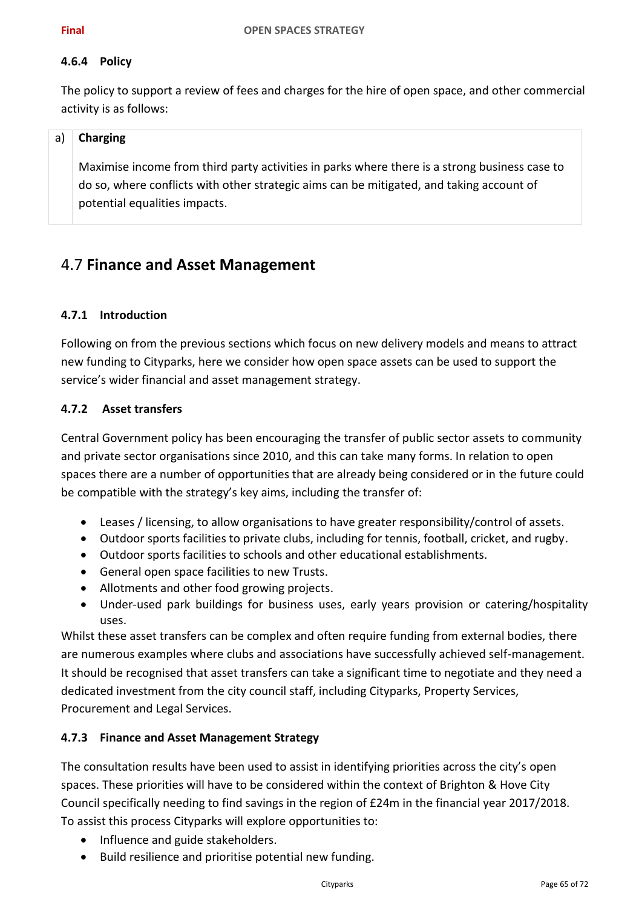### **4.6.4 Policy**

The policy to support a review of fees and charges for the hire of open space, and other commercial activity is as follows:

### a) **Charging**

Maximise income from third party activities in parks where there is a strong business case to do so, where conflicts with other strategic aims can be mitigated, and taking account of potential equalities impacts.

## 4.7 **Finance and Asset Management**

### **4.7.1 Introduction**

Following on from the previous sections which focus on new delivery models and means to attract new funding to Cityparks, here we consider how open space assets can be used to support the service's wider financial and asset management strategy.

### **4.7.2 Asset transfers**

Central Government policy has been encouraging the transfer of public sector assets to community and private sector organisations since 2010, and this can take many forms. In relation to open spaces there are a number of opportunities that are already being considered or in the future could be compatible with the strategy's key aims, including the transfer of:

- Leases / licensing, to allow organisations to have greater responsibility/control of assets.
- Outdoor sports facilities to private clubs, including for tennis, football, cricket, and rugby.
- Outdoor sports facilities to schools and other educational establishments.
- General open space facilities to new Trusts.
- Allotments and other food growing projects.
- Under-used park buildings for business uses, early years provision or catering/hospitality uses.

Whilst these asset transfers can be complex and often require funding from external bodies, there are numerous examples where clubs and associations have successfully achieved self-management. It should be recognised that asset transfers can take a significant time to negotiate and they need a dedicated investment from the city council staff, including Cityparks, Property Services, Procurement and Legal Services.

### **4.7.3 Finance and Asset Management Strategy**

The consultation results have been used to assist in identifying priorities across the city's open spaces. These priorities will have to be considered within the context of Brighton & Hove City Council specifically needing to find savings in the region of £24m in the financial year 2017/2018. To assist this process Cityparks will explore opportunities to:

- Influence and guide stakeholders.
- Build resilience and prioritise potential new funding.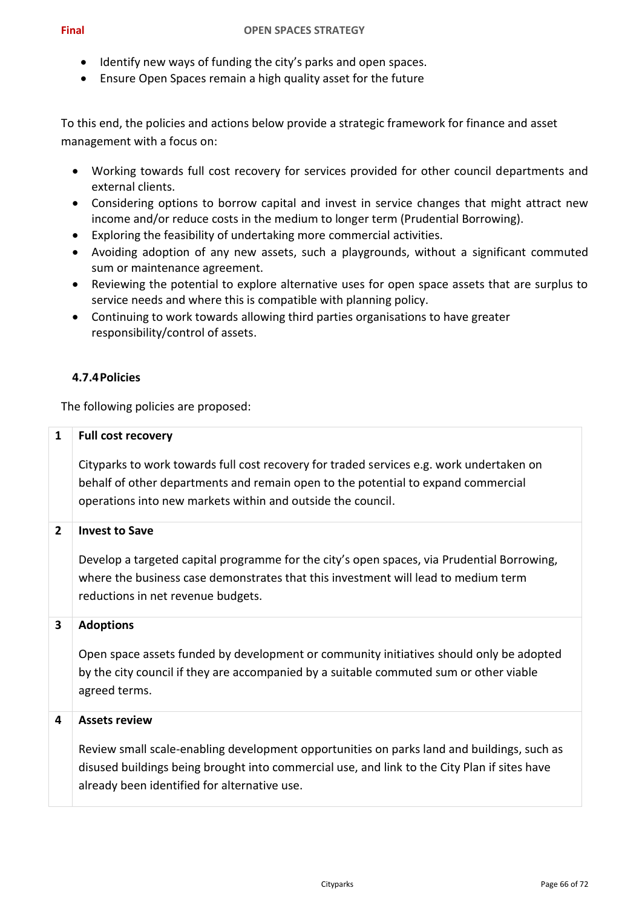- Identify new ways of funding the city's parks and open spaces.
- Ensure Open Spaces remain a high quality asset for the future

To this end, the policies and actions below provide a strategic framework for finance and asset management with a focus on:

- Working towards full cost recovery for services provided for other council departments and external clients.
- Considering options to borrow capital and invest in service changes that might attract new income and/or reduce costs in the medium to longer term (Prudential Borrowing).
- Exploring the feasibility of undertaking more commercial activities.
- Avoiding adoption of any new assets, such a playgrounds, without a significant commuted sum or maintenance agreement.
- Reviewing the potential to explore alternative uses for open space assets that are surplus to service needs and where this is compatible with planning policy.
- Continuing to work towards allowing third parties organisations to have greater responsibility/control of assets.

### **4.7.4Policies**

The following policies are proposed:

| $\mathbf{1}$            | <b>Full cost recovery</b>                                                                                                                                                                                                                    |
|-------------------------|----------------------------------------------------------------------------------------------------------------------------------------------------------------------------------------------------------------------------------------------|
|                         | Cityparks to work towards full cost recovery for traded services e.g. work undertaken on<br>behalf of other departments and remain open to the potential to expand commercial<br>operations into new markets within and outside the council. |
| $\overline{2}$          | <b>Invest to Save</b>                                                                                                                                                                                                                        |
|                         | Develop a targeted capital programme for the city's open spaces, via Prudential Borrowing,<br>where the business case demonstrates that this investment will lead to medium term<br>reductions in net revenue budgets.                       |
| $\overline{\mathbf{3}}$ | <b>Adoptions</b>                                                                                                                                                                                                                             |
|                         | Open space assets funded by development or community initiatives should only be adopted<br>by the city council if they are accompanied by a suitable commuted sum or other viable<br>agreed terms.                                           |
| 4                       | <b>Assets review</b>                                                                                                                                                                                                                         |
|                         | Review small scale-enabling development opportunities on parks land and buildings, such as<br>disused buildings being brought into commercial use, and link to the City Plan if sites have<br>already been identified for alternative use.   |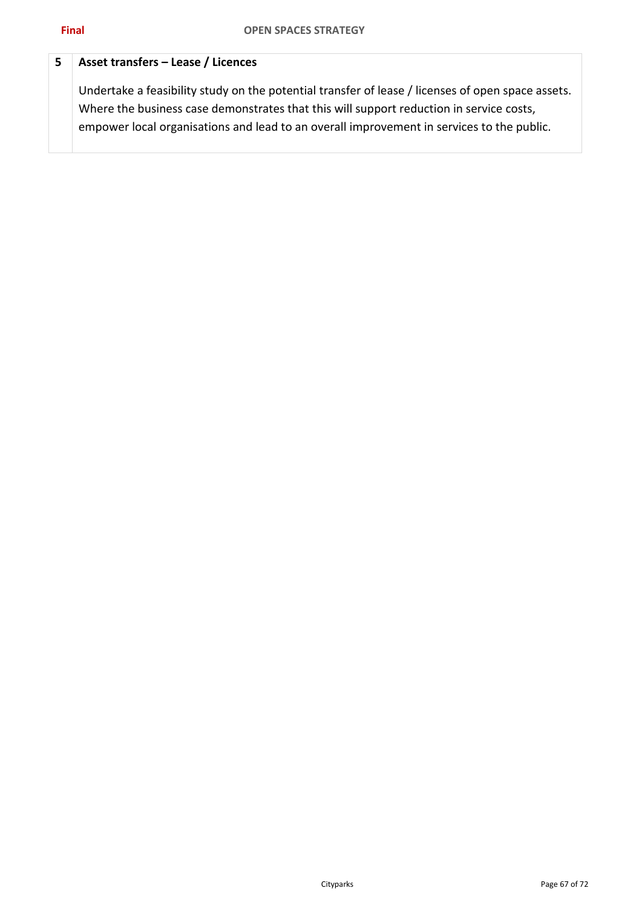### **5 Asset transfers – Lease / Licences**

Undertake a feasibility study on the potential transfer of lease / licenses of open space assets. Where the business case demonstrates that this will support reduction in service costs, empower local organisations and lead to an overall improvement in services to the public.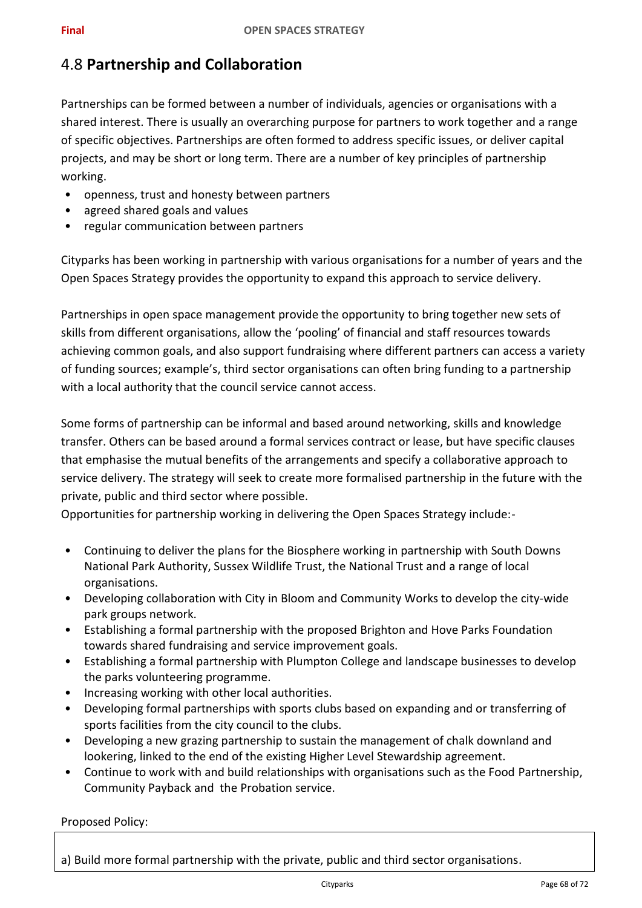# 4.8 **Partnership and Collaboration**

Partnerships can be formed between a number of individuals, agencies or organisations with a shared interest. There is usually an overarching purpose for partners to work together and a range of specific objectives. Partnerships are often formed to address specific issues, or deliver capital projects, and may be short or long term. There are a number of key principles of partnership working.

- openness, trust and honesty between partners
- agreed shared goals and values
- regular communication between partners

Cityparks has been working in partnership with various organisations for a number of years and the Open Spaces Strategy provides the opportunity to expand this approach to service delivery.

Partnerships in open space management provide the opportunity to bring together new sets of skills from different organisations, allow the 'pooling' of financial and staff resources towards achieving common goals, and also support fundraising where different partners can access a variety of funding sources; example's, third sector organisations can often bring funding to a partnership with a local authority that the council service cannot access.

Some forms of partnership can be informal and based around networking, skills and knowledge transfer. Others can be based around a formal services contract or lease, but have specific clauses that emphasise the mutual benefits of the arrangements and specify a collaborative approach to service delivery. The strategy will seek to create more formalised partnership in the future with the private, public and third sector where possible.

Opportunities for partnership working in delivering the Open Spaces Strategy include:-

- Continuing to deliver the plans for the Biosphere working in partnership with South Downs National Park Authority, Sussex Wildlife Trust, the National Trust and a range of local organisations.
- Developing collaboration with City in Bloom and Community Works to develop the city-wide park groups network.
- Establishing a formal partnership with the proposed Brighton and Hove Parks Foundation towards shared fundraising and service improvement goals.
- Establishing a formal partnership with Plumpton College and landscape businesses to develop the parks volunteering programme.
- Increasing working with other local authorities.
- Developing formal partnerships with sports clubs based on expanding and or transferring of sports facilities from the city council to the clubs.
- Developing a new grazing partnership to sustain the management of chalk downland and lookering, linked to the end of the existing Higher Level Stewardship agreement.
- Continue to work with and build relationships with organisations such as the Food Partnership, Community Payback and the Probation service.

Proposed Policy:

a) Build more formal partnership with the private, public and third sector organisations.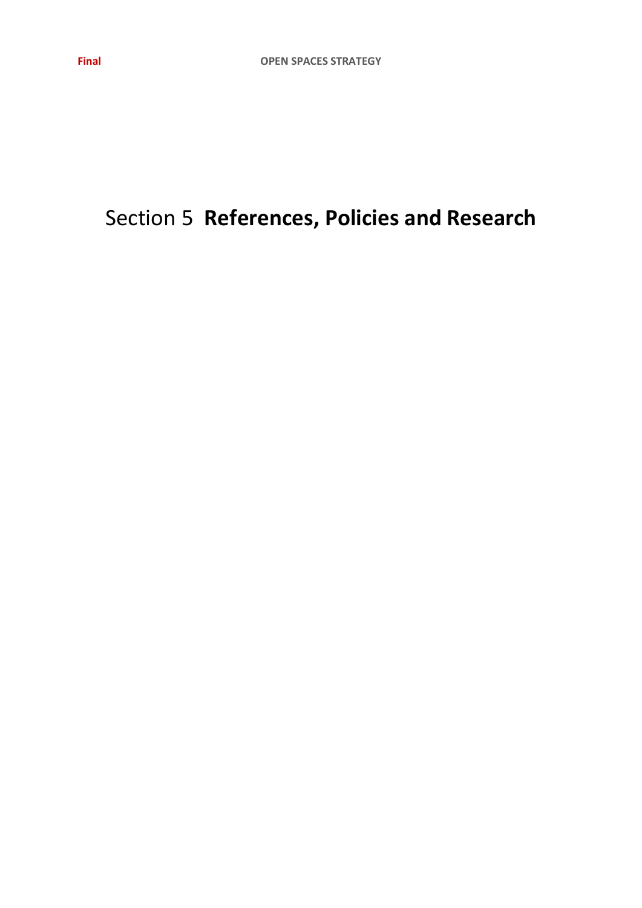# Section 5 **References, Policies and Research**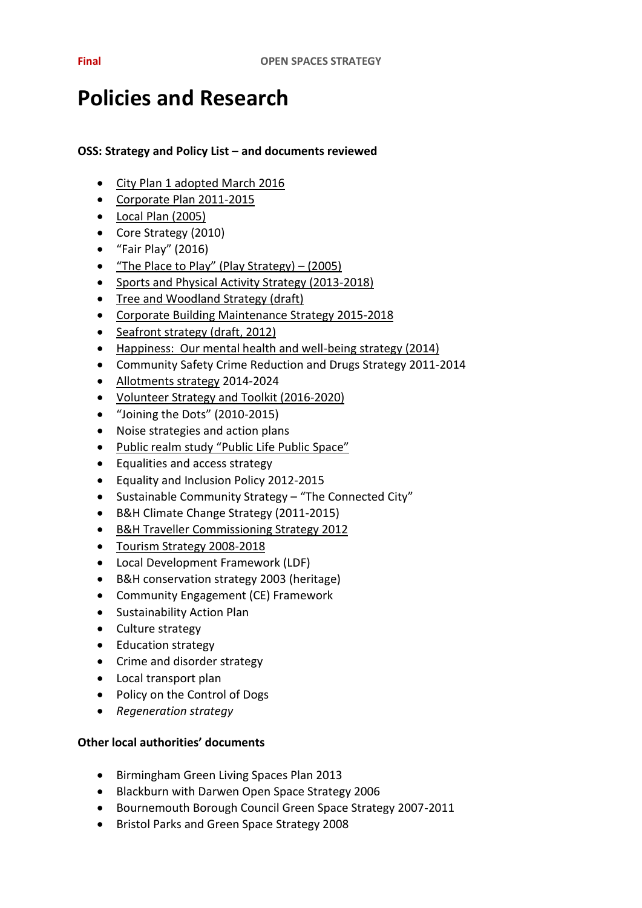# **Policies and Research**

### **OSS: Strategy and Policy List – and documents reviewed**

- [City Plan 1](https://www.brighton-hove.gov.uk/content/planning/planning-policy/city-plan-part-one) adopted March 2016
- [Corporate Plan 2011-2015](http://present.brighton-hove.gov.uk/Published/C00000117/M00004707/AI00038400/$20140318133506_005651_0022868_AppendixOneCorporatePlan201415AnnualUpdateFinalreleasedNHAmendsFin.doc.pdf)
- [Local Plan \(2005\)](http://www.brighton-hove.gov.uk/sites/brighton-hove.gov.uk/files/Saved%20Adopted%20Local%20Plan%20as%20at%20March%202016%20compressed.pdf)
- Core Strategy (2010)
- "Fair Play" (2016)
- ["The Place to Play" \(Play Strategy\) –](http://present.brighton-hove.gov.uk/Data/Children,%20Families%20&%20Schools%20Committee/20050606/Agenda/$Item%2011%20play%20strategy%20apdx.doc.pdf) (2005)
- [Sports and Physical Activity Strategy \(2013-2018\)](https://www.brighton-hove.gov.uk/sites/brighton-hove.gov.uk/files/City%20Sport%20%26%20Physical%20Activity%20Strategy%20%5Bfinal%5D.pdf)
- [Tree and Woodland Strategy \(draft\)](http://present.brighton-hove.gov.uk/Published/C00000138/M00000205/AI00004242/$item24app2TreeWoodlandStrategy.docA.ps.pdf)
- [Corporate Building Maintenance Strategy 2015-2018](https://www.brighton-hove.gov.uk/sites/brighton-hove.gov.uk/files/Building%20Maintenance%20Strategy%202015-18%20FINAL%20v10%20%282%29.pdf)
- [Seafront strategy \(draft, 2012\)](http://present.brighton-hove.gov.uk/Published/C00000705/M00004040/AI00030988/$SeafrontStrategyNovFinalDraftVersion.pdfA.ps.pdf)
- [Happiness: Our mental health and well-being strategy \(2014\)](http://present.brighton-hove.gov.uk/Published/C00000826/M00005481/AI00041398/Item195057happinesswellbeingAW.pdf)
- Community Safety Crime Reduction and Drugs Strategy 2011-2014
- [Allotments strategy](https://www.brighton-hove.gov.uk/sites/brighton-hove.gov.uk/files/Allotment%20strategy%20final.pdf) 2014-2024
- [Volunteer Strategy and Toolkit \(2016-2020\)](http://present.brighton-hove.gov.uk/Published/C00000885/M00006179/AI00051940/$20160629125453_009321_0038414_BHCCvolunteerPolicyversion26.docxA.ps.pdf)
- "Joining the Dots" (2010-2015)
- Noise strategies and action plans
- [Public realm study "Public Life Public](https://www.brighton-hove.gov.uk/sites/brighton-hove.gov.uk/files/downloads/1._pspl_Introduction_p1-20.pdf) Space"
- Equalities and access strategy
- Equality and Inclusion Policy 2012-2015
- Sustainable Community Strategy "The Connected City"
- B&H Climate Change Strategy (2011-2015)
- [B&H Traveller Commissioning Strategy 2012](https://www.brighton-hove.gov.uk/sites/brighton-hove.gov.uk/files/downloads/travellers/Traveller_Commissioning_Strategy_2012.pdf)
- [Tourism Strategy 2008-2018](https://www.brighton-hove.gov.uk/sites/brighton-hove.gov.uk/files/Tourism%20strategy%202008.pdf)
- Local Development Framework (LDF)
- B&H conservation strategy 2003 (heritage)
- Community Engagement (CE) Framework
- Sustainability Action Plan
- Culture strategy
- Education strategy
- Crime and disorder strategy
- Local transport plan
- Policy on the Control of Dogs
- *Regeneration strategy*

### **Other local authorities' documents**

- Birmingham Green Living Spaces Plan 2013
- Blackburn with Darwen Open Space Strategy 2006
- Bournemouth Borough Council Green Space Strategy 2007-2011
- Bristol Parks and Green Space Strategy 2008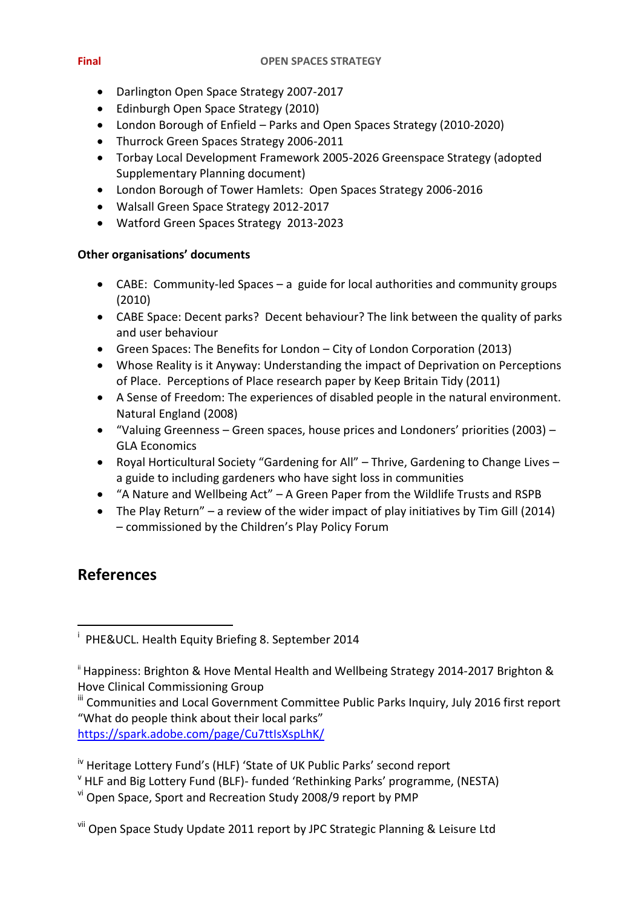- Darlington Open Space Strategy 2007-2017
- Edinburgh Open Space Strategy (2010)
- London Borough of Enfield Parks and Open Spaces Strategy (2010-2020)
- Thurrock Green Spaces Strategy 2006-2011
- Torbay Local Development Framework 2005-2026 Greenspace Strategy (adopted Supplementary Planning document)
- London Borough of Tower Hamlets: Open Spaces Strategy 2006-2016
- Walsall Green Space Strategy 2012-2017
- Watford Green Spaces Strategy 2013-2023

### **Other organisations' documents**

- CABE: Community-led Spaces a guide for local authorities and community groups (2010)
- CABE Space: Decent parks? Decent behaviour? The link between the quality of parks and user behaviour
- Green Spaces: The Benefits for London City of London Corporation (2013)
- Whose Reality is it Anyway: Understanding the impact of Deprivation on Perceptions of Place. Perceptions of Place research paper by Keep Britain Tidy (2011)
- A Sense of Freedom: The experiences of disabled people in the natural environment. Natural England (2008)
- "Valuing Greenness Green spaces, house prices and Londoners' priorities (2003) GLA Economics
- Royal Horticultural Society "Gardening for All" Thrive, Gardening to Change Lives a guide to including gardeners who have sight loss in communities
- "A Nature and Wellbeing Act" A Green Paper from the Wildlife Trusts and RSPB
- The Play Return" a review of the wider impact of play initiatives by Tim Gill (2014) – commissioned by the Children's Play Policy Forum

# **References**

<https://spark.adobe.com/page/Cu7ttIsXspLhK/>

**<sup>.</sup>** i PHE&UCL. Health Equity Briefing 8. September 2014

<sup>&</sup>lt;sup>ii</sup> Happiness: Brighton & Hove Mental Health and Wellbeing Strategy 2014-2017 Brighton & Hove Clinical Commissioning Group

<sup>&</sup>lt;sup>iii</sup> Communities and Local Government Committee Public Parks Inquiry, July 2016 first report "What do people think about their local parks"

iv Heritage Lottery Fund's (HLF) 'State of UK Public Parks' second report

<sup>v</sup> HLF and Big Lottery Fund (BLF)- funded 'Rethinking Parks' programme, (NESTA)

vi Open Space, Sport and Recreation Study 2008/9 report by PMP

vii Open Space Study Update 2011 report by JPC Strategic Planning & Leisure Ltd